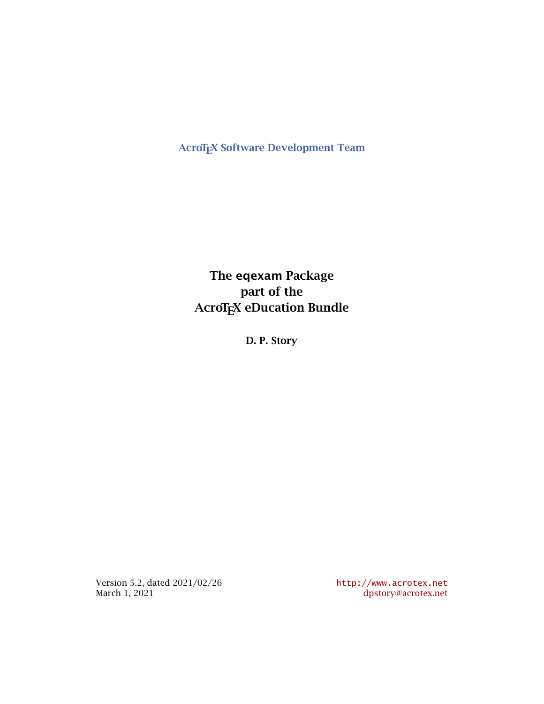**AcroTEX Software Development Team** 

**The eqexam Package part of the AcroTEX** eDucation Bundle

**D. P. Story**

Version 5.2, dated 2021/02/26 <http://www.acrotex.net> March 1, 2021 [dpstory@acrotex.net](mailto:dpstory@acrotex.net)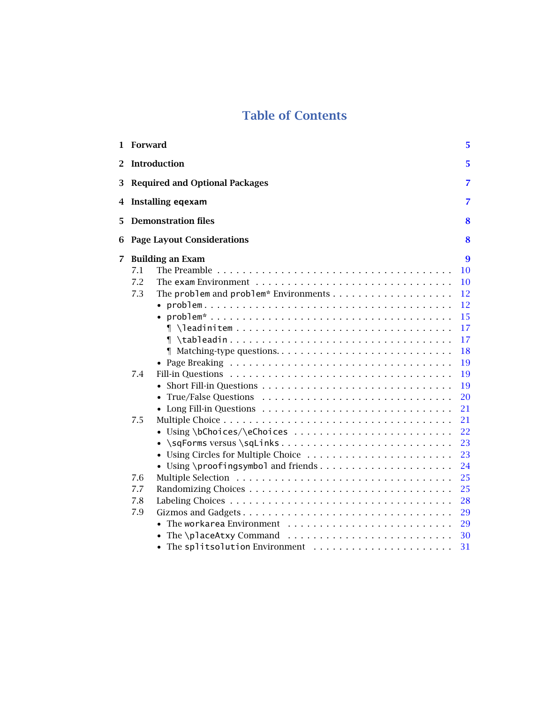# **Table of Contents**

|                | 1 Forward                                                                                                                                                                                                                                                                                                                                                         | 5                                                                                                                                                 |
|----------------|-------------------------------------------------------------------------------------------------------------------------------------------------------------------------------------------------------------------------------------------------------------------------------------------------------------------------------------------------------------------|---------------------------------------------------------------------------------------------------------------------------------------------------|
| $\mathbf{2}^-$ | <b>Introduction</b>                                                                                                                                                                                                                                                                                                                                               | 5                                                                                                                                                 |
|                | 3 Required and Optional Packages                                                                                                                                                                                                                                                                                                                                  | $\overline{7}$                                                                                                                                    |
|                | 4 Installing eqexam                                                                                                                                                                                                                                                                                                                                               | 7                                                                                                                                                 |
| 5              | <b>Demonstration files</b>                                                                                                                                                                                                                                                                                                                                        | 8                                                                                                                                                 |
| 6              | <b>Page Layout Considerations</b>                                                                                                                                                                                                                                                                                                                                 | 8                                                                                                                                                 |
| $\overline{7}$ | <b>Building an Exam</b><br>7.1<br>7.2<br>The exam Environment $\ldots \ldots \ldots \ldots \ldots \ldots \ldots \ldots \ldots \ldots \ldots$<br>7.3<br>$\{\hat{\mathbf{r}}\$<br>7.4<br>7.5<br>• Using \bChoices/\eChoices<br>• \sqForms versus \sqLinks<br>• Using Circles for Multiple Choice<br>• Using \proofingsymbol and friends<br>7.6<br>7.7<br>7.8<br>7.9 | 9<br>10<br>10<br>12<br>12<br>15<br>17<br>17<br>18<br>19<br>19<br>19<br>20<br>21<br>21<br>22<br>23<br>23<br>24<br>25<br>25<br>28<br>29<br>29<br>30 |
|                | • The splitsolution Environment                                                                                                                                                                                                                                                                                                                                   | 31                                                                                                                                                |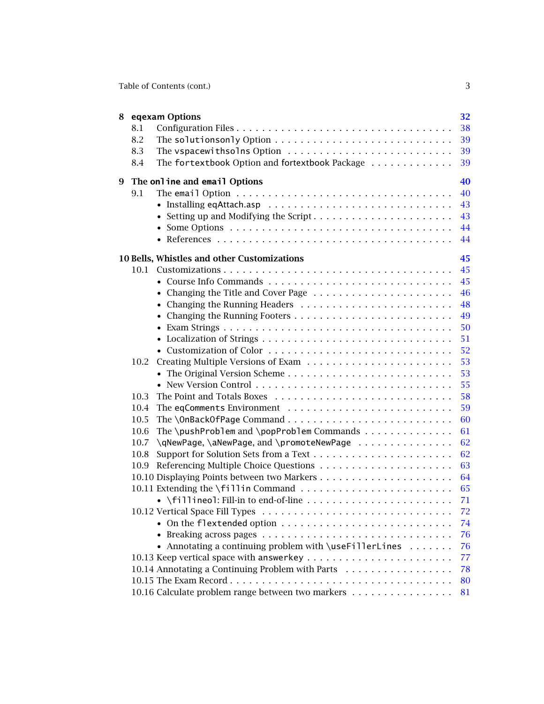| Table of Contents (cont.) |  |
|---------------------------|--|
|                           |  |
|                           |  |
|                           |  |

| 8 | 8.1<br>8.2<br>8.3 | eqexam Options<br>The vspacewithsolns Option                                   | 32<br>38<br>39<br>39       |
|---|-------------------|--------------------------------------------------------------------------------|----------------------------|
| 9 | 8.4               | The fortextbook Option and fortextbook Package<br>The online and email Options | 39<br>40                   |
|   | 9.1               | • Setting up and Modifying the Script                                          | 40<br>43<br>43<br>44<br>44 |
|   |                   | 10 Bells, Whistles and other Customizations                                    | 45                         |
|   | 10.1              |                                                                                | 45                         |
|   |                   |                                                                                | 45                         |
|   |                   | • Changing the Title and Cover Page                                            | 46                         |
|   |                   |                                                                                | 48                         |
|   |                   |                                                                                | 49                         |
|   |                   |                                                                                | 50                         |
|   |                   |                                                                                | 51                         |
|   |                   |                                                                                | 52                         |
|   | 10.2              |                                                                                | 53                         |
|   |                   |                                                                                | 53                         |
|   |                   |                                                                                | 55                         |
|   | 10.3              |                                                                                | 58                         |
|   | 10.4              |                                                                                | 59                         |
|   | 10.5              |                                                                                | 60                         |
|   | 10.6              | The \pushProblem and \popProblem Commands $\dots\dots\dots\dots$               | 61                         |
|   | 10.7              | \qNewPage, \aNewPage, and \promoteNewPage                                      | 62                         |
|   | 10.8              |                                                                                | 62                         |
|   | 10.9              |                                                                                | 63                         |
|   |                   |                                                                                | 64                         |
|   |                   |                                                                                | 65                         |
|   |                   |                                                                                | 71                         |
|   |                   |                                                                                | 72                         |
|   |                   |                                                                                | 74                         |
|   |                   |                                                                                | 76                         |
|   |                   | • Annotating a continuing problem with \useFillerLines                         | 76                         |
|   |                   |                                                                                | 77                         |
|   |                   | 10.14 Annotating a Continuing Problem with Parts                               | 78                         |
|   |                   |                                                                                | 80                         |
|   |                   | 10.16 Calculate problem range between two markers                              | 81                         |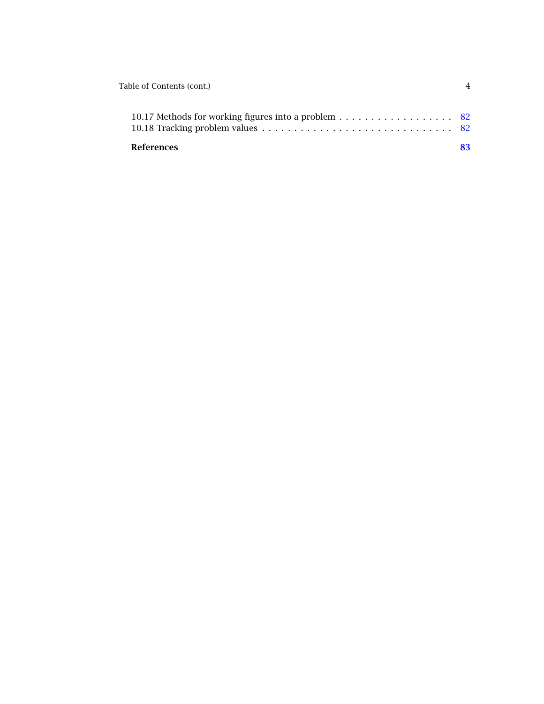| Table of Contents (cont.)                           |  |
|-----------------------------------------------------|--|
| 10.17 Methods for working figures into a problem 82 |  |
| <b>References</b>                                   |  |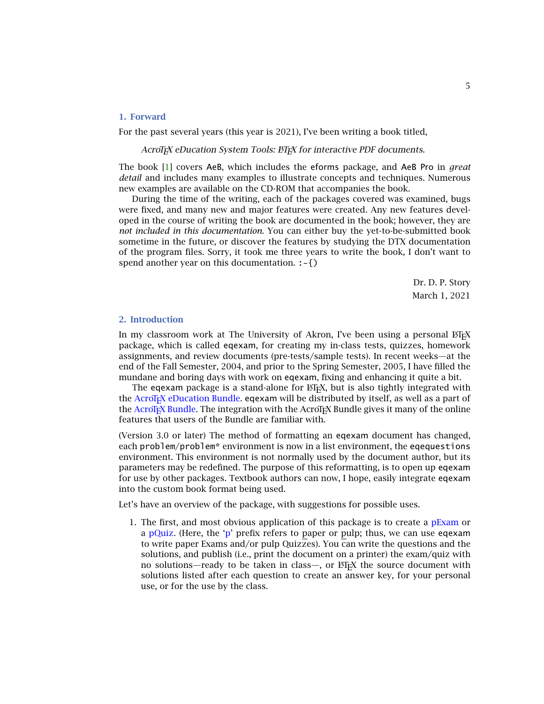5

# <span id="page-4-0"></span>**1. Forward**

For the past several years (this year is 2021), I've been writing a book titled,

AcroT<sub>F</sub>X eDucation System Tools: ET<sub>F</sub>X for interactive PDF documents.

The book [\[1\]](#page-82-0) covers AeB, which includes the eforms package, and AeB Pro in *great detail* and includes many examples to illustrate concepts and techniques. Numerous new examples are available on the CD-ROM that accompanies the book.

During the time of the writing, each of the packages covered was examined, bugs were fixed, and many new and major features were created. Any new features developed in the course of writing the book are documented in the book; however, they are *not included in this documentation*. You can either buy the yet-to-be-submitted book sometime in the future, or discover the features by studying the DTX documentation of the program files. Sorry, it took me three years to write the book, I don't want to spend another year on this documentation. :-{)

> Dr. D. P. Story March 1, 2021

## **2. Introduction**

In my classroom work at The University of Akron, I've been using a personal ETEX package, which is called eqexam, for creating my in-class tests, quizzes, homework assignments, and review documents (pre-tests/sample tests). In recent weeks—at the end of the Fall Semester, 2004, and prior to the Spring Semester, 2005, I have filled the mundane and boring days with work on eqexam, fixing and enhancing it quite a bit.

The eqexam package is a stand-alone for  $ETr[X, b$  but is also tightly integrated with the AcroT<sub>EX</sub> eDucation Bundle. eqexam will be distributed by itself, as well as a part of the AcroT<sub>E</sub>X Bundle. The integration with the AcroT<sub>E</sub>X Bundle gives it many of the online features that users of the Bundle are familiar with.

(Version 3.0 or later) The method of formatting an eqexam document has changed, each problem/problem\* environment is now in a list environment, the eqequestions environment. This environment is not normally used by the document author, but its parameters may be redefined. The purpose of this reformatting, is to open up eqexam for use by other packages. Textbook authors can now, I hope, easily integrate eqexam into the custom book format being used.

Let's have an overview of the package, with suggestions for possible uses.

1. The first, and most obvious application of this package is to create a  $pExam$  or a pQuiz. (Here, the 'p' prefix refers to paper or pulp; thus, we can use eqexam to write paper Exams and/or pulp Quizzes). You can write the questions and the solutions, and publish (i.e., print the document on a printer) the exam/quiz with no solutions—ready to be taken in class—, or  $E\ddot{F}E$  the source document with solutions listed after each question to create an answer key, for your personal use, or for the use by the class.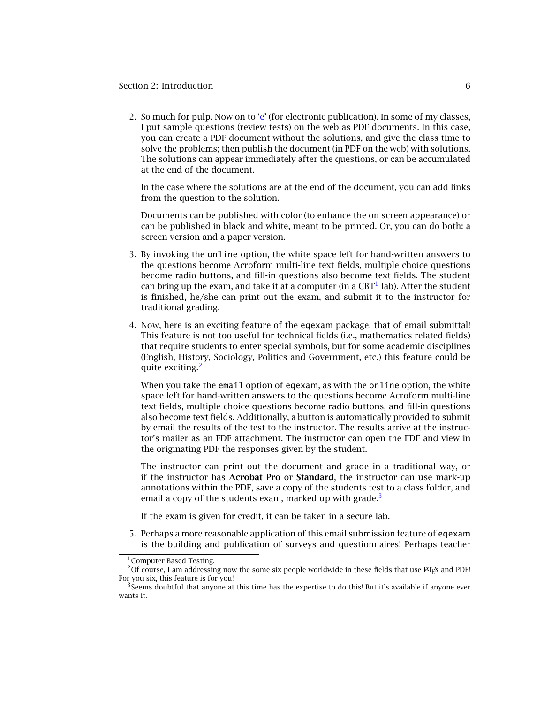## Section 2: Introduction 6

2. So much for pulp. Now on to 'e' (for electronic publication). In some of my classes, I put sample questions (review tests) on the web as PDF documents. In this case, you can create a PDF document without the solutions, and give the class time to solve the problems; then publish the document (in PDF on the web) with solutions. The solutions can appear immediately after the questions, or can be accumulated at the end of the document.

In the case where the solutions are at the end of the document, you can add links from the question to the solution.

Documents can be published with color (to enhance the on screen appearance) or can be published in black and white, meant to be printed. Or, you can do both: a screen version and a paper version.

- 3. By invoking the online option, the white space left for hand-written answers to the questions become Acroform multi-line text fields, multiple choice questions become radio buttons, and fill-in questions also become text fields. The student can bring up the exam, and take it at a computer (in a  $CBT<sup>1</sup>$  lab). After the student is finished, he/she can print out the exam, and submit it to the instructor for traditional grading.
- 4. Now, here is an exciting feature of the eqexam package, that of email submittal! This feature is not too useful for technical fields (i.e., mathematics related fields) that require students to enter special symbols, but for some academic disciplines (English, History, Sociology, Politics and Government, etc.) this feature could be quite exciting.<sup>2</sup>

When you take the email option of eqexam, as with the online option, the white space left for hand-written answers to the questions become Acroform multi-line text fields, multiple choice questions become radio buttons, and fill-in questions also become text fields. Additionally, a button is automatically provided to submit by email the results of the test to the instructor. The results arrive at the instructor's mailer as an FDF attachment. The instructor can open the FDF and view in the originating PDF the responses given by the student.

The instructor can print out the document and grade in a traditional way, or if the instructor has **Acrobat Pro** or **Standard**, the instructor can use mark-up annotations within the PDF, save a copy of the students test to a class folder, and email a copy of the students exam, marked up with grade.<sup>3</sup>

If the exam is given for credit, it can be taken in a secure lab.

5. Perhaps a more reasonable application of this email submission feature of eqexam is the building and publication of surveys and questionnaires! Perhaps teacher

<sup>&</sup>lt;sup>1</sup> Computer Based Testing.

<sup>&</sup>lt;sup>2</sup>Of course, I am addressing now the some six people worldwide in these fields that use  $\mathbb{M}$ <sub>E</sub>X and PDF! For you six, this feature is for you!

 $3$ Seems doubtful that anyone at this time has the expertise to do this! But it's available if anyone ever wants it.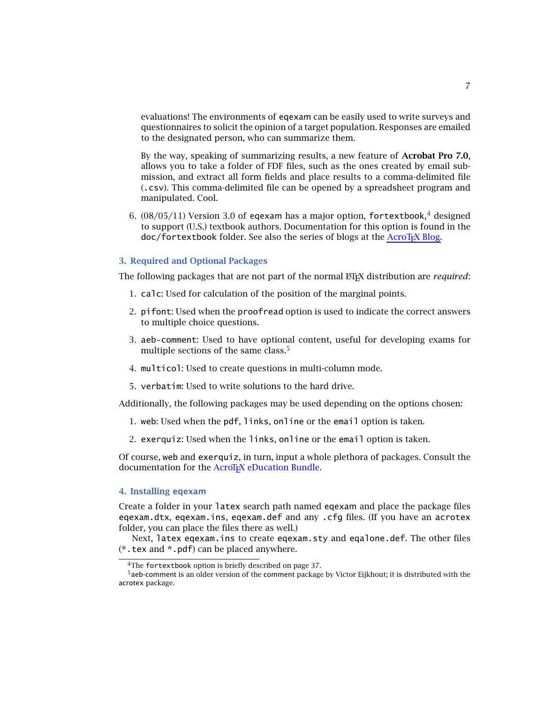<span id="page-6-0"></span>evaluations! The environments of eqexam can be easily used to write surveys and questionnaires to solicit the opinion of a target population. Responses are emailed to the designated person, who can summarize them.

By the way, speaking of summarizing results, a new feature of **Acrobat Pro 7.0**, allows you to take a folder of FDF files, such as the ones created by email submission, and extract all form fields and place results to a comma-delimited file (.csv). This comma-delimited file can be opened by a spreadsheet program and manipulated. Cool.

6.  $(08/05/11)$  Version 3.0 of eqexam has a major option, fortextbook,<sup>4</sup> designed to support (U.S.) textbook authors. Documentation for this option is found in the doc/fortextbook folder. See also the series of blogs at the [AcroTEX Blog.](http://www.acrotex.net/blog/?tag=fortextbook)

#### **3. Required and Optional Packages**

The following packages that are not part of the normal ET<sub>E</sub>X distribution are *required*:

- 1. calc: Used for calculation of the position of the marginal points.
- 2. pifont: Used when the proofread option is used to indicate the correct answers to multiple choice questions.
- 3. aeb-comment: Used to have optional content, useful for developing exams for multiple sections of the same class.<sup>5</sup>
- 4. multicol: Used to create questions in multi-column mode.
- 5. verbatim: Used to write solutions to the hard drive.

Additionally, the following packages may be used depending on the options chosen:

- 1. web: Used when the pdf, links, online or the email option is taken.
- 2. exerquiz: Used when the links, online or the email option is taken.

Of course, web and exerquiz, in turn, input a whole plethora of packages. Consult the documentation for the AcroT<sub>E</sub>X eDucation Bundle.

## **4. Installing eqexam**

Create a folder in your latex search path named eqexam and place the package files eqexam.dtx, eqexam.ins, eqexam.def and any .cfg files. (If you have an acrotex folder, you can place the files there as well.)

Next, latex eqexam.ins to create eqexam.sty and eqalone.def. The other files (\*.tex and \*.pdf) can be placed anywhere.

7

<sup>&</sup>lt;sup>4</sup>The fortextbook option is briefly described on page 37.

<sup>5</sup>aeb-comment is an older version of the comment package by Victor Eijkhout; it is distributed with the acrotex package.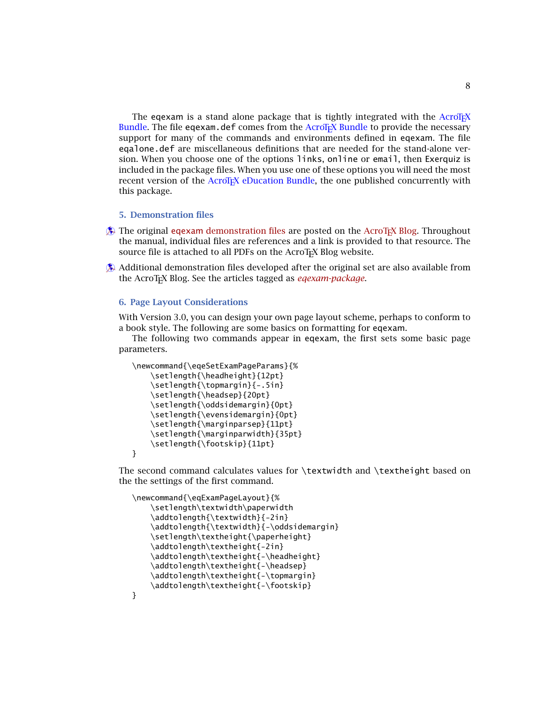8

<span id="page-7-0"></span>The eqexam is a stand alone package that is tightly integrated with the  $AcroTeX$ Bundle. The file eqexam.def comes from the AcroTEX Bundle to provide the necessary support for many of the commands and environments defined in eqexam. The file eqalone.def are miscellaneous definitions that are needed for the stand-alone version. When you choose one of the options links, online or email, then Exerquiz is included in the package files. When you use one of these options you will need the most recent version of the AcroT<sub>E</sub>X eDucation Bundle, the one published concurrently with this package.

# **5. Demonstration files**

- $\hat{\mathbf{A}}$  The original eqexam [demonstration files](http://www.acrotex.net/blog/?cat=107) are posted on the [AcroTEX Blog.](http://www.acrotex.net/blog/) Throughout the manual, individual files are references and a link is provided to that resource. The source file is attached to all PDFs on the AcroTEX Blog website.
- $\hat{\mathbf{B}}$  Additional demonstration files developed after the original set are also available from the AcroTEX Blog. See the articles tagged as *[eqexam-package](http://www.acrotex.net/blog/?tag=eqexam-package)*.

# **6. Page Layout Considerations**

With Version 3.0, you can design your own page layout scheme, perhaps to conform to a book style. The following are some basics on formatting for eqexam.

The following two commands appear in eqexam, the first sets some basic page parameters.

```
\newcommand{\eqeSetExamPageParams}{%
    \setlength{\headheight}{12pt}
    \setlength{\topmargin}{-.5in}
    \setlength{\headsep}{20pt}
    \setlength{\oddsidemargin}{0pt}
    \setlength{\evensidemargin}{0pt}
    \setlength{\marginparsep}{11pt}
    \setlength{\marginparwidth}{35pt}
    \setlength{\footskip}{11pt}
}
```
The second command calculates values for \textwidth and \textheight based on the the settings of the first command.

```
\newcommand{\eqExamPageLayout}{%
    \setlength\textwidth\paperwidth
    \addtolength{\textwidth}{-2in}
    \addtolength{\textwidth}{-\oddsidemargin}
    \setlength\textheight{\paperheight}
    \addtolength\textheight{-2in}
    \addtolength\textheight{-\headheight}
    \addtolength\textheight{-\headsep}
    \addtolength\textheight{-\topmargin}
    \addtolength\textheight{-\footskip}
```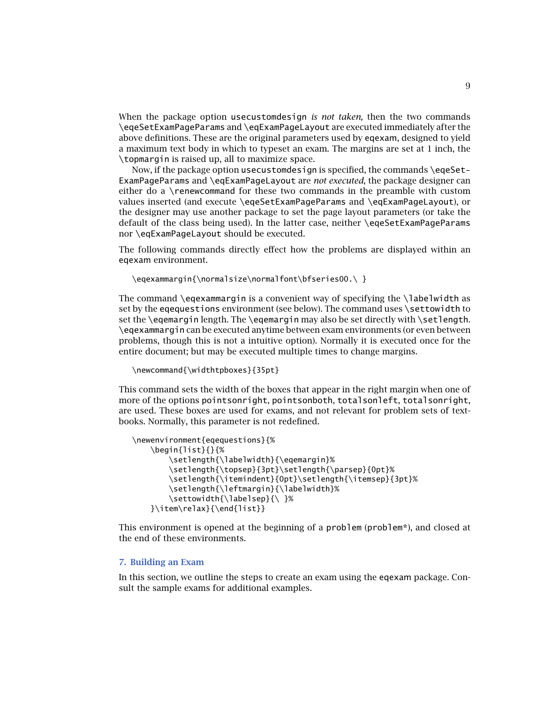<span id="page-8-0"></span>When the package option usecustomdesign *is not taken,* then the two commands \eqeSetExamPageParams and \eqExamPageLayout are executed immediately after the above definitions. These are the original parameters used by eqexam, designed to yield a maximum text body in which to typeset an exam. The margins are set at 1 inch, the \topmargin is raised up, all to maximize space.

Now, if the package option usecustomdesign is specified, the commands \eqeSet-ExamPageParams and \eqExamPageLayout are *not executed*, the package designer can either do a \renewcommand for these two commands in the preamble with custom values inserted (and execute \eqeSetExamPageParams and \eqExamPageLayout), or the designer may use another package to set the page layout parameters (or take the default of the class being used). In the latter case, neither \eqeSetExamPageParams nor \eqExamPageLayout should be executed.

The following commands directly effect how the problems are displayed within an eqexam environment.

```
\eqexammargin{\normalsize\normalfont\bfseries00.\ }
```
The command \eqexammargin is a convenient way of specifying the \labelwidth as set by the eqequestions environment (see below). The command uses \settowidth to set the \eqemargin length. The \eqemargin may also be set directly with \setlength. \eqexammargin can be executed anytime between exam environments (or even between problems, though this is not a intuitive option). Normally it is executed once for the entire document; but may be executed multiple times to change margins.

```
\newcommand{\widthtpboxes}{35pt}
```
This command sets the width of the boxes that appear in the right margin when one of more of the options pointsonright, pointsonboth, totalsonleft, totalsonright, are used. These boxes are used for exams, and not relevant for problem sets of textbooks. Normally, this parameter is not redefined.

```
\newenvironment{eqequestions}{%
    \begin{list}{}{%
        \setlength{\labelwidth}{\eqemargin}%
        \setlength{\topsep}{3pt}\setlength{\parsep}{0pt}%
        \setlength{\itemindent}{0pt}\setlength{\itemsep}{3pt}%
        \setlength{\leftmargin}{\labelwidth}%
        \settowidth{\labelsep}{\ }%
    }\item\relax}{\end{list}}
```
This environment is opened at the beginning of a problem (problem\*), and closed at the end of these environments.

## **7. Building an Exam**

In this section, we outline the steps to create an exam using the eqexam package. Consult the sample exams for additional examples.

9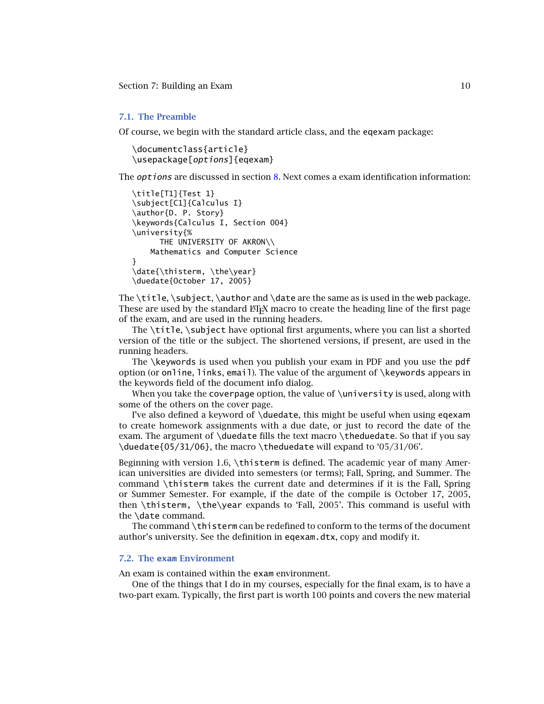## <span id="page-9-0"></span>**7.1. The Preamble**

Of course, we begin with the standard article class, and the eqexam package:

\documentclass{article} \usepackage[options]{eqexam}

The *options* are discussed in section [8.](#page-31-0) Next comes a exam identification information:

```
\title[T1]{Test 1}
\subject[C1]{Calculus I}
\author{D. P. Story}
\keywords{Calculus I, Section 004}
\university{%
      THE UNIVERSITY OF AKRON\\
    Mathematics and Computer Science
}
\date{\thisterm, \the\year}
\duedate{October 17, 2005}
```
The \title, \subject, \author and \date are the same as is used in the web package. These are used by the standard ETEX macro to create the heading line of the first page of the exam, and are used in the running headers.

The \title, \subject have optional first arguments, where you can list a shorted version of the title or the subject. The shortened versions, if present, are used in the running headers.

The \keywords is used when you publish your exam in PDF and you use the pdf option (or online, links, email). The value of the argument of \keywords appears in the keywords field of the document info dialog.

When you take the coverpage option, the value of \university is used, along with some of the others on the cover page.

I've also defined a keyword of \duedate, this might be useful when using eqexam to create homework assignments with a due date, or just to record the date of the exam. The argument of \duedate fills the text macro \theduedate. So that if you say \duedate{05/31/06}, the macro \theduedate will expand to '05/31/06'.

Beginning with version 1.6, \thisterm is defined. The academic year of many American universities are divided into semesters (or terms); Fall, Spring, and Summer. The command \thisterm takes the current date and determines if it is the Fall, Spring or Summer Semester. For example, if the date of the compile is October 17, 2005, then \thisterm, \the\year expands to 'Fall, 2005'. This command is useful with the \date command.

The command \thisterm can be redefined to conform to the terms of the document author's university. See the definition in eqexam.dtx, copy and modify it.

#### **7.2. The exam Environment**

An exam is contained within the exam environment.

One of the things that I do in my courses, especially for the final exam, is to have a two-part exam. Typically, the first part is worth 100 points and covers the new material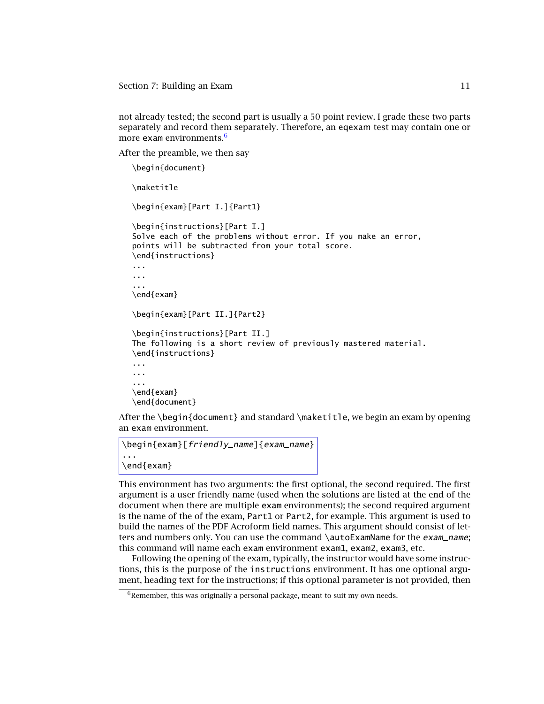not already tested; the second part is usually a 50 point review. I grade these two parts separately and record them separately. Therefore, an eqexam test may contain one or more exam environments. $6$ 

After the preamble, we then say

```
\begin{document}
```
\maketitle

```
\begin{exam}[Part I.]{Part1}
```

```
\begin{instructions}[Part I.]
Solve each of the problems without error. If you make an error,
points will be subtracted from your total score.
\end{instructions}
...
...
...
\end{exam}
\begin{exam}[Part II.]{Part2}
\begin{instructions}[Part II.]
The following is a short review of previously mastered material.
```

```
\end{instructions}
...
...
...
\end{exam}
\end{document}
```
After the \begin{document} and standard \maketitle, we begin an exam by opening an exam environment.

```
\begin{exam}[friendly_name]{exam_name}
...
\end{exam}
```
This environment has two arguments: the first optional, the second required. The first argument is a user friendly name (used when the solutions are listed at the end of the document when there are multiple exam environments); the second required argument is the name of the of the exam, Part1 or Part2, for example. This argument is used to build the names of the PDF Acroform field names. This argument should consist of letters and numbers only. You can use the command \autoExamName for the *exam\_name*; this command will name each exam environment exam1, exam2, exam3, etc.

Following the opening of the exam, typically, the instructor would have some instructions, this is the purpose of the instructions environment. It has one optional argument, heading text for the instructions; if this optional parameter is not provided, then

 $6R$ emember, this was originally a personal package, meant to suit my own needs.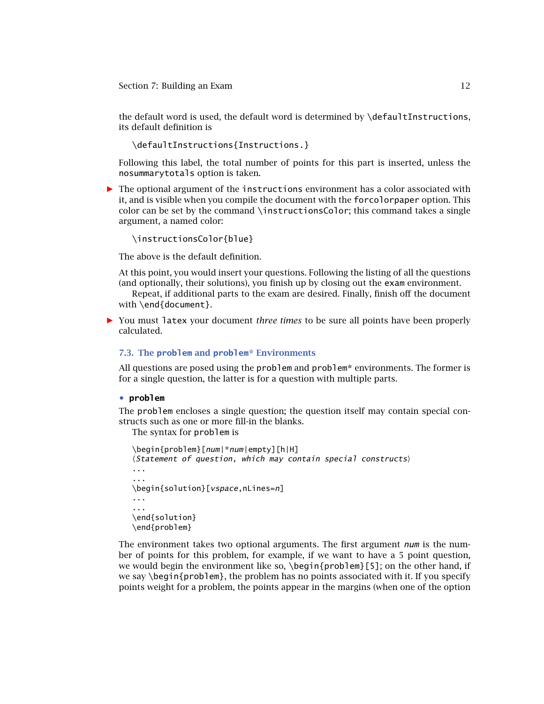<span id="page-11-0"></span>the default word is used, the default word is determined by \defaultInstructions, its default definition is

\defaultInstructions{Instructions.}

Following this label, the total number of points for this part is inserted, unless the nosummarytotals option is taken.

*-* The optional argument of the instructions environment has a color associated with it, and is visible when you compile the document with the forcolorpaper option. This color can be set by the command \instructionsColor; this command takes a single argument, a named color:

\instructionsColor{blue}

The above is the default definition.

At this point, you would insert your questions. Following the listing of all the questions (and optionally, their solutions), you finish up by closing out the exam environment.

Repeat, if additional parts to the exam are desired. Finally, finish off the document with \end{document}.

*-* You must latex your document *three times* to be sure all points have been properly calculated.

#### **7.3. The problem and problem\* Environments**

All questions are posed using the problem and problem\* environments. The former is for a single question, the latter is for a question with multiple parts.

#### • **problem**

The problem encloses a single question; the question itself may contain special constructs such as one or more fill-in the blanks.

The syntax for problem is

```
\begin{problem}[num|*num|empty][h|H]
\langleStatement of question, which may contain special constructs\rangle...
...
\begin{solution}[vspace,nLines=n]
...
...
\end{solution}
\end{problem}
```
The environment takes two optional arguments. The first argument  $num$  is the number of points for this problem, for example, if we want to have a 5 point question, we would begin the environment like so,  $\beta$  begin{problem}[5]; on the other hand, if we say  $\beta$  begin{problem}, the problem has no points associated with it. If you specify points weight for a problem, the points appear in the margins (when one of the option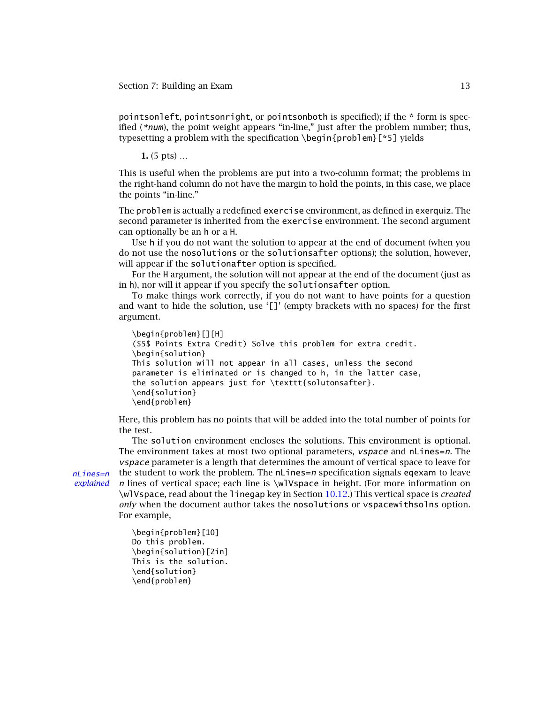pointsonleft, pointsonright, or pointsonboth is specified); if the \* form is specified (\*num), the point weight appears "in-line," just after the problem number; thus, typesetting a problem with the specification \begin{problem}[\*5] yields

**1.** (5 pts) …

This is useful when the problems are put into a two-column format; the problems in the right-hand column do not have the margin to hold the points, in this case, we place the points "in-line."

The problem is actually a redefined exercise environment, as defined in exerquiz. The second parameter is inherited from the exercise environment. The second argument can optionally be an h or a H.

Use h if you do not want the solution to appear at the end of document (when you do not use the nosolutions or the solutionsafter options); the solution, however, will appear if the solutionafter option is specified.

For the H argument, the solution will not appear at the end of the document (just as in h), nor will it appear if you specify the solutionsafter option.

To make things work correctly, if you do not want to have points for a question and want to hide the solution, use '[]' (empty brackets with no spaces) for the first argument.

```
\begin{problem}[][H]
($5$ Points Extra Credit) Solve this problem for extra credit.
\begin{solution}
This solution will not appear in all cases, unless the second
parameter is eliminated or is changed to h, in the latter case,
the solution appears just for \texttt{solutonsafter}.
\end{solution}
\end{problem}
```
Here, this problem has no points that will be added into the total number of points for the test.

The solution environment encloses the solutions. This environment is optional. The environment takes at most two optional parameters, *vspace* and nLines=n. The vspace parameter is a length that determines the amount of vertical space to leave for  $nLines=n$  the student to work the problem. The  $nLines=n$  specification signals eqexam to leave *explained* n lines of vertical space; each line is \wlVspace in height. (For more information on \wlVspace, read about the linegap key in Section [10.12.](#page-71-0)) This vertical space is *created only* when the document author takes the nosolutions or vspacewithsolns option. For example,

```
\begin{problem}[10]
Do this problem.
\begin{solution}[2in]
This is the solution.
\end{solution}
\end{problem}
```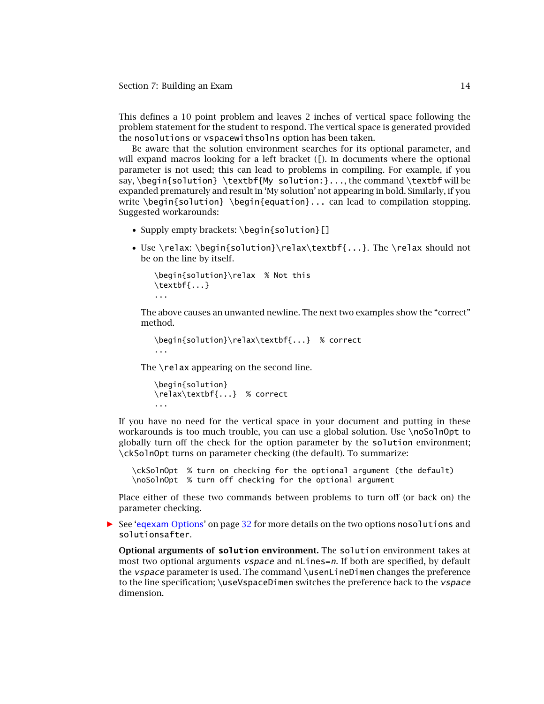This defines a 10 point problem and leaves 2 inches of vertical space following the problem statement for the student to respond. The vertical space is generated provided the nosolutions or vspacewithsolns option has been taken.

Be aware that the solution environment searches for its optional parameter, and will expand macros looking for a left bracket ([). In documents where the optional parameter is not used; this can lead to problems in compiling. For example, if you say, \begin{solution} \textbf{My solution:}..., the command \textbf will be expanded prematurely and result in 'My solution' not appearing in bold. Similarly, if you write  $\begin{bmatrix} \beta \end{bmatrix} \begin{bmatrix} -\alpha & -\alpha & -\alpha \\ -\alpha & \alpha & \alpha \end{bmatrix}$ Suggested workarounds:

- Supply empty brackets: \begin{solution}[]
- Use \relax: \begin{solution}\relax\textbf{...}. The \relax should not be on the line by itself.

```
\begin{solution}\relax % Not this
\textbf{...}
...
```
The above causes an unwanted newline. The next two examples show the "correct" method.

```
\begin{solution}\relax\textbf{...} % correct
...
```
The \relax appearing on the second line.

```
\begin{solution}
\relax\textbf{...} % correct
...
```
If you have no need for the vertical space in your document and putting in these workarounds is too much trouble, you can use a global solution. Use \noSolnOpt to globally turn off the check for the option parameter by the solution environment; \ckSolnOpt turns on parameter checking (the default). To summarize:

```
\ckSolnOpt % turn on checking for the optional argument (the default)
\noSolnOpt % turn off checking for the optional argument
```
Place either of these two commands between problems to turn off (or back on) the parameter checking.

**•** See 'eqexam [Options'](#page-31-0) on page [32](#page-31-0) for more details on the two options nosolutions and solutionsafter.

**Optional arguments of solution environment.** The solution environment takes at most two optional arguments *vspace* and nLines=n. If both are specified, by default the *vspace* parameter is used. The command \usenLineDimen changes the preference to the line specification; \useVspaceDimen switches the preference back to the *vspace* dimension.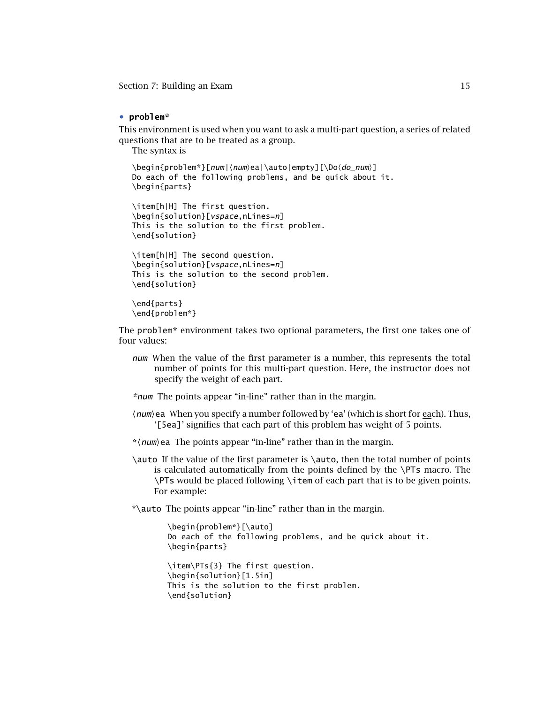# <span id="page-14-0"></span>• **problem\***

This environment is used when you want to ask a multi-part question, a series of related questions that are to be treated as a group.

The syntax is

```
\begin{problem*}[num|\num\ea|\auto|empty][\Do\do_num\]
Do each of the following problems, and be quick about it.
\begin{parts}
```
\item[h|H] The first question. \begin{solution}[vspace,nLines=n] This is the solution to the first problem. \end{solution}

```
\item[h|H] The second question.
\begin{solution}[vspace,nLines=n]
This is the solution to the second problem.
\end{solution}
```

```
\end{parts}
\end{problem*}
```
The problem\* environment takes two optional parameters, the first one takes one of four values:

num When the value of the first parameter is a number, this represents the total number of points for this multi-part question. Here, the instructor does not specify the weight of each part.

\*num The points appear "in-line" rather than in the margin.

- $\langle$ *num* $\rangle$ ea When you specify a number followed by 'ea' (which is short for <u>ea</u>ch). Thus, '[5ea]' signifies that each part of this problem has weight of 5 points.
- \*/*num*/ea The points appear "in-line" rather than in the margin.
- \auto If the value of the first parameter is \auto, then the total number of points is calculated automatically from the points defined by the \PTs macro. The \PTs would be placed following \item of each part that is to be given points. For example:

\*\auto The points appear "in-line" rather than in the margin.

```
\begin{problem*}[\auto]
Do each of the following problems, and be quick about it.
\begin{parts}
```

```
\item\PTs{3} The first question.
\begin{solution}[1.5in]
This is the solution to the first problem.
\end{solution}
```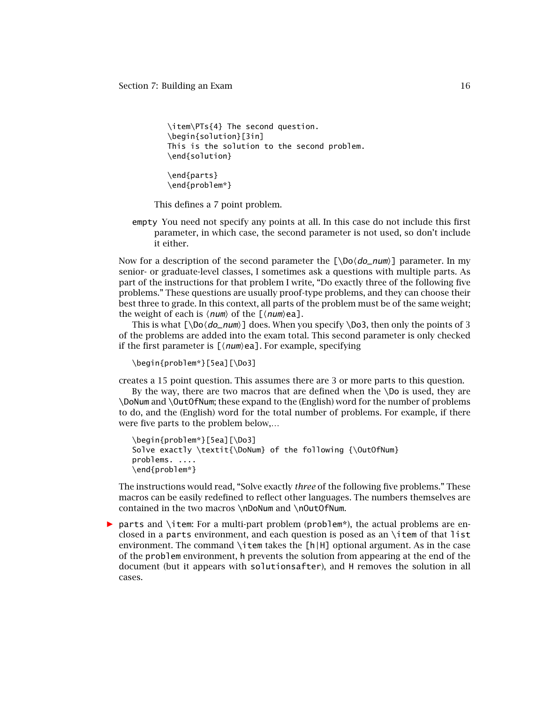```
\item\PTs{4} The second question.
\begin{solution}[3in]
This is the solution to the second problem.
\end{solution}
```

```
\end{parts}
\end{problem*}
```
This defines a 7 point problem.

empty You need not specify any points at all. In this case do not include this first parameter, in which case, the second parameter is not used, so don't include it either.

Now for a description of the second parameter the [\Do(*do\_num*)] parameter. In my senior- or graduate-level classes, I sometimes ask a questions with multiple parts. As part of the instructions for that problem I write, "Do exactly three of the following five problems." These questions are usually proof-type problems, and they can choose their best three to grade. In this context, all parts of the problem must be of the same weight; the weight of each is  $\langle num \rangle$  of the  $[\langle num \rangle$ ea].

This is what  $[\D{oo\, *do_num*}]$  does. When you specify  $\D{so3}$ , then only the points of 3 of the problems are added into the exam total. This second parameter is only checked if the first parameter is  $\llbracket \langle \textit{num} \rangle$ ea]. For example, specifying

\begin{problem\*}[5ea][\Do3]

creates a 15 point question. This assumes there are 3 or more parts to this question.

By the way, there are two macros that are defined when the \Do is used, they are \DoNum and \OutOfNum; these expand to the (English) word for the number of problems to do, and the (English) word for the total number of problems. For example, if there were five parts to the problem below,…

```
\begin{problem*}[5ea][\Do3]
Solve exactly \textit{\DoNum} of the following {\OutOfNum}
problems. ....
\end{problem*}
```
The instructions would read, "Solve exactly *three* of the following five problems." These macros can be easily redefined to reflect other languages. The numbers themselves are contained in the two macros \nDoNum and \nOutOfNum.

**•** parts and \item: For a multi-part problem (problem\*), the actual problems are enclosed in a parts environment, and each question is posed as an \item of that list environment. The command  $\iota$  tem takes the [h|H] optional argument. As in the case of the problem environment, h prevents the solution from appearing at the end of the document (but it appears with solutionsafter), and H removes the solution in all cases.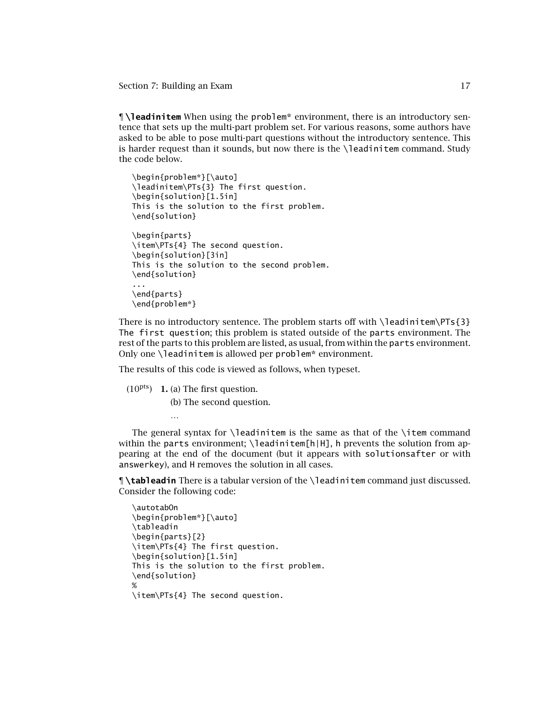<span id="page-16-0"></span>**¶ \leadinitem** When using the problem\* environment, there is an introductory sentence that sets up the multi-part problem set. For various reasons, some authors have asked to be able to pose multi-part questions without the introductory sentence. This is harder request than it sounds, but now there is the  $\lambda$  eadinitem command. Study the code below.

```
\begin{problem*}[\auto]
\leadinitem\PTs{3} The first question.
\begin{solution}[1.5in]
This is the solution to the first problem.
\end{solution}
\begin{parts}
\item\PTs{4} The second question.
\begin{solution}[3in]
This is the solution to the second problem.
\end{solution}
...
\end{parts}
\end{problem*}
```
There is no introductory sentence. The problem starts off with  $\leq$  and  $\text{Per}_S$  {3} The first question; this problem is stated outside of the parts environment. The rest of the parts to this problem are listed, as usual, from within the parts environment. Only one \leadinitem is allowed per problem\* environment.

The results of this code is viewed as follows, when typeset.

(10pts) **1.** (a) The first question.

(b) The second question.

The general syntax for \leadinitem is the same as that of the \item command within the parts environment;  $\leq$  and  $\ln$   $\ln$ , h prevents the solution from appearing at the end of the document (but it appears with solutionsafter or with answerkey), and H removes the solution in all cases.

**¶ \tableadin** There is a tabular version of the \leadinitem command just discussed. Consider the following code:

```
\autotabOn
\begin{problem*}[\auto]
\tableadin
\begin{parts}[2}
\item\PTs{4} The first question.
\begin{solution}[1.5in]
This is the solution to the first problem.
\end{solution}
%
\item\PTs{4} The second question.
```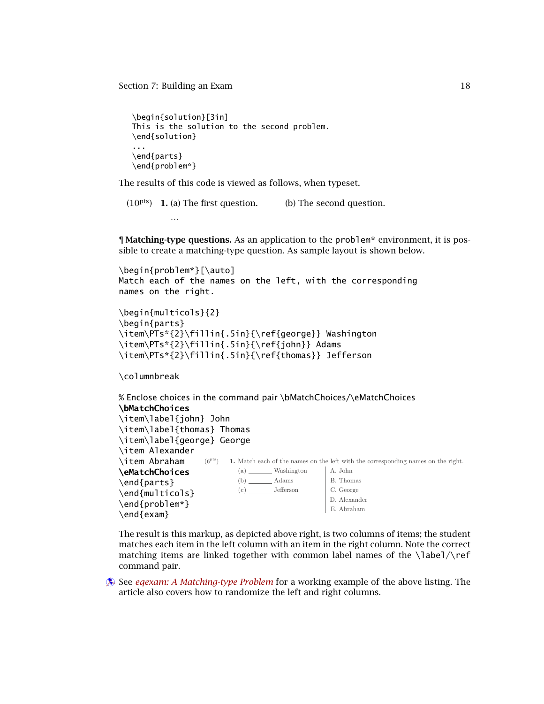```
\begin{solution}[3in]
This is the solution to the second problem.
\end{solution}
...
\end{parts}
\end{problem*}
```
The results of this code is viewed as follows, when typeset.

(10pts) **1.** (a) The first question. (b) The second question.

**¶ Matching-type questions.** As an application to the problem\* environment, it is possible to create a matching-type question. As sample layout is shown below.

```
\begin{problem*}[\auto]
Match each of the names on the left, with the corresponding
names on the right.
```

```
\begin{multicols}{2}
\begin{parts}
\item\PTs*{2}\fillin{.5in}{\ref{george}} Washington
\item\PTs*{2}\fillin{.5in}{\ref{john}} Adams
\item\PTs*{2}\fillin{.5in}{\ref{thomas}} Jefferson
```
\columnbreak

```
% Enclose choices in the command pair \bMatchChoices/\eMatchChoices
\bMatchChoices
\item\label{john} John
\item\label{thomas} Thomas
\item\label{george} George
                   (6<sup>pts</sup>) 1. Match each of the names on the left with the corresponding names on the right.
                            (a) Washington
A. John
                            (b) Adams
                            (c) Jefferson
                                                 B. Thomas
                                                 C. George
                                                 D. Alexander
                                                E. Abraham
\item Alexander
\item Abraham
\eMatchChoices
\end{parts}
\end{multicols}
\end{problem*}
\end{exam}
```
The result is this markup, as depicted above right, is two columns of items; the student matches each item in the left column with an item in the right column. Note the correct matching items are linked together with common label names of the  $\lambda$ abel $\Lambda$ ref command pair.

**Example 2.5 See** *egexam: A Matching-type Problem* **for a working example of the above listing. The** article also covers how to randomize the left and right columns.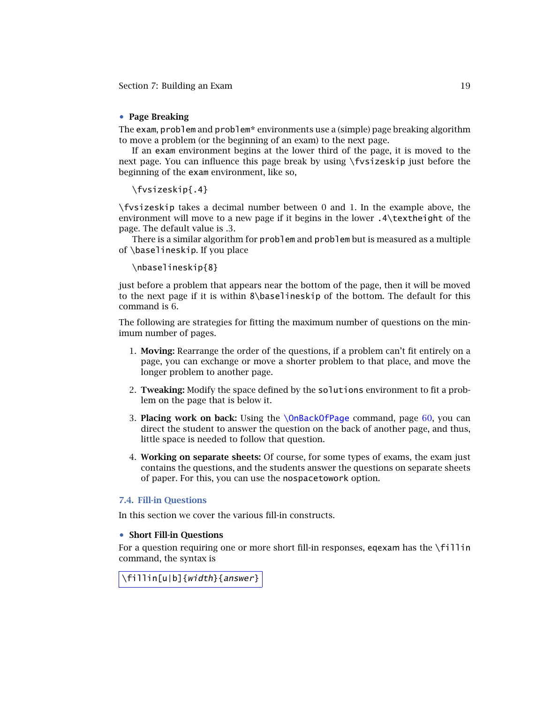# <span id="page-18-0"></span>• **Page Breaking**

The exam, problem and problem\* environments use a (simple) page breaking algorithm to move a problem (or the beginning of an exam) to the next page.

If an exam environment begins at the lower third of the page, it is moved to the next page. You can influence this page break by using \fvsizeskip just before the beginning of the exam environment, like so,

\fvsizeskip{.4}

\fvsizeskip takes a decimal number between 0 and 1. In the example above, the environment will move to a new page if it begins in the lower .4\textheight of the page. The default value is *.*3.

There is a similar algorithm for problem and problem but is measured as a multiple of \baselineskip. If you place

## \nbaselineskip{8}

just before a problem that appears near the bottom of the page, then it will be moved to the next page if it is within 8\baselineskip of the bottom. The default for this command is 6.

The following are strategies for fitting the maximum number of questions on the minimum number of pages.

- 1. **Moving:** Rearrange the order of the questions, if a problem can't fit entirely on a page, you can exchange or move a shorter problem to that place, and move the longer problem to another page.
- 2. **Tweaking:** Modify the space defined by the solutions environment to fit a problem on the page that is below it.
- 3. **Placing work on back:** Using the [\OnBackOfPage](#page-59-0) command, page [60,](#page-59-0) you can direct the student to answer the question on the back of another page, and thus, little space is needed to follow that question.
- 4. **Working on separate sheets:** Of course, for some types of exams, the exam just contains the questions, and the students answer the questions on separate sheets of paper. For this, you can use the nospacetowork option.

## **7.4. Fill-in Questions**

In this section we cover the various fill-in constructs.

# • **Short Fill-in Questions**

For a question requiring one or more short fill-in responses, eqexam has the \fillin command, the syntax is

\fillin[u|b]{width}{answer}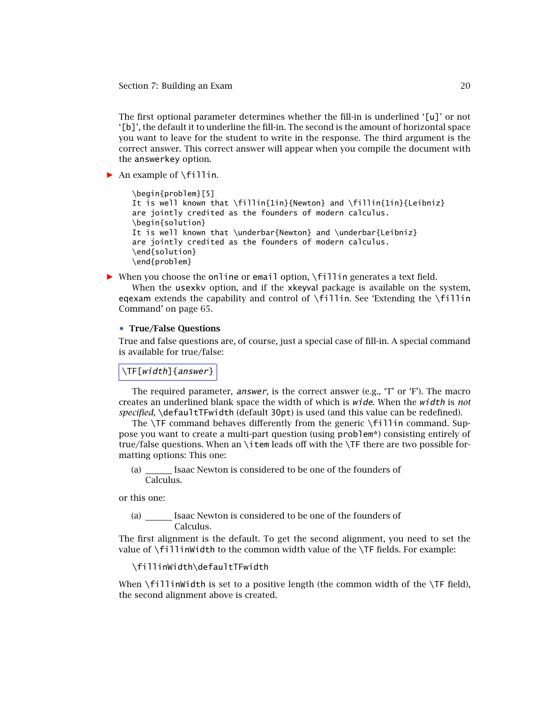<span id="page-19-0"></span>The first optional parameter determines whether the fill-in is underlined '[u]' or not '[b]', the default it to underline the fill-in. The second is the amount of horizontal space you want to leave for the student to write in the response. The third argument is the correct answer. This correct answer will appear when you compile the document with the answerkey option.

*-* An example of \fillin.

```
\begin{problem}[5]
It is well known that \fillin{1in}{Newton} and \fillin{1in}{Leibniz}
are jointly credited as the founders of modern calculus.
\begin{solution}
It is well known that \underbar{Newton} and \underbar{Leibniz}
are jointly credited as the founders of modern calculus.
\end{solution}
\end{problem}
```
*-* When you choose the online or email option, \fillin generates a text field.

When the usexkv option, and if the xkeyval package is available on the system, eqexam extends the capability and control of  $\frown$ fillin. See 'Extending the  $\frown$ fillin Command' on page 65.

#### • **True/False Questions**

True and false questions are, of course, just a special case of fill-in. A special command is available for true/false:

\TF[width]{answer}

The required parameter, answer, is the correct answer (e.g., 'T' or 'F'). The macro creates an underlined blank space the width of which is wide. When the width is *not specified*, \defaultTFwidth (default 30pt) is used (and this value can be redefined).

The \TF command behaves differently from the generic \fillin command. Suppose you want to create a multi-part question (using problem\*) consisting entirely of true/false questions. When an \item leads off with the \TF there are two possible formatting options: This one:

(a) Isaac Newton is considered to be one of the founders of Calculus.

or this one:

(a) \_\_\_\_\_\_\_ Isaac Newton is considered to be one of the founders of Calculus.

The first alignment is the default. To get the second alignment, you need to set the value of \fillinWidth to the common width value of the \TF fields. For example:

\fillinWidth\defaultTFwidth

When  $\forall$ fillinWidth is set to a positive length (the common width of the  $\forall$ F field), the second alignment above is created.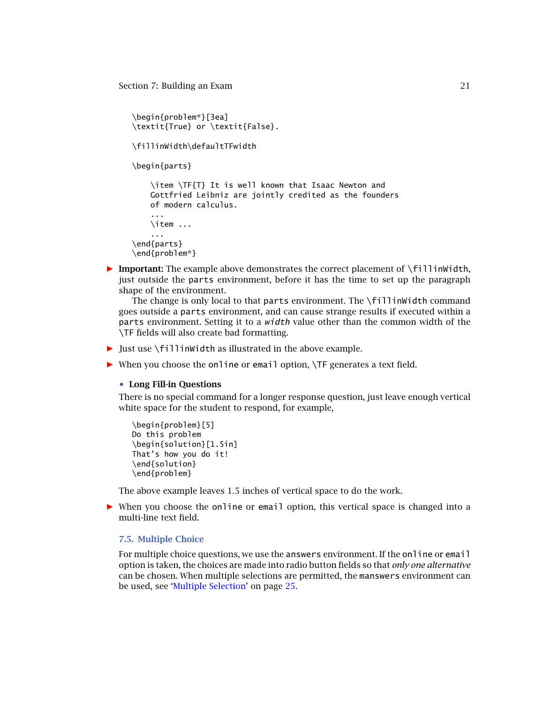```
\begin{problem*}[3ea]
\textit{True} or \textit{False}.
```
\fillinWidth\defaultTFwidth

\begin{parts}

\item \TF{T} It is well known that Isaac Newton and Gottfried Leibniz are jointly credited as the founders of modern calculus.

```
...
    \item ...
    ...
\end{parts}
```
\end{problem\*}

**• Important:** The example above demonstrates the correct placement of \fillinWidth, just outside the parts environment, before it has the time to set up the paragraph shape of the environment.

The change is only local to that parts environment. The \fillinWidth command goes outside a parts environment, and can cause strange results if executed within a parts environment. Setting it to a width value other than the common width of the \TF fields will also create bad formatting.

- *-* Just use \fillinWidth as illustrated in the above example.
- *-* When you choose the online or email option, \TF generates a text field.

#### • **Long Fill-in Questions**

There is no special command for a longer response question, just leave enough vertical white space for the student to respond, for example,

```
\begin{problem}[5]
Do this problem
\begin{solution}[1.5in]
That's how you do it!
\end{solution}
\end{problem}
```
The above example leaves 1*.*5 inches of vertical space to do the work.

• When you choose the online or email option, this vertical space is changed into a multi-line text field.

## **7.5. Multiple Choice**

For multiple choice questions, we use the answers environment. If the online or email option is taken, the choices are made into radio button fields so that *only one alternative* can be chosen. When multiple selections are permitted, the manswers environment can be used, see ['Multiple Selection'](#page-24-0) on page [25.](#page-24-0)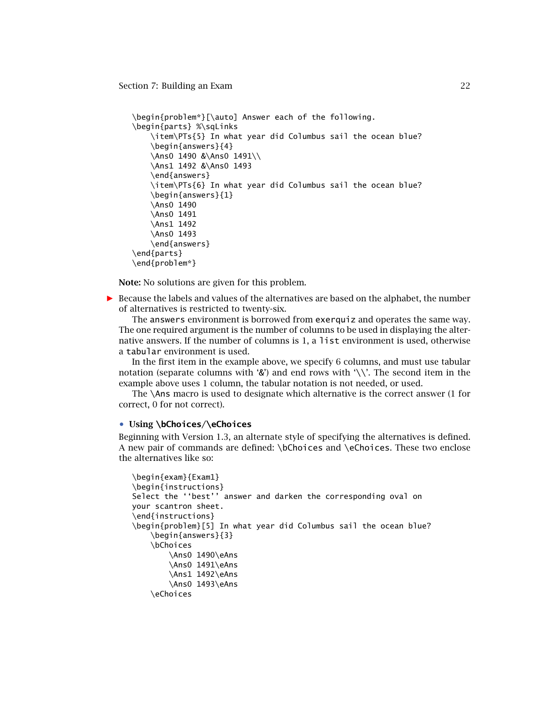```
\begin{problem*}[\auto] Answer each of the following.
\begin{parts} %\sqLinks
    \item\PTs{5} In what year did Columbus sail the ocean blue?
    \begin{answers}{4}
    \Ans0 1490 &\Ans0 1491\\
    \Ans1 1492 &\Ans0 1493
    \end{answers}
    \item\PTs{6} In what year did Columbus sail the ocean blue?
    \begin{answers}{1}
    \Ans0 1490
    \Ans0 1491
    \Ans1 1492
    \Ans0 1493
    \end{answers}
\end{parts}
\end{problem*}
```
**Note:** No solutions are given for this problem.

**•** Because the labels and values of the alternatives are based on the alphabet, the number of alternatives is restricted to twenty-six.

The answers environment is borrowed from exerquiz and operates the same way. The one required argument is the number of columns to be used in displaying the alternative answers. If the number of columns is 1, a list environment is used, otherwise a tabular environment is used.

In the first item in the example above, we specify 6 columns, and must use tabular notation (separate columns with '&') and end rows with '\\'. The second item in the example above uses 1 column, the tabular notation is not needed, or used.

The \Ans macro is used to designate which alternative is the correct answer (1 for correct, 0 for not correct).

## • **Using \bChoices/\eChoices**

Beginning with Version 1.3, an alternate style of specifying the alternatives is defined. A new pair of commands are defined: \bChoices and \eChoices. These two enclose the alternatives like so:

```
\begin{exam}{Exam1}
\begin{instructions}
Select the ''best'' answer and darken the corresponding oval on
your scantron sheet.
\end{instructions}
\begin{problem}[5] In what year did Columbus sail the ocean blue?
    \begin{answers}{3}
    \bChoices
        \Ans0 1490\eAns
        \Ans0 1491\eAns
        \Ans1 1492\eAns
        \Ans0 1493\eAns
    \eChoices
```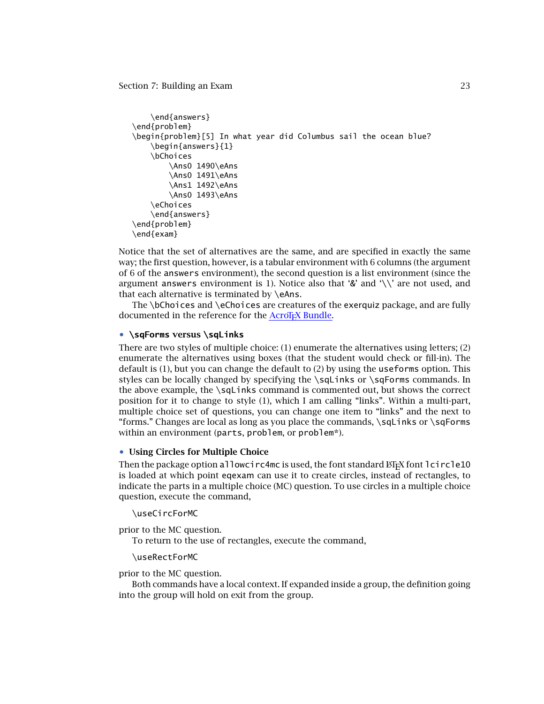```
\end{answers}
\end{problem}
\begin{problem}[5] In what year did Columbus sail the ocean blue?
    \begin{answers}{1}
    \bChoices
        \Ans0 1490\eAns
        \Ans0 1491\eAns
        \Ans1 1492\eAns
        \Ans0 1493\eAns
    \eChoices
    \end{answers}
\end{problem}
\end{exam}
```
Notice that the set of alternatives are the same, and are specified in exactly the same way; the first question, however, is a tabular environment with 6 columns (the argument of 6 of the answers environment), the second question is a list environment (since the argument answers environment is 1). Notice also that '&' and '\\' are not used, and that each alternative is terminated by \eAns.

The \bChoices and \eChoices are creatures of the exerquiz package, and are fully documented in the reference for the AcroT<sub>E</sub>X Bundle.

# • **\sqForms versus \sqLinks**

There are two styles of multiple choice: (1) enumerate the alternatives using letters; (2) enumerate the alternatives using boxes (that the student would check or fill-in). The default is (1), but you can change the default to (2) by using the useforms option. This styles can be locally changed by specifying the \sqLinks or \sqForms commands. In the above example, the \sqLinks command is commented out, but shows the correct position for it to change to style (1), which I am calling "links". Within a multi-part, multiple choice set of questions, you can change one item to "links" and the next to "forms." Changes are local as long as you place the commands, \sqLinks or \sqForms within an environment (parts, problem, or problem\*).

# • **Using Circles for Multiple Choice**

Then the package option allowcirc4mc is used, the font standard  $E$ F<sub>K</sub>X font lcircle10 is loaded at which point eqexam can use it to create circles, instead of rectangles, to indicate the parts in a multiple choice (MC) question. To use circles in a multiple choice question, execute the command,

## \useCircForMC

prior to the MC question.

To return to the use of rectangles, execute the command,

#### \useRectForMC

prior to the MC question.

Both commands have a local context. If expanded inside a group, the definition going into the group will hold on exit from the group.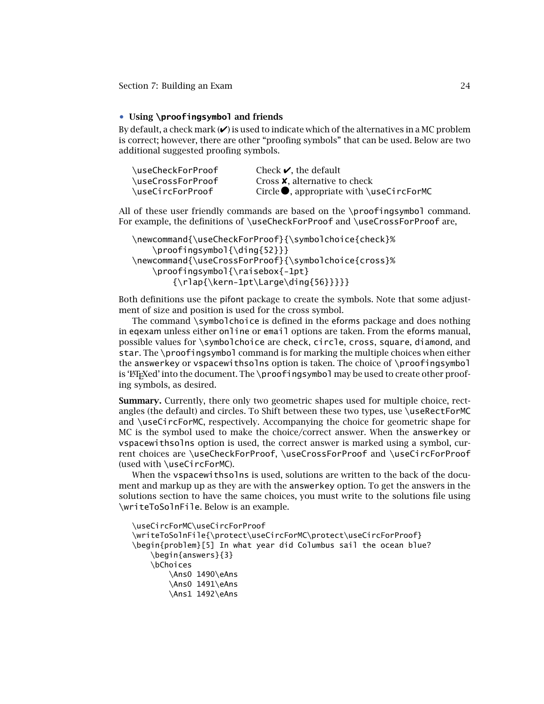# <span id="page-23-0"></span>• **Using \proofingsymbol and friends**

By default, a check mark  $(\vee)$  is used to indicate which of the alternatives in a MC problem is correct; however, there are other "proofing symbols" that can be used. Below are two additional suggested proofing symbols.

| \useCheckForProof | Check $\blacktriangleright$ , the default         |
|-------------------|---------------------------------------------------|
| \useCrossForProof | Cross <b>X</b> . alternative to check             |
| \useCircForProof  | Circle $\bullet$ , appropriate with \useCircForMC |

All of these user friendly commands are based on the \proofingsymbol command. For example, the definitions of \useCheckForProof and \useCrossForProof are,

```
\newcommand{\useCheckForProof}{\symbolchoice{check}%
   \proofingsymbol{\ding{52}}}
\newcommand{\useCrossForProof}{\symbolchoice{cross}%
   \proofingsymbol{\raisebox{-1pt}
       {\n    \label{label:1}
```
Both definitions use the pifont package to create the symbols. Note that some adjustment of size and position is used for the cross symbol.

The command \symbolchoice is defined in the eforms package and does nothing in eqexam unless either online or email options are taken. From the eforms manual, possible values for \symbolchoice are check, circle, cross, square, diamond, and star. The \proofingsymbol command is for marking the multiple choices when either the answerkey or vspacewithsolns option is taken. The choice of \proofingsymbol is ' $E$ T<sub>E</sub>Xed' into the document. The \proofingsymbol may be used to create other proofing symbols, as desired.

**Summary.** Currently, there only two geometric shapes used for multiple choice, rectangles (the default) and circles. To Shift between these two types, use \useRectForMC and \useCircForMC, respectively. Accompanying the choice for geometric shape for MC is the symbol used to make the choice/correct answer. When the answerkey or vspacewithsolns option is used, the correct answer is marked using a symbol, current choices are \useCheckForProof, \useCrossForProof and \useCircForProof (used with \useCircForMC).

When the vspacewithsolns is used, solutions are written to the back of the document and markup up as they are with the answerkey option. To get the answers in the solutions section to have the same choices, you must write to the solutions file using \writeToSolnFile. Below is an example.

```
\useCircForMC\useCircForProof
\writeToSolnFile{\protect\useCircForMC\protect\useCircForProof}
\begin{problem}[5] In what year did Columbus sail the ocean blue?
    \begin{answers}{3}
    \bChoices
        \Ans0 1490\eAns
        \Ans0 1491\eAns
        \Ans1 1492\eAns
```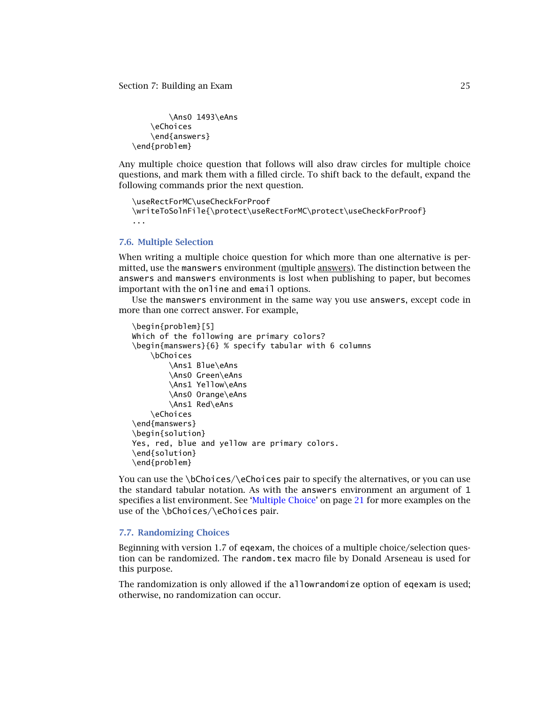```
\Ans0 1493\eAns
    \eChoices
    \end{answers}
\end{problem}
```
Any multiple choice question that follows will also draw circles for multiple choice questions, and mark them with a filled circle. To shift back to the default, expand the following commands prior the next question.

```
\useRectForMC\useCheckForProof
\writeToSolnFile{\protect\useRectForMC\protect\useCheckForProof}
...
```
## **7.6. Multiple Selection**

When writing a multiple choice question for which more than one alternative is permitted, use the manswers environment (multiple answers). The distinction between the answers and manswers environments is lost when publishing to paper, but becomes important with the online and email options.

Use the manswers environment in the same way you use answers, except code in more than one correct answer. For example,

```
\begin{problem}[5]
Which of the following are primary colors?
\begin{manswers}{6} % specify tabular with 6 columns
    \bChoices
        \Ans1 Blue\eAns
        \Ans0 Green\eAns
        \Ans1 Yellow\eAns
        \Ans0 Orange\eAns
        \Ans1 Red\eAns
    \eChoices
\end{manswers}
\begin{solution}
Yes, red, blue and yellow are primary colors.
\end{solution}
\end{problem}
```
You can use the \bChoices/\eChoices pair to specify the alternatives, or you can use the standard tabular notation. As with the answers environment an argument of 1 specifies a list environment. See ['Multiple Choice'](#page-20-0) on page [21](#page-20-0) for more examples on the use of the \bChoices/\eChoices pair.

## **7.7. Randomizing Choices**

Beginning with version 1.7 of eqexam, the choices of a multiple choice/selection question can be randomized. The random.tex macro file by Donald Arseneau is used for this purpose.

The randomization is only allowed if the allowrandomize option of eqexam is used; otherwise, no randomization can occur.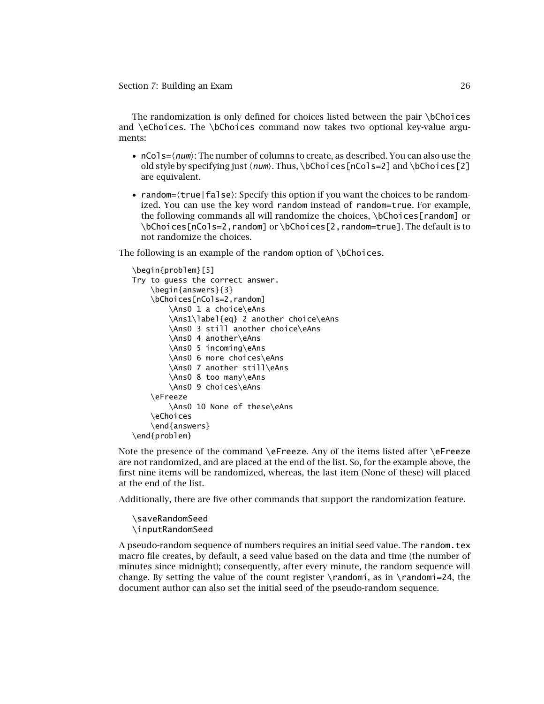The randomization is only defined for choices listed between the pair \bChoices and \eChoices. The \bChoices command now takes two optional key-value arguments:

- $nCo1s=\langle num\rangle$ : The number of columns to create, as described. You can also use the old style by specifying just  $\langle num \rangle$ . Thus,  $\boldsymbol{\delta}$  \netal section s=2] and  $\boldsymbol{\delta}$  \netal ces [2] are equivalent.
- random= $\langle$ true | false $\rangle$ : Specify this option if you want the choices to be randomized. You can use the key word random instead of random=true. For example, the following commands all will randomize the choices, \bChoices[random] or \bChoices[nCols=2,random] or \bChoices[2,random=true]. The default is to not randomize the choices.

The following is an example of the random option of \bChoices.

```
\begin{problem}[5]
Try to guess the correct answer.
    \begin{answers}{3}
    \bChoices[nCols=2,random]
        \Ans0 1 a choice\eAns
        \Ans1\label{eq} 2 another choice\eAns
        \Ans0 3 still another choice\eAns
        \Ans0 4 another\eAns
        \Ans0 5 incoming\eAns
        \Ans0 6 more choices\eAns
        \Ans0 7 another still\eAns
        \Ans0 8 too many\eAns
        \Ans0 9 choices\eAns
    \eFreeze
        \Ans0 10 None of these\eAns
    \eChoices
    \end{answers}
\end{problem}
```
Note the presence of the command \eFreeze. Any of the items listed after \eFreeze are not randomized, and are placed at the end of the list. So, for the example above, the first nine items will be randomized, whereas, the last item (None of these) will placed at the end of the list.

Additionally, there are five other commands that support the randomization feature.

\saveRandomSeed \inputRandomSeed

A pseudo-random sequence of numbers requires an initial seed value. The random.tex macro file creates, by default, a seed value based on the data and time (the number of minutes since midnight); consequently, after every minute, the random sequence will change. By setting the value of the count register  $\$ randomi, as in  $\rand{name=24}$ , the document author can also set the initial seed of the pseudo-random sequence.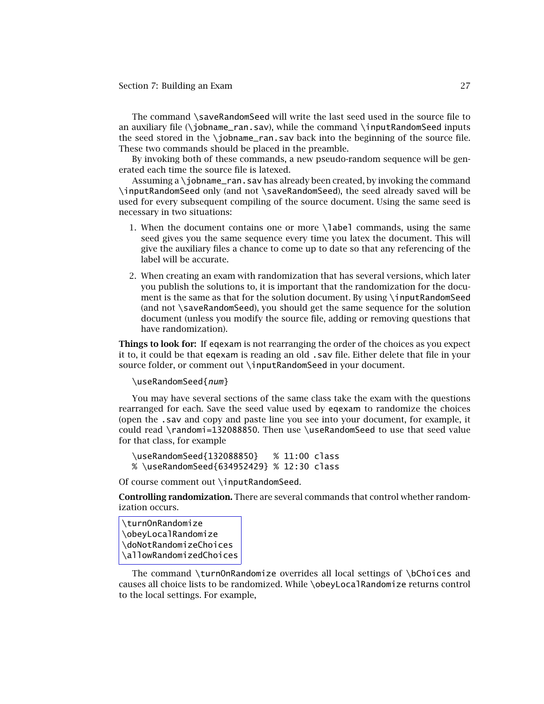The command \saveRandomSeed will write the last seed used in the source file to an auxiliary file (\jobname\_ran.sav), while the command \jnputRandomSeed inputs the seed stored in the \jobname\_ran.sav back into the beginning of the source file. These two commands should be placed in the preamble.

By invoking both of these commands, a new pseudo-random sequence will be generated each time the source file is latexed.

Assuming a \jobname\_ran.sav has already been created, by invoking the command \inputRandomSeed only (and not \saveRandomSeed), the seed already saved will be used for every subsequent compiling of the source document. Using the same seed is necessary in two situations:

- 1. When the document contains one or more \label commands, using the same seed gives you the same sequence every time you latex the document. This will give the auxiliary files a chance to come up to date so that any referencing of the label will be accurate.
- 2. When creating an exam with randomization that has several versions, which later you publish the solutions to, it is important that the randomization for the document is the same as that for the solution document. By using \inputRandomSeed (and not \saveRandomSeed), you should get the same sequence for the solution document (unless you modify the source file, adding or removing questions that have randomization).

**Things to look for:** If eqexam is not rearranging the order of the choices as you expect it to, it could be that eqexam is reading an old .sav file. Either delete that file in your source folder, or comment out \inputRandomSeed in your document.

#### \useRandomSeed{num}

You may have several sections of the same class take the exam with the questions rearranged for each. Save the seed value used by eqexam to randomize the choices (open the .sav and copy and paste line you see into your document, for example, it could read \randomi=132088850. Then use \useRandomSeed to use that seed value for that class, for example

\useRandomSeed{132088850} % 11:00 class % \useRandomSeed{634952429} % 12:30 class

Of course comment out \inputRandomSeed.

**Controlling randomization.** There are several commands that control whether randomization occurs.

```
\turnOnRandomize
\obeyLocalRandomize
\doNotRandomizeChoices
\allowRandomizedChoices
```
The command \turnOnRandomize overrides all local settings of \bChoices and causes all choice lists to be randomized. While \obeyLocalRandomize returns control to the local settings. For example,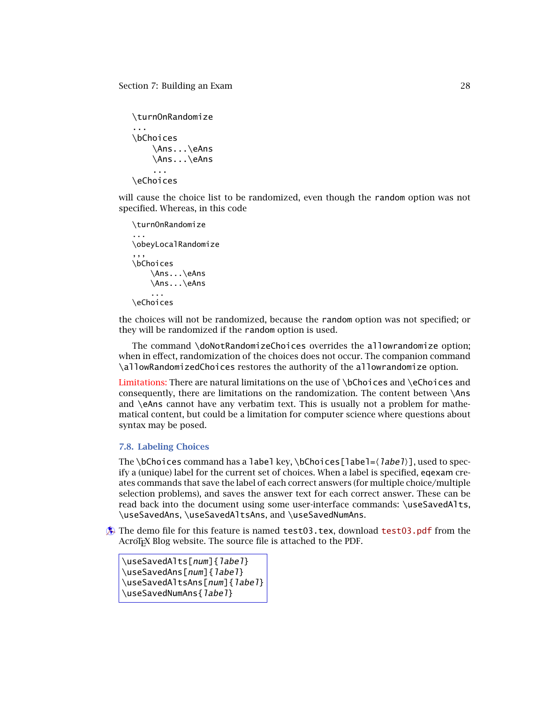<span id="page-27-0"></span>\turnOnRandomize ... \bChoices \Ans...\eAns \Ans...\eAns ... \eChoices

will cause the choice list to be randomized, even though the random option was not specified. Whereas, in this code

```
\turnOnRandomize
...
\obeyLocalRandomize
,,,
\bChoices
    \Ans...\eAns
    \Ans...\eAns
    ...
\eChoices
```
the choices will not be randomized, because the random option was not specified; or they will be randomized if the random option is used.

The command \doNotRandomizeChoices overrides the allowrandomize option; when in effect, randomization of the choices does not occur. The companion command \allowRandomizedChoices restores the authority of the allowrandomize option.

Limitations: There are natural limitations on the use of  $\boldsymbol{\delta}$  bChoices and  $\boldsymbol{\delta}$  eChoices and consequently, there are limitations on the randomization. The content between \Ans and \eAns cannot have any verbatim text. This is usually not a problem for mathematical content, but could be a limitation for computer science where questions about syntax may be posed.

# **7.8. Labeling Choices**

The \bChoices command has a label key, \bChoices[label=\*label*}], used to specify a (unique) label for the current set of choices. When a label is specified, eqexam creates commands that save the label of each correct answers (for multiple choice/multiple selection problems), and saves the answer text for each correct answer. These can be read back into the document using some user-interface commands: \useSavedAlts, \useSavedAns, \useSavedAltsAns, and \useSavedNumAns.

 $\hat{\mathbf{A}}$  The demo file for this feature is named test03.tex, download [test03.pdf](http://www.acrotex.net/blog/?p=1206) from the AcroT<sub>F</sub>X Blog website. The source file is attached to the PDF.

```
\useSavedAlts[num]{label}
\useSavedAns[num]{label}
\useSavedAltsAns[num]{label}
\useSavedNumAns{label}
```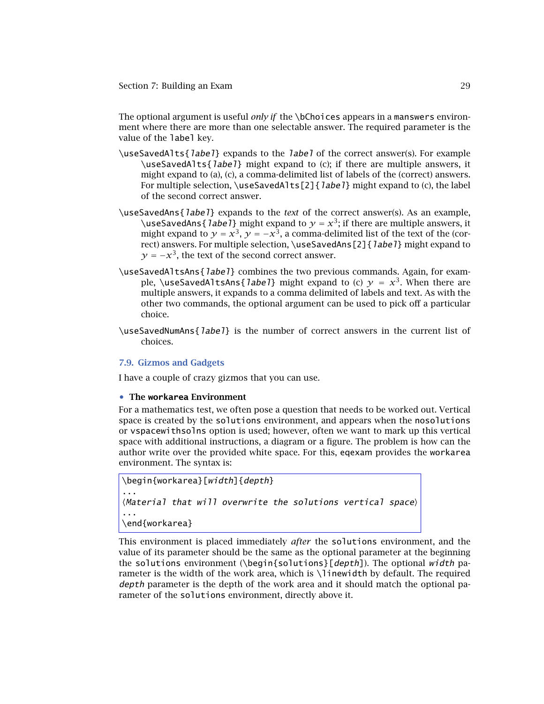<span id="page-28-0"></span>The optional argument is useful *only if* the \bChoices appears in a manswers environment where there are more than one selectable answer. The required parameter is the value of the label key.

- \useSavedAlts{label} expands to the label of the correct answer(s). For example \useSavedAlts{label} might expand to (c); if there are multiple answers, it might expand to (a), (c), a comma-delimited list of labels of the (correct) answers. For multiple selection,  $\useSavedA1ts[2]{label}$  might expand to (c), the label of the second correct answer.
- \useSavedAns{label} expands to the *text* of the correct answer(s). As an example, \useSavedAns{*label*} might expand to  $\gamma = x^3$ ; if there are multiple answers, it might expand to  $\gamma = x^3$ ,  $\gamma = -x^3$ , a comma-delimited list of the text of the (correct) answers. For multiple selection, \useSavedAns[2] { label} might expand to  $\gamma = -x^3$ , the text of the second correct answer.
- \useSavedAltsAns{label} combines the two previous commands. Again, for example, \useSavedAltsAns{*label*} might expand to (c)  $y = x^3$ . When there are multiple answers, it expands to a comma delimited of labels and text. As with the other two commands, the optional argument can be used to pick off a particular choice.
- \useSavedNumAns{label} is the number of correct answers in the current list of choices.

# **7.9. Gizmos and Gadgets**

I have a couple of crazy gizmos that you can use.

## • **The workarea Environment**

For a mathematics test, we often pose a question that needs to be worked out. Vertical space is created by the solutions environment, and appears when the nosolutions or vspacewithsolns option is used; however, often we want to mark up this vertical space with additional instructions, a diagram or a figure. The problem is how can the author write over the provided white space. For this, eqexam provides the workarea environment. The syntax is:

```
\begin{workarea}[width]{depth}
...
\langleMaterial that will overwrite the solutions vertical space\rangle...
\end{workarea}
```
This environment is placed immediately *after* the solutions environment, and the value of its parameter should be the same as the optional parameter at the beginning the solutions environment (\begin{solutions}[depth]). The optional width parameter is the width of the work area, which is \linewidth by default. The required depth parameter is the depth of the work area and it should match the optional parameter of the solutions environment, directly above it.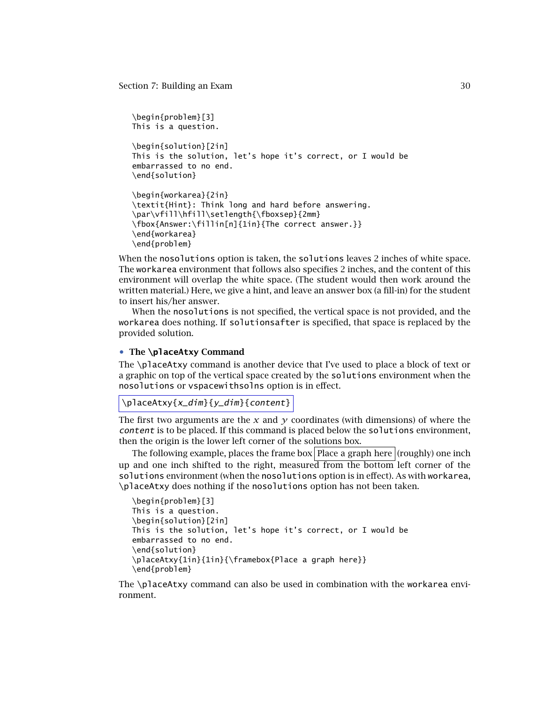```
\begin{problem}[3]
This is a question.
\begin{solution}[2in]
This is the solution, let's hope it's correct, or I would be
embarrassed to no end.
\end{solution}
\begin{workarea}{2in}
\textit{Hint}: Think long and hard before answering.
\par\vfill\hfill\setlength{\fboxsep}{2mm}
\fbox{Answer:\fillin[n]{1in}{The correct answer.}}
\end{workarea}
\end{problem}
```
When the nosolutions option is taken, the solutions leaves 2 inches of white space. The workarea environment that follows also specifies 2 inches, and the content of this environment will overlap the white space. (The student would then work around the written material.) Here, we give a hint, and leave an answer box (a fill-in) for the student to insert his/her answer.

When the nosolutions is not specified, the vertical space is not provided, and the workarea does nothing. If solutionsafter is specified, that space is replaced by the provided solution.

# • **The \placeAtxy Command**

The \placeAtxy command is another device that I've used to place a block of text or a graphic on top of the vertical space created by the solutions environment when the nosolutions or vspacewithsolns option is in effect.

```
\placeAtxy{x_dim}{y_dim}{content}
```
The first two arguments are the  $x$  and  $y$  coordinates (with dimensions) of where the content is to be placed. If this command is placed below the solutions environment, then the origin is the lower left corner of the solutions box.

The following example, places the frame box Place a graph here  $(roughly)$  one inch up and one inch shifted to the right, measured from the bottom left corner of the solutions environment (when the nosolutions option is in effect). As with workarea, \placeAtxy does nothing if the nosolutions option has not been taken.

```
\begin{problem}[3]
This is a question.
\begin{solution}[2in]
This is the solution, let's hope it's correct, or I would be
embarrassed to no end.
\end{solution}
\placeAtxy{1in}{1in}{\framebox{Place a graph here}}
\end{problem}
```
The \placeAtxy command can also be used in combination with the workarea environment.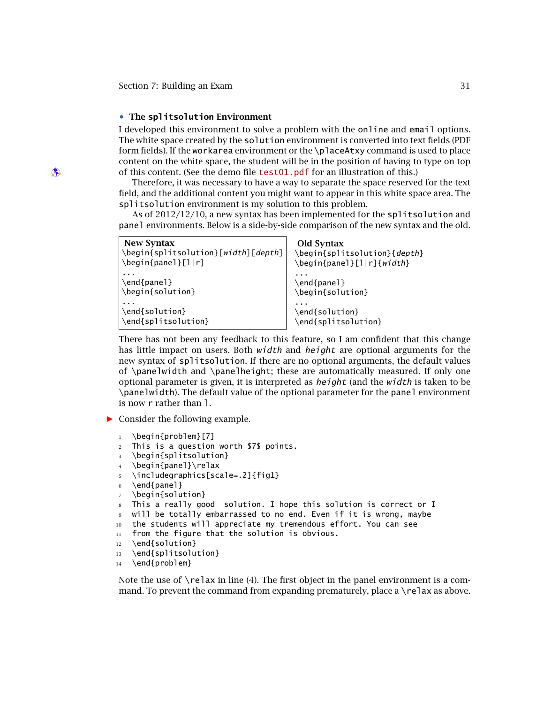# • **The splitsolution Environment**

<span id="page-30-0"></span>I developed this environment to solve a problem with the online and email options. The white space created by the solution environment is converted into text fields (PDF form fields). If the workarea environment or the \placeAtxy command is used to place content on the white space, the student will be in the position of having to type on top  $\circledast$  of this content. (See the demo file [test01.pdf](http://www.acrotex.net/blog/?p=1198) for an illustration of this.)

> Therefore, it was necessary to have a way to separate the space reserved for the text field, and the additional content you might want to appear in this white space area. The splitsolution environment is my solution to this problem.

> As of 2012/12/10, a new syntax has been implemented for the splitsolution and panel environments. Below is a side-by-side comparison of the new syntax and the old.

| <b>New Syntax</b><br>\begin{splitsolution}[width][depth]<br>$\begin{bmatrix}$ \begin{panel}[1 r] | <b>Old Syntax</b><br>\begin{splitsolution}{depth}<br>\begin{panel}[l r]{width} |
|--------------------------------------------------------------------------------------------------|--------------------------------------------------------------------------------|
| \end{panel}<br>\begin{solution}                                                                  | \end{panel}<br>\begin{solution}                                                |
| \end{solution}<br>\end{splitsolution}                                                            | \end{solution}<br>\end{splitsolution}                                          |

There has not been any feedback to this feature, so I am confident that this change has little impact on users. Both *width* and *height* are optional arguments for the new syntax of splitsolution. If there are no optional arguments, the default values of \panelwidth and \panelheight; these are automatically measured. If only one optional parameter is given, it is interpreted as  $height$  (and the  $width$  is taken to be \panelwidth). The default value of the optional parameter for the panel environment is now r rather than l.

- *-* Consider the following example.
	- 1 \begin{problem}[7]
	- <sup>2</sup> This is a question worth \$7\$ points.
	- <sup>3</sup> \begin{splitsolution}
	- <sup>4</sup> \begin{panel}\relax
	- <sup>5</sup> \includegraphics[scale=.2]{fig1}
	- $6 \text{panel}$
	- \begin{solution}
	- <sup>8</sup> This a really good solution. I hope this solution is correct or I
	- will be totally embarrassed to no end. Even if it is wrong, maybe
	- <sup>10</sup> the students will appreciate my tremendous effort. You can see
	- 11 from the figure that the solution is obvious.
	- 12 \end{solution}
	- <sup>13</sup> \end{splitsolution}
	- 14 \end{problem}

Note the use of  $\lceil \text{relax in line (4)} \rceil$ . The first object in the panel environment is a command. To prevent the command from expanding prematurely, place a  $\relaxright$  relax as above.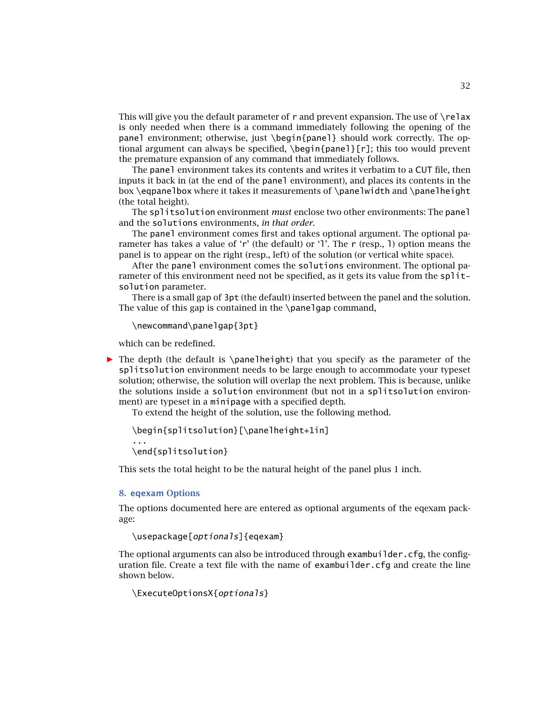<span id="page-31-0"></span>This will give you the default parameter of r and prevent expansion. The use of  $\text{relax}$ is only needed when there is a command immediately following the opening of the panel environment; otherwise, just \begin{panel} should work correctly. The optional argument can always be specified, \begin{panel}[r]; this too would prevent the premature expansion of any command that immediately follows.

The panel environment takes its contents and writes it verbatim to a CUT file, then inputs it back in (at the end of the panel environment), and places its contents in the box \eqpanelbox where it takes it measurements of \panelwidth and \panelheight (the total height).

The splitsolution environment *must* enclose two other environments: The panel and the solutions environments, *in that order*.

The panel environment comes first and takes optional argument. The optional parameter has takes a value of 'r' (the default) or 'l'. The r (resp., l) option means the panel is to appear on the right (resp., left) of the solution (or vertical white space).

After the panel environment comes the solutions environment. The optional parameter of this environment need not be specified, as it gets its value from the splitsolution parameter.

There is a small gap of 3pt (the default) inserted between the panel and the solution. The value of this gap is contained in the  $\alpha$  panel and command.

\newcommand\panelgap{3pt}

which can be redefined.

*-* The depth (the default is \panelheight) that you specify as the parameter of the splitsolution environment needs to be large enough to accommodate your typeset solution; otherwise, the solution will overlap the next problem. This is because, unlike the solutions inside a solution environment (but not in a splitsolution environment) are typeset in a minipage with a specified depth.

To extend the height of the solution, use the following method.

\begin{splitsolution}[\panelheight+1in]

\end{splitsolution}

This sets the total height to be the natural height of the panel plus 1 inch.

#### **8. eqexam Options**

...

The options documented here are entered as optional arguments of the eqexam package:

```
\usepackage[optionals]{eqexam}
```
The optional arguments can also be introduced through exambuilder.  $cfq$ , the configuration file. Create a text file with the name of exambuilder.cfg and create the line shown below.

\ExecuteOptionsX{optionals}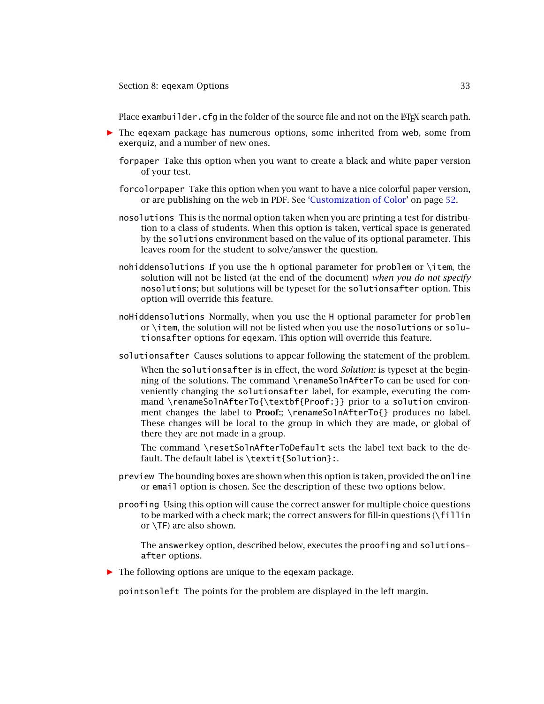Section 8: eqexam Options 33

Place exambuilder.cfg in the folder of the source file and not on the ET<sub>E</sub>X search path.

- **•** The eqexam package has numerous options, some inherited from web, some from exerquiz, and a number of new ones.
	- forpaper Take this option when you want to create a black and white paper version of your test.
	- forcolorpaper Take this option when you want to have a nice colorful paper version, or are publishing on the web in PDF. See ['Customization of Color'](#page-51-0) on page [52.](#page-51-0)
	- nosolutions This is the normal option taken when you are printing a test for distribution to a class of students. When this option is taken, vertical space is generated by the solutions environment based on the value of its optional parameter. This leaves room for the student to solve/answer the question.
	- nohiddensolutions If you use the h optional parameter for problem or \item, the solution will not be listed (at the end of the document) *when you do not specify* nosolutions; but solutions will be typeset for the solutionsafter option. This option will override this feature.
	- noHiddensolutions Normally, when you use the H optional parameter for problem or \item, the solution will not be listed when you use the nosolutions or solutionsafter options for eqexam. This option will override this feature.
	- solutionsafter Causes solutions to appear following the statement of the problem.

When the solutionsafter is in effect, the word *Solution:* is typeset at the beginning of the solutions. The command \renameSolnAfterTo can be used for conveniently changing the solutionsafter label, for example, executing the command \renameSolnAfterTo{\textbf{Proof:}} prior to a solution environment changes the label to **Proof:**; \renameSolnAfterTo{} produces no label. These changes will be local to the group in which they are made, or global of there they are not made in a group.

The command \resetSolnAfterToDefault sets the label text back to the default. The default label is \textit{Solution}:.

- preview The bounding boxes are shown when this option is taken, provided the online or email option is chosen. See the description of these two options below.
- proofing Using this option will cause the correct answer for multiple choice questions to be marked with a check mark; the correct answers for fill-in questions (\fillin or \TF) are also shown.

The answerkey option, described below, executes the proofing and solutionsafter options.

*-* The following options are unique to the eqexam package.

pointsonleft The points for the problem are displayed in the left margin.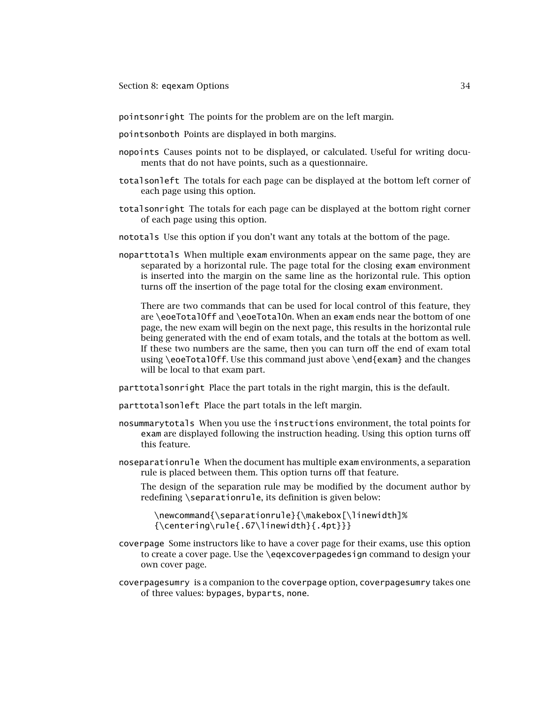#### Section 8: eqexam Options 34

pointsonright The points for the problem are on the left margin.

pointsonboth Points are displayed in both margins.

- nopoints Causes points not to be displayed, or calculated. Useful for writing documents that do not have points, such as a questionnaire.
- totalsonleft The totals for each page can be displayed at the bottom left corner of each page using this option.
- totalsonright The totals for each page can be displayed at the bottom right corner of each page using this option.
- nototals Use this option if you don't want any totals at the bottom of the page.
- noparttotals When multiple exam environments appear on the same page, they are separated by a horizontal rule. The page total for the closing exam environment is inserted into the margin on the same line as the horizontal rule. This option turns off the insertion of the page total for the closing exam environment.

There are two commands that can be used for local control of this feature, they are \eoeTotalOff and \eoeTotalOn. When an exam ends near the bottom of one page, the new exam will begin on the next page, this results in the horizontal rule being generated with the end of exam totals, and the totals at the bottom as well. If these two numbers are the same, then you can turn off the end of exam total using \eoeTotalOff. Use this command just above \end{exam} and the changes will be local to that exam part.

parttotalsonright Place the part totals in the right margin, this is the default.

parttotalsonleft Place the part totals in the left margin.

- nosummarytotals When you use the instructions environment, the total points for exam are displayed following the instruction heading. Using this option turns off this feature.
- noseparationrule When the document has multiple exam environments, a separation rule is placed between them. This option turns off that feature.

The design of the separation rule may be modified by the document author by redefining \separationrule, its definition is given below:

\newcommand{\separationrule}{\makebox[\linewidth]% {\centering\rule{.67\linewidth}{.4pt}}}

- coverpage Some instructors like to have a cover page for their exams, use this option to create a cover page. Use the \eqexcoverpagedesign command to design your own cover page.
- coverpagesumry is a companion to the coverpage option, coverpagesumry takes one of three values: bypages, byparts, none.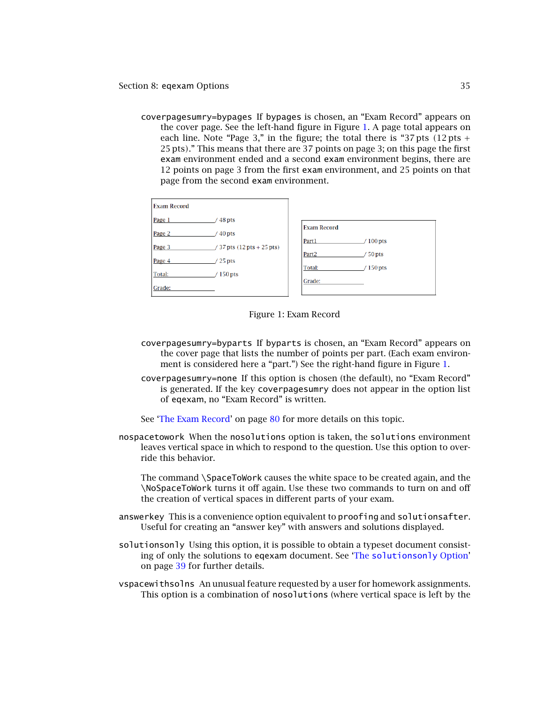coverpagesumry=bypages If bypages is chosen, an "Exam Record" appears on the cover page. See the left-hand figure in Figure 1. A page total appears on each line. Note "Page 3," in the figure; the total there is "37 pts *(*12 pts + 25 pts*)*." This means that there are 37 points on page 3; on this page the first exam environment ended and a second exam environment begins, there are 12 points on page 3 from the first exam environment, and 25 points on that page from the second exam environment.

| <b>Exam Record</b> |                                |                                                  |
|--------------------|--------------------------------|--------------------------------------------------|
| Page 1             | $' 48$ pts                     | <b>Exam Record</b>                               |
| Page 2             | $40$ pts                       |                                                  |
| Page 3             | $/37$ pts $(12$ pts $+25$ pts) | Part1<br>$100$ pts                               |
| Page 4             | $/25$ pts                      | Part <sub>2</sub><br>50 pts<br>Total:<br>150 pts |
| Total:             | / 150 pts                      |                                                  |
| Grade:             |                                | Grade:                                           |

#### Figure 1: Exam Record

- coverpagesumry=byparts If byparts is chosen, an "Exam Record" appears on the cover page that lists the number of points per part. (Each exam environment is considered here a "part.") See the right-hand figure in Figure 1.
- coverpagesumry=none If this option is chosen (the default), no "Exam Record" is generated. If the key coverpagesumry does not appear in the option list of eqexam, no "Exam Record" is written.

See ['The Exam Record'](#page-79-0) on page [80](#page-79-0) for more details on this topic.

nospacetowork When the nosolutions option is taken, the solutions environment leaves vertical space in which to respond to the question. Use this option to override this behavior.

The command \SpaceToWork causes the white space to be created again, and the \NoSpaceToWork turns it off again. Use these two commands to turn on and off the creation of vertical spaces in different parts of your exam.

- answerkey This is a convenience option equivalent to proofing and solutionsafter. Useful for creating an "answer key" with answers and solutions displayed.
- solutionsonly Using this option, it is possible to obtain a typeset document consisting of only the solutions to eqexam document. See 'The [solutionsonly](#page-38-0) Option' on page [39](#page-38-0) for further details.
- vspacewithsolns An unusual feature requested by a user for homework assignments. This option is a combination of nosolutions (where vertical space is left by the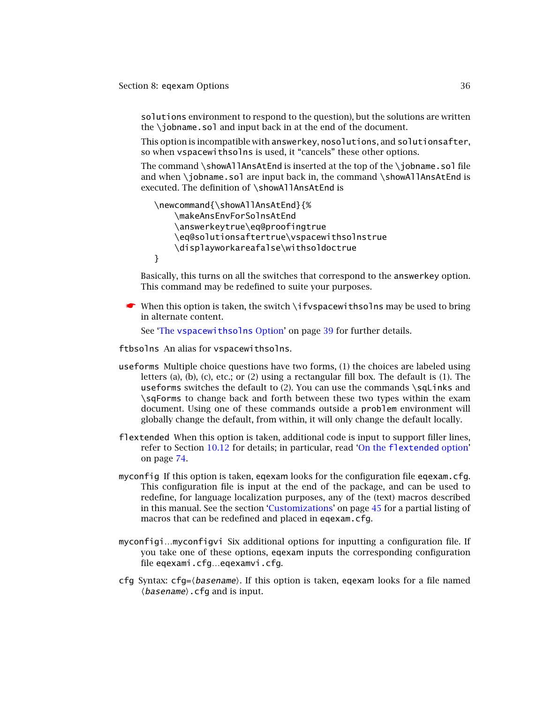Section 8: eqexam Options 36

solutions environment to respond to the question), but the solutions are written the \iobname.sol and input back in at the end of the document.

This option is incompatible with answerkey, nosolutions, and solutionsafter, so when vspacewithsolns is used, it "cancels" these other options.

The command \showAllAnsAtEnd is inserted at the top of the \jobname.sol file and when \jobname.sol are input back in, the command \showAllAnsAtEnd is executed. The definition of \showAllAnsAtEnd is

```
\newcommand{\showAllAnsAtEnd}{%
    \makeAnsEnvForSolnsAtEnd
    \answerkeytrue\eq@proofingtrue
    \eq@solutionsaftertrue\vspacewithsolnstrue
    \displayworkareafalse\withsoldoctrue
}
```
Basically, this turns on all the switches that correspond to the answerkey option. This command may be redefined to suite your purposes.

 $\bullet$  When this option is taken, the switch \ifvspacewithsolns may be used to bring in alternate content.

See 'The [vspacewithsolns](#page-38-0) Option' on page [39](#page-38-0) for further details.

ftbsolns An alias for vspacewithsolns.

- useforms Multiple choice questions have two forms, (1) the choices are labeled using letters (a), (b), (c), etc.; or (2) using a rectangular fill box. The default is (1). The useforms switches the default to  $(2)$ . You can use the commands  $\sqrt{\sqrt{g}}$  and \sqForms to change back and forth between these two types within the exam document. Using one of these commands outside a problem environment will globally change the default, from within, it will only change the default locally.
- flextended When this option is taken, additional code is input to support filler lines, refer to Section [10.12](#page-71-0) for details; in particular, read 'On the [flextended](#page-73-0) option' on page [74.](#page-73-0)
- myconfig If this option is taken, eqexam looks for the configuration file eqexam.cfg. This configuration file is input at the end of the package, and can be used to redefine, for language localization purposes, any of the (text) macros described in this manual. See the section ['Customizations'](#page-44-0) on page [45](#page-44-0) for a partial listing of macros that can be redefined and placed in eqexam.cfg.
- myconfigi…myconfigvi Six additional options for inputting a configuration file. If you take one of these options, eqexam inputs the corresponding configuration file eqexami.cfg…eqexamvi.cfg.
- cfg Syntax: cfg= $\langle$ basename $\rangle$ . If this option is taken, eqexam looks for a file named  $\langle$ *basename* $\rangle$ .cfg and is input.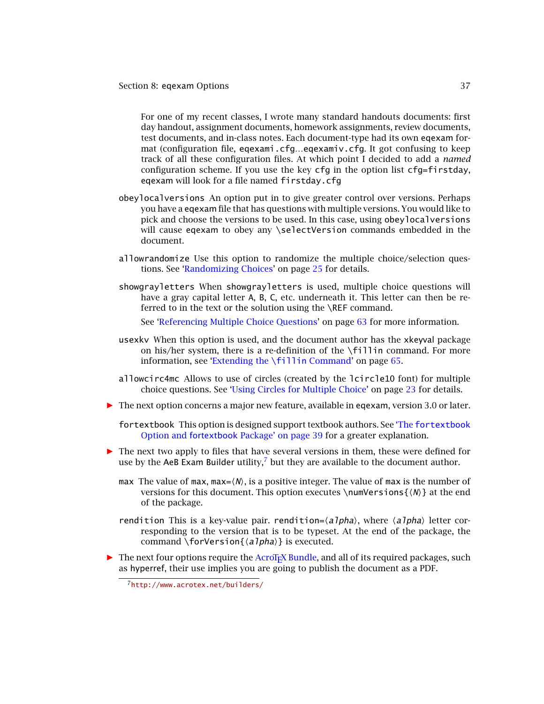For one of my recent classes, I wrote many standard handouts documents: first day handout, assignment documents, homework assignments, review documents, test documents, and in-class notes. Each document-type had its own eqexam format (configuration file, eqexami.cfg…eqexamiv.cfg. It got confusing to keep track of all these configuration files. At which point I decided to add a *named* configuration scheme. If you use the key  $cfq$  in the option list  $cfq=f$ irstday, eqexam will look for a file named firstday.cfg

- obeylocalversions An option put in to give greater control over versions. Perhaps you have a eqexam file that has questions with multiple versions. You would like to pick and choose the versions to be used. In this case, using obeylocalversions will cause eqexam to obey any \selectVersion commands embedded in the document.
- allowrandomize Use this option to randomize the multiple choice/selection questions. See ['Randomizing Choices'](#page-24-0) on page [25](#page-24-0) for details.
- showgrayletters When showgrayletters is used, multiple choice questions will have a gray capital letter A, B, C, etc. underneath it. This letter can then be referred to in the text or the solution using the \REF command.

See ['Referencing Multiple Choice Questions'](#page-62-0) on page [63](#page-62-0) for more information.

- usexkv When this option is used, and the document author has the xkeyval package on his/her system, there is a re-definition of the \fillin command. For more information, see ['Extending the](#page-64-0) \fillin Command' on page [65.](#page-64-0)
- allowcirc4mc Allows to use of circles (created by the lcircle10 font) for multiple choice questions. See ['Using Circles for Multiple Choice'](#page-22-0) on page [23](#page-22-0) for details.
- *-* The next option concerns a major new feature, available in eqexam, version 3.0 or later.
	- fortextbook [This option is designed support textbook authors. See](#page-38-0) 'The fortextbook Option and fortextbook Package' on page 39 for a greater explanation.
- *-* The next two apply to files that have several versions in them, these were defined for use by the AeB Exam Builder utility,<sup>7</sup> but they are available to the document author.
	- max The value of max, max= $\langle N \rangle$ , is a positive integer. The value of max is the number of versions for this document. This option executes \numVersions{(N)} at the end of the package.
	- rendition This is a key-value pair. rendition= $\langle$ a*lpha* $\rangle$ , where  $\langle$ a*lpha* $\rangle$  letter corresponding to the version that is to be typeset. At the end of the package, the command \forVersion{*\alpha*}} is executed.
- **•** The next four options require the AcroT<sub>E</sub>X Bundle, and all of its required packages, such as hyperref, their use implies you are going to publish the document as a PDF.

<sup>7</sup><http://www.acrotex.net/builders/>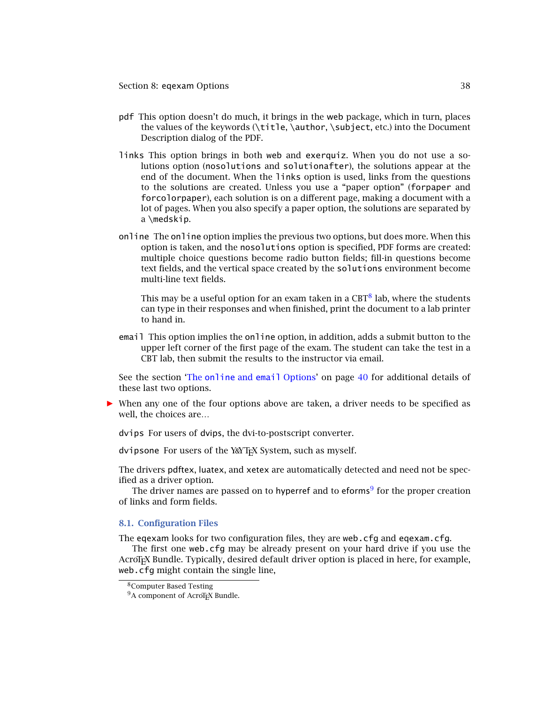Section 8: eqexam Options 38

- pdf This option doesn't do much, it brings in the web package, which in turn, places the values of the keywords (\title, \author, \subject, etc.) into the Document Description dialog of the PDF.
- links This option brings in both web and exerquiz. When you do not use a solutions option (nosolutions and solutionafter), the solutions appear at the end of the document. When the links option is used, links from the questions to the solutions are created. Unless you use a "paper option" (forpaper and forcolorpaper), each solution is on a different page, making a document with a lot of pages. When you also specify a paper option, the solutions are separated by a \medskip.
- online The online option implies the previous two options, but does more. When this option is taken, and the nosolutions option is specified, PDF forms are created: multiple choice questions become radio button fields; fill-in questions become text fields, and the vertical space created by the solutions environment become multi-line text fields.

This may be a useful option for an exam taken in a  $CBT^8$  lab, where the students can type in their responses and when finished, print the document to a lab printer to hand in.

email This option implies the online option, in addition, adds a submit button to the upper left corner of the first page of the exam. The student can take the test in a CBT lab, then submit the results to the instructor via email.

See the section 'The online and email [Options'](#page-39-0) on page [40](#page-39-0) for additional details of these last two options.

*-* When any one of the four options above are taken, a driver needs to be specified as well, the choices are…

dvips For users of dvips, the dvi-to-postscript converter.

dvipsone For users of the Y&YTEX System, such as myself.

The drivers pdftex, luatex, and xetex are automatically detected and need not be specified as a driver option.

The driver names are passed on to hyperref and to eforms<sup>9</sup> for the proper creation of links and form fields.

#### **8.1. Configuration Files**

The eqexam looks for two configuration files, they are web.cfg and eqexam.cfg.

The first one web.cfg may be already present on your hard drive if you use the AcroTEX Bundle. Typically, desired default driver option is placed in here, for example, web.cfg might contain the single line,

<sup>8</sup>Computer Based Testing

<sup>&</sup>lt;sup>9</sup>A component of AcroT<sub>E</sub>X Bundle.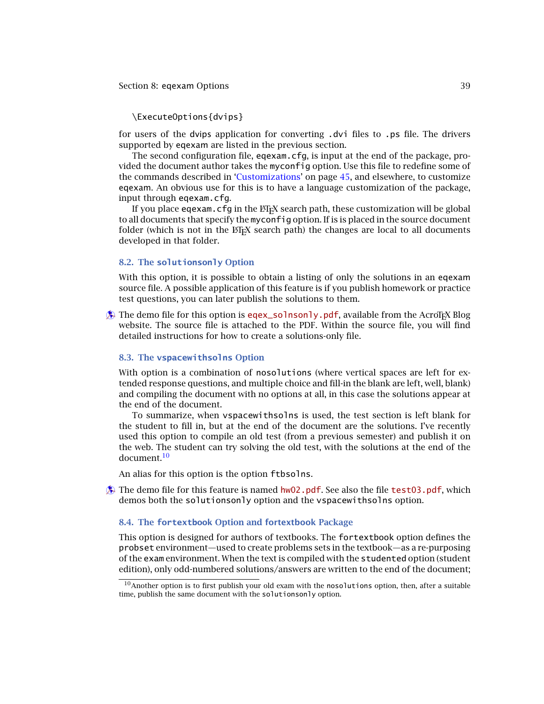#### <span id="page-38-0"></span>Section 8: eqexam Options 39

# \ExecuteOptions{dvips}

for users of the dvips application for converting .dvi files to .ps file. The drivers supported by eqexam are listed in the previous section.

The second configuration file, eqexam.cfg, is input at the end of the package, provided the document author takes the myconfig option. Use this file to redefine some of the commands described in ['Customizations'](#page-44-0) on page [45,](#page-44-0) and elsewhere, to customize eqexam. An obvious use for this is to have a language customization of the package, input through eqexam.cfg.

If you place eqexam.cfg in the  $EFT$ *x* search path, these customization will be global to all documents that specify the myconfig option. If is is placed in the source document folder (which is not in the  $\Delta E_{\text{F}}$ X search path) the changes are local to all documents developed in that folder.

## **8.2. The solutionsonly Option**

With this option, it is possible to obtain a listing of only the solutions in an eqexam source file. A possible application of this feature is if you publish homework or practice test questions, you can later publish the solutions to them.

 $\oint$  The demo file for this option is [eqex\\_solnsonly.pdf](http://www.acrotex.net/blog/?p=1227), available from the AcroTEX Blog website. The source file is attached to the PDF. Within the source file, you will find detailed instructions for how to create a solutions-only file.

### **8.3. The vspacewithsolns Option**

With option is a combination of nosolutions (where vertical spaces are left for extended response questions, and multiple choice and fill-in the blank are left, well, blank) and compiling the document with no options at all, in this case the solutions appear at the end of the document.

To summarize, when vspacewithsolns is used, the test section is left blank for the student to fill in, but at the end of the document are the solutions. I've recently used this option to compile an old test (from a previous semester) and publish it on the web. The student can try solving the old test, with the solutions at the end of the document<sup>10</sup>

An alias for this option is the option ftbsolns.

 $\circledast$  The demo file for this feature is named [hw02.pdf](http://www.acrotex.net/blog/?p=1220). See also the file [test03.pdf](http://www.acrotex.net/blog/?p=1206), which demos both the solutionsonly option and the vspacewithsolns option.

### **8.4. The fortextbook Option and fortextbook Package**

This option is designed for authors of textbooks. The fortextbook option defines the probset environment—used to create problems sets in the textbook—as a re-purposing of the exam environment. When the text is compiled with the studented option (student edition), only odd-numbered solutions/answers are written to the end of the document;

 $10$ Another option is to first publish your old exam with the nosolutions option, then, after a suitable time, publish the same document with the solutionsonly option.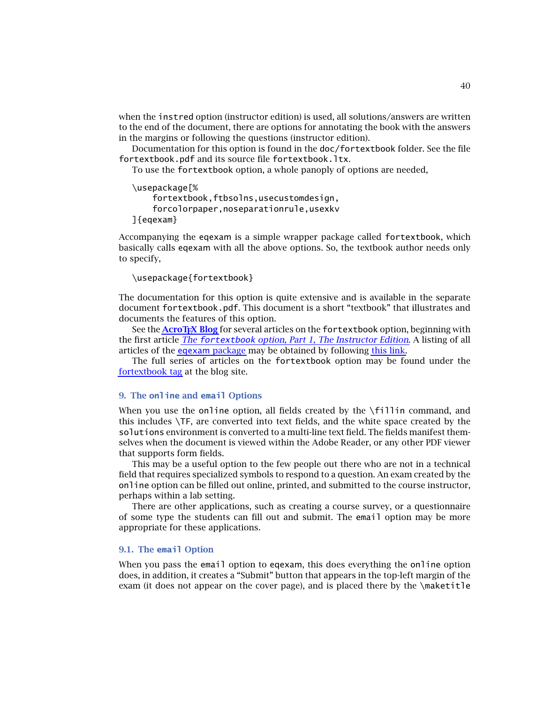40

<span id="page-39-0"></span>when the instred option (instructor edition) is used, all solutions/answers are written to the end of the document, there are options for annotating the book with the answers in the margins or following the questions (instructor edition).

Documentation for this option is found in the doc/fortextbook folder. See the file fortextbook.pdf and its source file fortextbook.ltx.

To use the fortextbook option, a whole panoply of options are needed,

```
\usepackage[%
    fortextbook,ftbsolns,usecustomdesign,
    forcolorpaper,noseparationrule,usexkv
]{eqexam}
```
Accompanying the eqexam is a simple wrapper package called fortextbook, which basically calls eqexam with all the above options. So, the textbook author needs only to specify,

```
\usepackage{fortextbook}
```
The documentation for this option is quite extensive and is available in the separate document fortextbook.pdf. This document is a short "textbook" that illustrates and documents the features of this option.

See the **[AcroTEX Blog](http://www.acrotex.net/blog)** for several articles on the fortextbook option, beginning with the first article *The* fortextbook *[option, Part 1, The Instructor Edition](http://www.acrotex.net/blog/?p=604)*. A listing of all articles of the eqexam [package](http://www.math.uakron.edu/~dpstory/eqexam.html) may be obtained by following [this link.](http://www.acrotex.net/blog/?tag=eqexam-package)

The full series of articles on the fortextbook option may be found under the [fortextbook tag](http://www.acrotex.net/blog/?tag=fortextbook) at the blog site.

# **9. The online and email Options**

When you use the online option, all fields created by the  $\lfloor$ fillin command, and this includes \TF, are converted into text fields, and the white space created by the solutions environment is converted to a multi-line text field. The fields manifest themselves when the document is viewed within the Adobe Reader, or any other PDF viewer that supports form fields.

This may be a useful option to the few people out there who are not in a technical field that requires specialized symbols to respond to a question. An exam created by the online option can be filled out online, printed, and submitted to the course instructor, perhaps within a lab setting.

There are other applications, such as creating a course survey, or a questionnaire of some type the students can fill out and submit. The email option may be more appropriate for these applications.

## **9.1. The email Option**

When you pass the email option to eqexam, this does everything the online option does, in addition, it creates a "Submit" button that appears in the top-left margin of the exam (it does not appear on the cover page), and is placed there by the \maketitle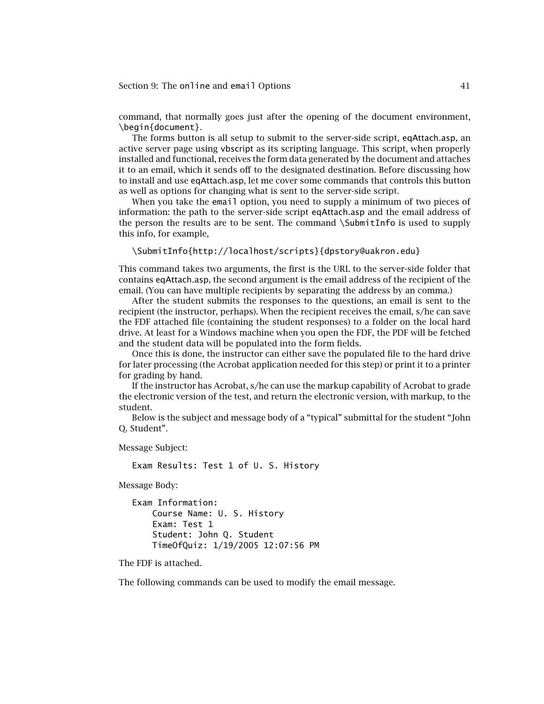command, that normally goes just after the opening of the document environment, \begin{document}.

The forms button is all setup to submit to the server-side script, eqAttach.asp, an active server page using vbscript as its scripting language. This script, when properly installed and functional, receives the form data generated by the document and attaches it to an email, which it sends off to the designated destination. Before discussing how to install and use eqAttach.asp, let me cover some commands that controls this button as well as options for changing what is sent to the server-side script.

When you take the email option, you need to supply a minimum of two pieces of information: the path to the server-side script eqAttach.asp and the email address of the person the results are to be sent. The command \SubmitInfo is used to supply this info, for example,

```
\SubmitInfo{http://localhost/scripts}{dpstory@uakron.edu}
```
This command takes two arguments, the first is the URL to the server-side folder that contains eqAttach.asp, the second argument is the email address of the recipient of the email. (You can have multiple recipients by separating the address by an comma.)

After the student submits the responses to the questions, an email is sent to the recipient (the instructor, perhaps). When the recipient receives the email, s/he can save the FDF attached file (containing the student responses) to a folder on the local hard drive. At least for a Windows machine when you open the FDF, the PDF will be fetched and the student data will be populated into the form fields.

Once this is done, the instructor can either save the populated file to the hard drive for later processing (the Acrobat application needed for this step) or print it to a printer for grading by hand.

If the instructor has Acrobat, s/he can use the markup capability of Acrobat to grade the electronic version of the test, and return the electronic version, with markup, to the student.

Below is the subject and message body of a "typical" submittal for the student "John Q. Student".

Message Subject:

Exam Results: Test 1 of U. S. History

Message Body:

```
Exam Information:
    Course Name: U. S. History
    Exam: Test 1
    Student: John Q. Student
    TimeOfQuiz: 1/19/2005 12:07:56 PM
```
The FDF is attached.

The following commands can be used to modify the email message.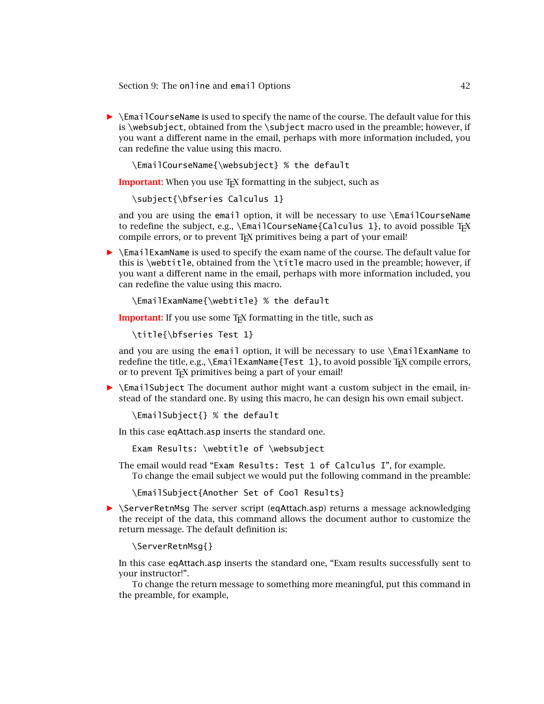**• \EmailCourseName is used to specify the name of the course. The default value for this** is \websubject, obtained from the \subject macro used in the preamble; however, if you want a different name in the email, perhaps with more information included, you can redefine the value using this macro.

\EmailCourseName{\websubject} % the default

**Important:** When you use T<sub>E</sub>X formatting in the subject, such as

\subject{\bfseries Calculus 1}

and you are using the email option, it will be necessary to use \EmailCourseName to redefine the subject, e.g.,  $\tem{Calc}$   $\text{Ca}$   $\text{l}$ , to avoid possible T<sub>E</sub>X compile errors, or to prevent T<sub>F</sub>X primitives being a part of your email!

**FIM** \EmailExamName is used to specify the exam name of the course. The default value for this is \webtitle, obtained from the \title macro used in the preamble; however, if you want a different name in the email, perhaps with more information included, you can redefine the value using this macro.

\EmailExamName{\webtitle} % the default

**Important:** If you use some T<sub>E</sub>X formatting in the title, such as

\title{\bfseries Test 1}

and you are using the email option, it will be necessary to use \EmailExamName to redefine the title, e.g.,  $\Em{Text}$   $\Em{Test}$  1}, to avoid possible  $T<sub>F</sub>X$  compile errors, or to prevent T<sub>E</sub>X primitives being a part of your email!

**>** \EmailSubject The document author might want a custom subject in the email, instead of the standard one. By using this macro, he can design his own email subject.

\EmailSubject{} % the default

In this case eqAttach.asp inserts the standard one.

Exam Results: \webtitle of \websubject

The email would read "Exam Results: Test 1 of Calculus I", for example. To change the email subject we would put the following command in the preamble:

\EmailSubject{Another Set of Cool Results}

**>** \ServerRetnMsg The server script (eqAttach.asp) returns a message acknowledging the receipt of the data, this command allows the document author to customize the return message. The default definition is:

\ServerRetnMsg{}

In this case eqAttach.asp inserts the standard one, "Exam results successfully sent to your instructor!".

To change the return message to something more meaningful, put this command in the preamble, for example,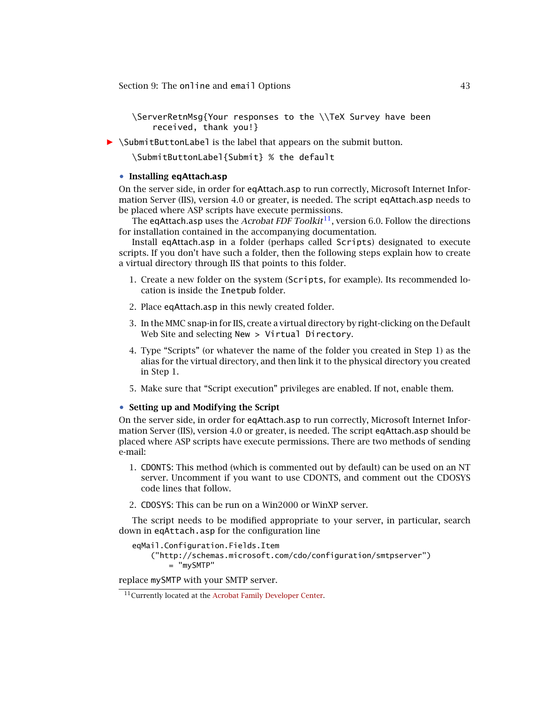\ServerRetnMsg{Your responses to the \\TeX Survey have been received, thank you!}

*-* \SubmitButtonLabel is the label that appears on the submit button.

\SubmitButtonLabel{Submit} % the default

### • **Installing eqAttach.asp**

On the server side, in order for eqAttach.asp to run correctly, Microsoft Internet Information Server (IIS), version 4.0 or greater, is needed. The script eqAttach.asp needs to be placed where ASP scripts have execute permissions.

The eqAttach.asp uses the *Acrobat FDF Toolkit*11, version 6.0. Follow the directions for installation contained in the accompanying documentation.

Install eqAttach.asp in a folder (perhaps called Scripts) designated to execute scripts. If you don't have such a folder, then the following steps explain how to create a virtual directory through IIS that points to this folder.

- 1. Create a new folder on the system (Scripts, for example). Its recommended location is inside the Inetpub folder.
- 2. Place eqAttach.asp in this newly created folder.
- 3. In the MMC snap-in for IIS, create a virtual directory by right-clicking on the Default Web Site and selecting New > Virtual Directory.
- 4. Type "Scripts" (or whatever the name of the folder you created in Step 1) as the alias for the virtual directory, and then link it to the physical directory you created in Step 1.
- 5. Make sure that "Script execution" privileges are enabled. If not, enable them.

### • **Setting up and Modifying the Script**

On the server side, in order for eqAttach.asp to run correctly, Microsoft Internet Information Server (IIS), version 4.0 or greater, is needed. The script eqAttach.asp should be placed where ASP scripts have execute permissions. There are two methods of sending e-mail:

- 1. CDONTS: This method (which is commented out by default) can be used on an NT server. Uncomment if you want to use CDONTS, and comment out the CDOSYS code lines that follow.
- 2. CDOSYS: This can be run on a Win2000 or WinXP server.

The script needs to be modified appropriate to your server, in particular, search down in eqAttach.asp for the configuration line

```
eqMail.Configuration.Fields.Item
    ("http://schemas.microsoft.com/cdo/configuration/smtpserver")
        = "mySMTP"
```
replace mySMTP with your SMTP server.

<sup>11</sup>Currently located at the [Acrobat Family Developer Center.](http://partners.adobe.com/public/developer/acrobat/devcenter.html)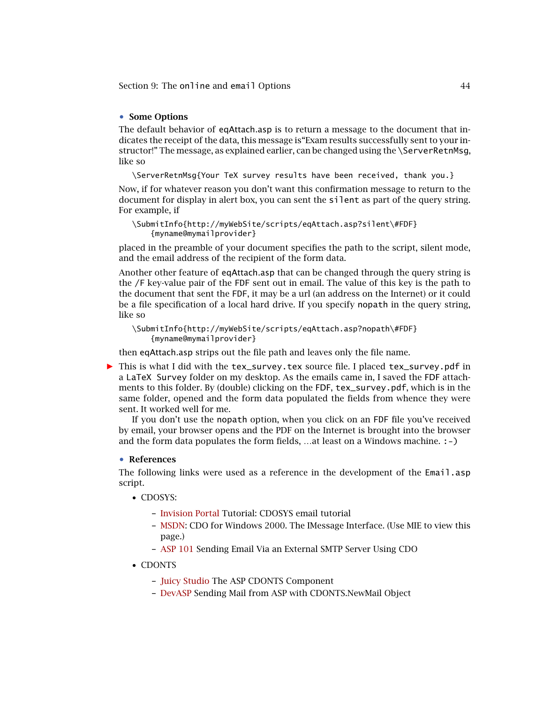# • **Some Options**

The default behavior of eqAttach.asp is to return a message to the document that indicates the receipt of the data, this message is"Exam results successfully sent to your instructor!" The message, as explained earlier, can be changed using the \ServerRetnMsg, like so

\ServerRetnMsg{Your TeX survey results have been received, thank you.}

Now, if for whatever reason you don't want this confirmation message to return to the document for display in alert box, you can sent the silent as part of the query string. For example, if

```
\SubmitInfo{http://myWebSite/scripts/eqAttach.asp?silent\#FDF}
    {myname@mymailprovider}
```
placed in the preamble of your document specifies the path to the script, silent mode, and the email address of the recipient of the form data.

Another other feature of eqAttach.asp that can be changed through the query string is the /F key-value pair of the FDF sent out in email. The value of this key is the path to the document that sent the FDF, it may be a url (an address on the Internet) or it could be a file specification of a local hard drive. If you specify nopath in the query string, like so

```
\SubmitInfo{http://myWebSite/scripts/eqAttach.asp?nopath\#FDF}
    {myname@mymailprovider}
```
then eqAttach.asp strips out the file path and leaves only the file name.

▶ This is what I did with the tex\_survey.tex source file. I placed tex\_survey.pdf in a LaTeX Survey folder on my desktop. As the emails came in, I saved the FDF attachments to this folder. By (double) clicking on the FDF, tex\_survey.pdf, which is in the same folder, opened and the form data populated the fields from whence they were sent. It worked well for me.

If you don't use the nopath option, when you click on an FDF file you've received by email, your browser opens and the PDF on the Internet is brought into the browser and the form data populates the form fields, …at least on a Windows machine. :-)

#### • **References**

The following links were used as a reference in the development of the Email.asp script.

- CDOSYS:
	- **–** [Invision Portal](http://invisionportal.com/show_tutorial.asp?TutorialID=160) Tutorial: CDOSYS email tutorial
	- **–** [MSDN:](http://msdn.microsoft.com/library/default.asp?url=/library/en-us/cdosys/html/_cdosys_imessage_interface.asp) CDO for Windows 2000. The IMessage Interface. (Use MIE to view this page.)
	- **–** [ASP 101](http://www.asp101.com/articles/john/cdosmtprelay/default.asp) Sending Email Via an External SMTP Server Using CDO
- CDONTS
	- **–** [Juicy Studio](http://www.juicystudio.com/tutorial/asp/cdonts.html) The ASP CDONTS Component
	- **–** [DevASP](http://www.devasp.com/Samples/mail.asp) Sending Mail from ASP with CDONTS.NewMail Object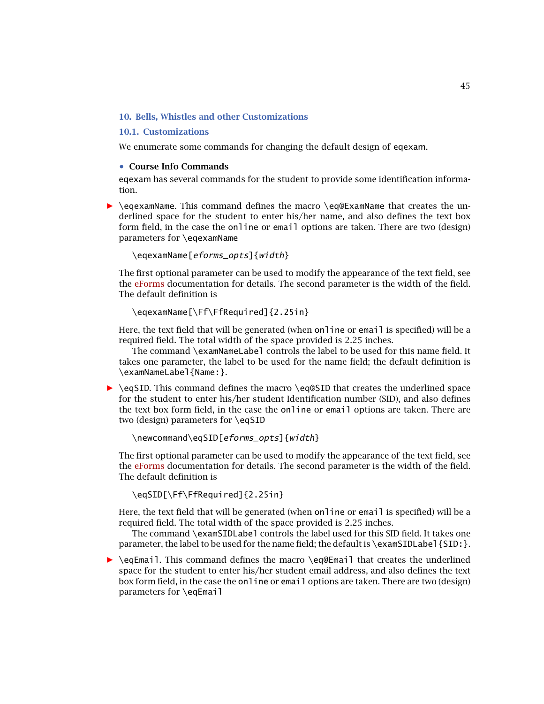# <span id="page-44-0"></span>**10. Bells, Whistles and other Customizations**

### **10.1. Customizations**

We enumerate some commands for changing the default design of eqexam.

### • **Course Info Commands**

eqexam has several commands for the student to provide some identification information.

**•** \eqexamName. This command defines the macro \eq@ExamName that creates the underlined space for the student to enter his/her name, and also defines the text box form field, in the case the online or email options are taken. There are two (design) parameters for \eqexamName

### \eqexamName[eforms\_opts]{width}

The first optional parameter can be used to modify the appearance of the text field, see the [eForms](#page-0-0) documentation for details. The second parameter is the width of the field. The default definition is

```
\eqexamName[\Ff\FfRequired]{2.25in}
```
Here, the text field that will be generated (when online or email is specified) will be a required field. The total width of the space provided is 2*.*25 inches.

The command \examNameLabel controls the label to be used for this name field. It takes one parameter, the label to be used for the name field; the default definition is \examNameLabel{Name:}.

**• \eqSID.** This command defines the macro \eq@SID that creates the underlined space for the student to enter his/her student Identification number (SID), and also defines the text box form field, in the case the online or email options are taken. There are two (design) parameters for \eqSID

\newcommand\eqSID[eforms\_opts]{width}

The first optional parameter can be used to modify the appearance of the text field, see the [eForms](#page-0-0) documentation for details. The second parameter is the width of the field. The default definition is

\eqSID[\Ff\FfRequired]{2.25in}

Here, the text field that will be generated (when online or email is specified) will be a required field. The total width of the space provided is 2*.*25 inches.

The command \examSIDLabel controls the label used for this SID field. It takes one parameter, the label to be used for the name field; the default is \examSIDLabel{SID: }.

*-* \eqEmail. This command defines the macro \eq@Email that creates the underlined space for the student to enter his/her student email address, and also defines the text box form field, in the case the online or email options are taken. There are two (design) parameters for \eqEmail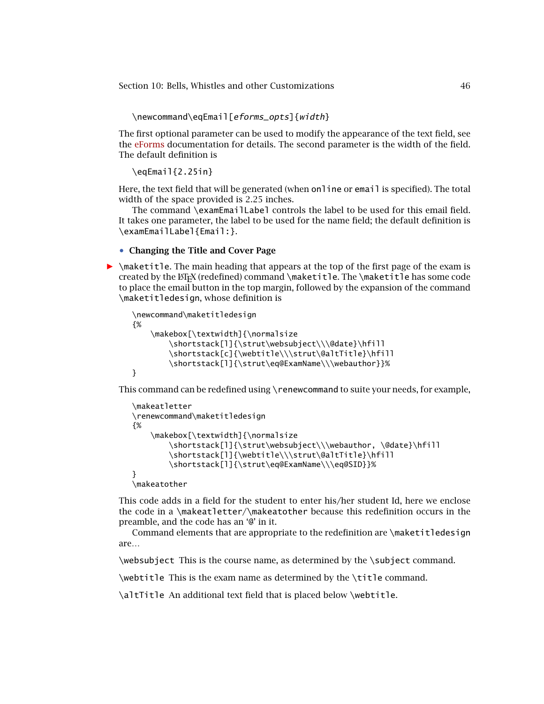\newcommand\eqEmail[eforms\_opts]{width}

The first optional parameter can be used to modify the appearance of the text field, see the [eForms](#page-0-0) documentation for details. The second parameter is the width of the field. The default definition is

\eqEmail{2.25in}

Here, the text field that will be generated (when online or email is specified). The total width of the space provided is 2*.*25 inches.

The command \examEmailLabel controls the label to be used for this email field. It takes one parameter, the label to be used for the name field; the default definition is \examEmailLabel{Email:}.

#### • **Changing the Title and Cover Page**

 $\triangleright$  \maketitle. The main heading that appears at the top of the first page of the exam is created by the  $\mathbb{E}$ T<sub>E</sub>X (redefined) command \maketitle. The \maketitle has some code to place the email button in the top margin, followed by the expansion of the command \maketitledesign, whose definition is

```
\newcommand\maketitledesign
{%
    \makebox[\textwidth]{\normalsize
        \shortstack[l]{\strut\websubject\\\@date}\hfill
        \shortstack[c]{\webtitle\\\strut\@altTitle}\hfill
        \shortstack[l]{\strut\eq@ExamName\\\webauthor}}%
}
```
This command can be redefined using \renewcommand to suite your needs, for example,

```
\makeatletter
\renewcommand\maketitledesign
{%
    \makebox[\textwidth]{\normalsize
        \shortstack[l]{\strut\websubject\\\webauthor, \@date}\hfill
        \shortstack[l]{\webtitle\\\strut\@altTitle}\hfill
        \shortstack[l]{\strut\eq@ExamName\\\eq@SID}}%
}
```
\makeatother

This code adds in a field for the student to enter his/her student Id, here we enclose the code in a \makeatletter/\makeatother because this redefinition occurs in the preamble, and the code has an '@' in it.

Command elements that are appropriate to the redefinition are \maketitledesign are…

\websubject This is the course name, as determined by the \subject command.

\webtitle This is the exam name as determined by the \title command.

\altTitle An additional text field that is placed below \webtitle.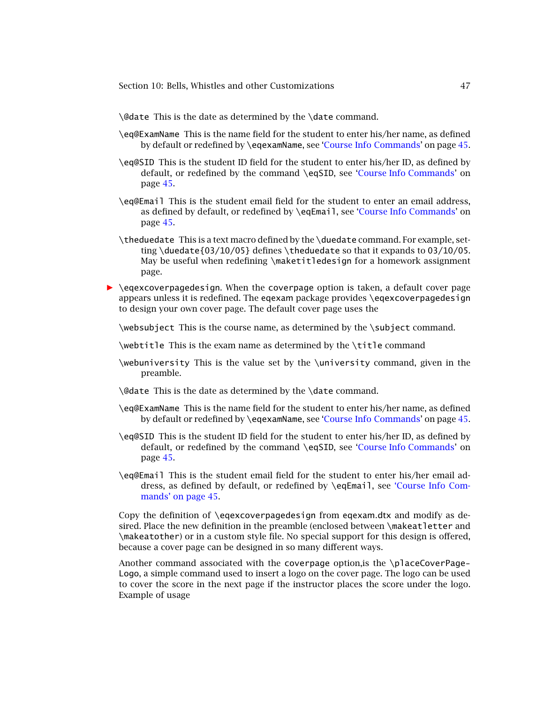\@date This is the date as determined by the \date command.

- \eq@ExamName This is the name field for the student to enter his/her name, as defined by default or redefined by \eqexamName, see ['Course Info Commands'](#page-44-0) on page [45.](#page-44-0)
- \eq@SID This is the student ID field for the student to enter his/her ID, as defined by default, or redefined by the command \eqSID, see ['Course Info Commands'](#page-44-0) on page [45.](#page-44-0)
- \eq@Email This is the student email field for the student to enter an email address, as defined by default, or redefined by \eqEmail, see ['Course Info Commands'](#page-44-0) on page [45.](#page-44-0)
- \theduedate This is a text macro defined by the \duedate command. For example, setting \duedate{03/10/05} defines \theduedate so that it expands to  $03/10/05$ . May be useful when redefining \maketitledesign for a homework assignment page.
- **•** \eqexcoverpagedesign. When the coverpage option is taken, a default cover page appears unless it is redefined. The eqexam package provides \eqexcoverpagedesign to design your own cover page. The default cover page uses the

\websubject This is the course name, as determined by the \subject command.

\webtitle This is the exam name as determined by the \title command

\webuniversity This is the value set by the \university command, given in the preamble.

\@date This is the date as determined by the \date command.

- \eq@ExamName This is the name field for the student to enter his/her name, as defined by default or redefined by \eqexamName, see ['Course Info Commands'](#page-44-0) on page [45.](#page-44-0)
- \eq@SID This is the student ID field for the student to enter his/her ID, as defined by default, or redefined by the command \eqSID, see ['Course Info Commands'](#page-44-0) on page [45.](#page-44-0)
- \eq@Email This is the student email field for the student to enter his/her email ad[dress, as defined by default, or redefined by](#page-44-0) \eqEmail, see 'Course Info Commands' on page 45.

Copy the definition of \eqexcoverpagedesign from eqexam.dtx and modify as desired. Place the new definition in the preamble (enclosed between \makeatletter and \makeatother) or in a custom style file. No special support for this design is offered, because a cover page can be designed in so many different ways.

Another command associated with the coverpage option,is the \placeCoverPage-Logo, a simple command used to insert a logo on the cover page. The logo can be used to cover the score in the next page if the instructor places the score under the logo. Example of usage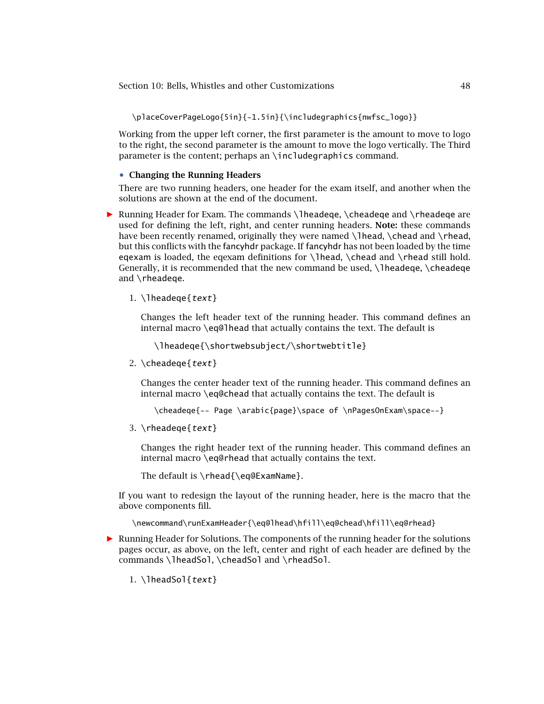\placeCoverPageLogo{5in}{-1.5in}{\includegraphics{nwfsc\_logo}}

Working from the upper left corner, the first parameter is the amount to move to logo to the right, the second parameter is the amount to move the logo vertically. The Third parameter is the content; perhaps an \includegraphics command.

### • **Changing the Running Headers**

There are two running headers, one header for the exam itself, and another when the solutions are shown at the end of the document.

**• Running Header for Exam. The commands \lheadeqe, \cheadeqe and \rheadeqe are** used for defining the left, right, and center running headers. **Note:** these commands have been recently renamed, originally they were named \lhead, \chead and \rhead, but this conflicts with the fancyhdr package. If fancyhdr has not been loaded by the time eqexam is loaded, the eqexam definitions for \lhead, \chead and \rhead still hold. Generally, it is recommended that the new command be used,  $\lceil \cdot \cdot \rceil$  headeque,  $\lceil \cdot \cdot \rceil$ and \rheadeqe.

1.  $\theta$ lheadeqe{text}

Changes the left header text of the running header. This command defines an internal macro \eq@lhead that actually contains the text. The default is

\lheadeqe{\shortwebsubject/\shortwebtitle}

2. \cheadeqe{text}

Changes the center header text of the running header. This command defines an internal macro \eq@chead that actually contains the text. The default is

\cheadeqe{-- Page \arabic{page}\space of \nPagesOnExam\space--}

3.  $\theta$ {\teadeqe{text}

Changes the right header text of the running header. This command defines an internal macro \eq@rhead that actually contains the text.

The default is \rhead{\eq@ExamName}.

If you want to redesign the layout of the running header, here is the macro that the above components fill.

\newcommand\runExamHeader{\eq@lhead\hfill\eq@chead\hfill\eq@rhead}

- *-* Running Header for Solutions. The components of the running header for the solutions pages occur, as above, on the left, center and right of each header are defined by the commands \lheadSol, \cheadSol and \rheadSol.
	- 1.  $\theta$ lheadSol{text}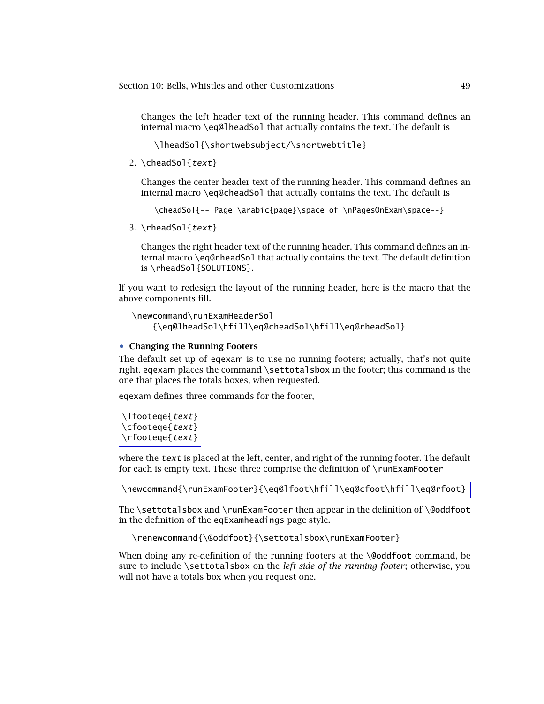Changes the left header text of the running header. This command defines an internal macro \eq@lheadSol that actually contains the text. The default is

\lheadSol{\shortwebsubject/\shortwebtitle}

2.  $\text{cheadSol} \text{text}$ 

Changes the center header text of the running header. This command defines an internal macro \eq@cheadSol that actually contains the text. The default is

```
\cheadSol{-- Page \arabic{page}\space of \nPagesOnExam\space--}
```
3. \rheadSol{text}

Changes the right header text of the running header. This command defines an internal macro \eq@rheadSol that actually contains the text. The default definition is \rheadSol{SOLUTIONS}.

If you want to redesign the layout of the running header, here is the macro that the above components fill.

```
\newcommand\runExamHeaderSol
    {\eq@lheadSol\hfill\eq@cheadSol\hfill\eq@rheadSol}
```
# • **Changing the Running Footers**

The default set up of eqexam is to use no running footers; actually, that's not quite right. eqexam places the command \settotalsbox in the footer; this command is the one that places the totals boxes, when requested.

eqexam defines three commands for the footer,

```
\lfooteqe{text}
\cfooteqe{text}
\rfooteqe{text}
```
where the  $text$  is placed at the left, center, and right of the running footer. The default for each is empty text. These three comprise the definition of \runExamFooter

\newcommand{\runExamFooter}{\eq@lfoot\hfill\eq@cfoot\hfill\eq@rfoot}

The \settotalsbox and \runExamFooter then appear in the definition of \@oddfoot in the definition of the eqExamheadings page style.

```
\renewcommand{\@oddfoot}{\settotalsbox\runExamFooter}
```
When doing any re-definition of the running footers at the \@oddfoot command, be sure to include \settotalsbox on the *left side of the running footer*; otherwise, you will not have a totals box when you request one.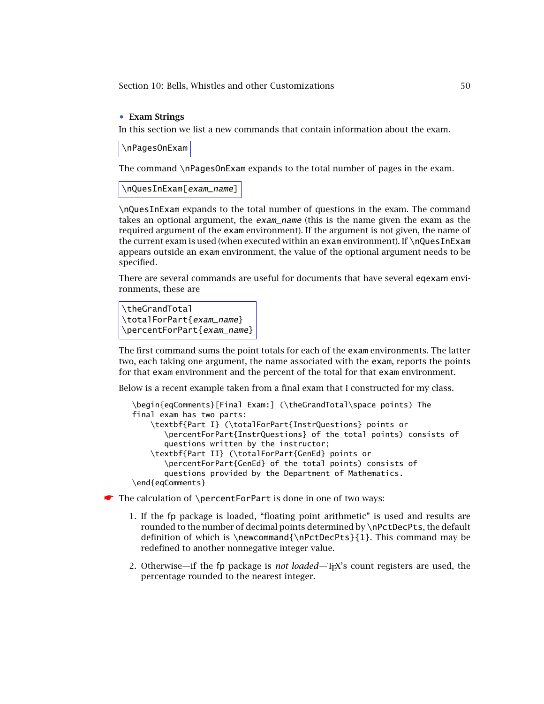# • **Exam Strings**

In this section we list a new commands that contain information about the exam.

\nPagesOnExam

The command \nPagesOnExam expands to the total number of pages in the exam.

\nQuesInExam[exam\_name]

\nQuesInExam expands to the total number of questions in the exam. The command takes an optional argument, the exam\_name (this is the name given the exam as the required argument of the exam environment). If the argument is not given, the name of the current exam is used (when executed within an exam environment). If \nQuesInExam appears outside an exam environment, the value of the optional argument needs to be specified.

There are several commands are useful for documents that have several eqexam environments, these are

```
\theGrandTotal
\totalForPart{exam_name}
\percentForPart{exam_name}
```
The first command sums the point totals for each of the exam environments. The latter two, each taking one argument, the name associated with the exam, reports the points for that exam environment and the percent of the total for that exam environment.

Below is a recent example taken from a final exam that I constructed for my class.

```
\begin{eqComments}[Final Exam:] (\theGrandTotal\space points) The
final exam has two parts:
    \textbf{Part I} (\totalForPart{InstrQuestions} points or
       \percentForPart{InstrQuestions} of the total points) consists of
       questions written by the instructor;
    \textbf{Part II} (\totalForPart{GenEd} points or
       \percentForPart{GenEd} of the total points) consists of
       questions provided by the Department of Mathematics.
\end{eqComments}
```
☛ The calculation of \percentForPart is done in one of two ways:

- 1. If the fp package is loaded, "floating point arithmetic" is used and results are rounded to the number of decimal points determined by \nPctDecPts, the default definition of which is \newcommand{\nPctDecPts}{1}. This command may be redefined to another nonnegative integer value.
- 2. Otherwise—if the fp package is *not loaded*—TEX's count registers are used, the percentage rounded to the nearest integer.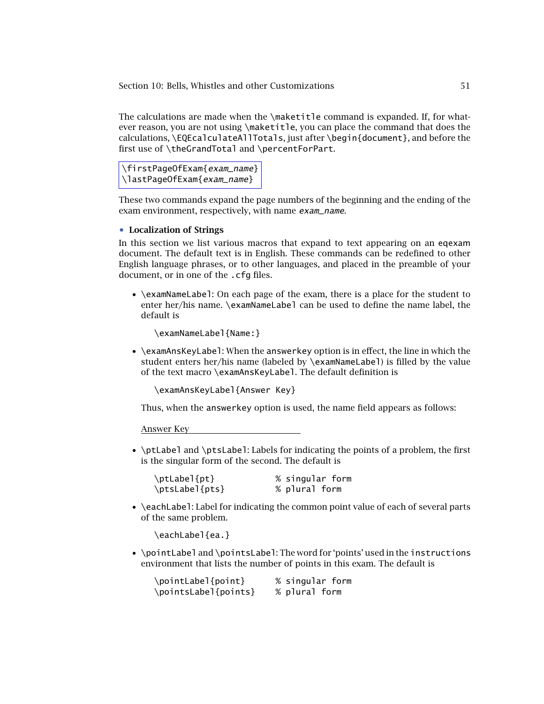The calculations are made when the \maketitle command is expanded. If, for whatever reason, you are not using \maketitle, you can place the command that does the calculations, \EQEcalculateAllTotals, just after \begin{document}, and before the first use of \theGrandTotal and \percentForPart.

\firstPageOfExam{exam\_name} \lastPageOfExam{exam\_name}

These two commands expand the page numbers of the beginning and the ending of the exam environment, respectively, with name exam\_name.

## • **Localization of Strings**

In this section we list various macros that expand to text appearing on an eqexam document. The default text is in English. These commands can be redefined to other English language phrases, or to other languages, and placed in the preamble of your document, or in one of the .cfg files.

• \examNameLabel: On each page of the exam, there is a place for the student to enter her/his name. \examNameLabel can be used to define the name label, the default is

\examNameLabel{Name:}

• \examAnsKeyLabel: When the answerkey option is in effect, the line in which the student enters her/his name (labeled by \examNameLabel) is filled by the value of the text macro \examAnsKeyLabel. The default definition is

\examAnsKeyLabel{Answer Key}

Thus, when the answerkey option is used, the name field appears as follows:

Answer Key

• \ptLabel and \ptsLabel: Labels for indicating the points of a problem, the first is the singular form of the second. The default is

| \ptLabel{pt}   | % singular form |
|----------------|-----------------|
| \ptsLabel{pts} | % plural form   |

• \eachLabel: Label for indicating the common point value of each of several parts of the same problem.

\eachLabel{ea.}

• \pointLabel and \pointsLabel: The word for 'points' used in the instructions environment that lists the number of points in this exam. The default is

| \pointLabel{point}   |  |               | % singular form |
|----------------------|--|---------------|-----------------|
| \pointsLabel{points} |  | % plural form |                 |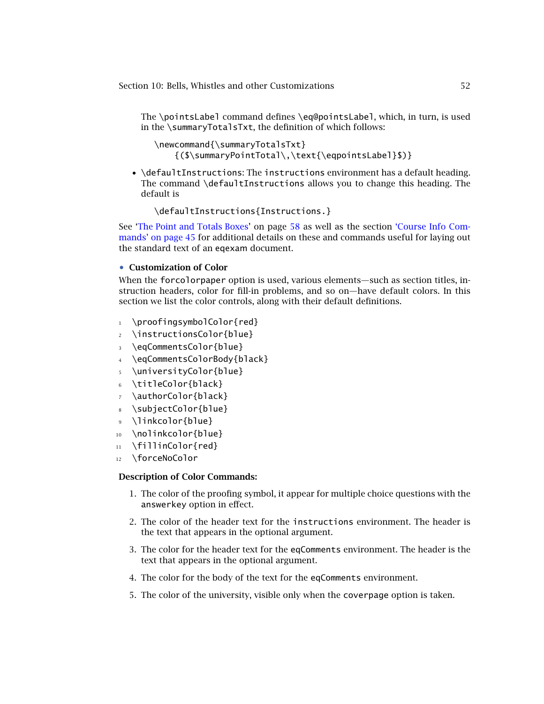The \pointsLabel command defines \eq@pointsLabel, which, in turn, is used in the \summaryTotalsTxt, the definition of which follows:

```
\newcommand{\summaryTotalsTxt}
    {($\summaryPointTotal\,\text{\eqpointsLabel}$)}
```
• \defaultInstructions: The instructions environment has a default heading. The command \defaultInstructions allows you to change this heading. The default is

\defaultInstructions{Instructions.}

See ['The Point and Totals Boxes'](#page-57-0) on page [58](#page-57-0) as well as the section 'Course Info Commands' on page 45 [for additional details on these and commands useful for laying out](#page-44-0) the standard text of an eqexam document.

# • **Customization of Color**

When the forcolorpaper option is used, various elements—such as section titles, instruction headers, color for fill-in problems, and so on—have default colors. In this section we list the color controls, along with their default definitions.

- 1 \proofingsymbolColor{red}
- <sup>2</sup> \instructionsColor{blue}
- <sup>3</sup> \eqCommentsColor{blue}
- <sup>4</sup> \eqCommentsColorBody{black}
- <sup>5</sup> \universityColor{blue}
- <sup>6</sup> \titleColor{black}
- <sup>7</sup> \authorColor{black}
- <sup>8</sup> \subjectColor{blue}
- <sup>9</sup> \linkcolor{blue}
- 10 \nolinkcolor{blue}
- 11 \fillinColor{red}
- <sup>12</sup> \forceNoColor

# **Description of Color Commands:**

- 1. The color of the proofing symbol, it appear for multiple choice questions with the answerkey option in effect.
- 2. The color of the header text for the instructions environment. The header is the text that appears in the optional argument.
- 3. The color for the header text for the eqComments environment. The header is the text that appears in the optional argument.
- 4. The color for the body of the text for the eqComments environment.
- 5. The color of the university, visible only when the coverpage option is taken.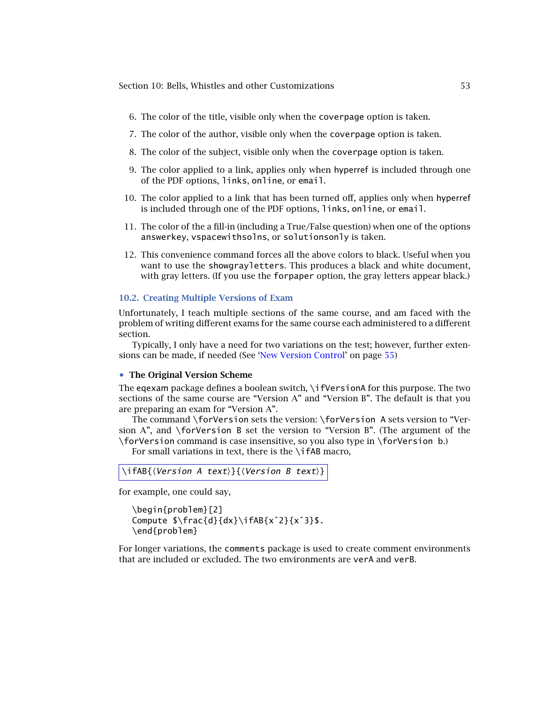- 6. The color of the title, visible only when the coverpage option is taken.
- 7. The color of the author, visible only when the coverpage option is taken.
- 8. The color of the subject, visible only when the coverpage option is taken.
- 9. The color applied to a link, applies only when hyperref is included through one of the PDF options, links, online, or email.
- 10. The color applied to a link that has been turned off, applies only when hyperref is included through one of the PDF options, links, online, or email.
- 11. The color of the a fill-in (including a True/False question) when one of the options answerkey, vspacewithsolns, or solutionsonly is taken.
- 12. This convenience command forces all the above colors to black. Useful when you want to use the showgrayletters. This produces a black and white document, with gray letters. (If you use the forpaper option, the gray letters appear black.)

## **10.2. Creating Multiple Versions of Exam**

Unfortunately, I teach multiple sections of the same course, and am faced with the problem of writing different exams for the same course each administered to a different section.

Typically, I only have a need for two variations on the test; however, further extensions can be made, if needed (See ['New Version Control'](#page-54-0) on page [55\)](#page-54-0)

#### • **The Original Version Scheme**

The eqexam package defines a boolean switch, \ifVersionA for this purpose. The two sections of the same course are "Version A" and "Version B". The default is that you are preparing an exam for "Version A".

The command \forVersion sets the version: \forVersion A sets version to "Version A", and \forVersion B set the version to "Version B". (The argument of the \forVersion command is case insensitive, so you also type in \forVersion b.)

For small variations in text, there is the \ifAB macro,

```
\left\langle \text{Version A text} \right\rangle { \left\langle \text{Version B text} \right\rangle}
```
for example, one could say,

```
\begin{problem}[2]
Compute $\frac{d}{dx}\ifAB{xˆ2}{xˆ3}$.
\end{problem}
```
For longer variations, the comments package is used to create comment environments that are included or excluded. The two environments are verA and verB.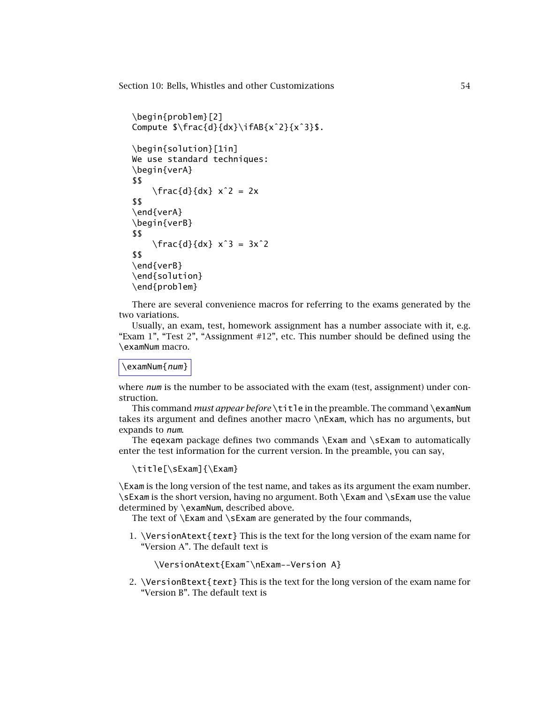```
\begin{problem}[2]
Compute $\frac{d}{dx}\ifAB{xˆ2}{xˆ3}$.
\begin{solution}[1in]
We use standard techniques:
\begin{verA}
$$
    \frac{d}{dx} x^2 = 2x$$
\end{verA}
\begin{verB}
$$
    \frac{d}{dx} x^3 = 3x^2$$
\end{verB}
\end{solution}
\end{problem}
```
There are several convenience macros for referring to the exams generated by the two variations.

Usually, an exam, test, homework assignment has a number associate with it, e.g. "Exam 1", "Test 2", "Assignment #12", etc. This number should be defined using the \examNum macro.

### \examNum{num}

where  $num$  is the number to be associated with the exam (test, assignment) under construction.

This command *must appear before* \title in the preamble. The command \examNum takes its argument and defines another macro \nExam, which has no arguments, but expands to num.

The eqexam package defines two commands  $\Examples$  and  $\skew$  and  $\skew$  to automatically enter the test information for the current version. In the preamble, you can say,

\title[\sExam]{\Exam}

\Exam is the long version of the test name, and takes as its argument the exam number. \sExam is the short version, having no argument. Both \Exam and \sExam use the value determined by \examNum, described above.

The text of  $\text{Exam}$  and  $\text{Exam}$  are generated by the four commands,

1. \VersionAtext{text} This is the text for the long version of the exam name for "Version A". The default text is

```
\VersionAtext{Exam˜\nExam--Version A}
```
2. \VersionBtext{text} This is the text for the long version of the exam name for "Version B". The default text is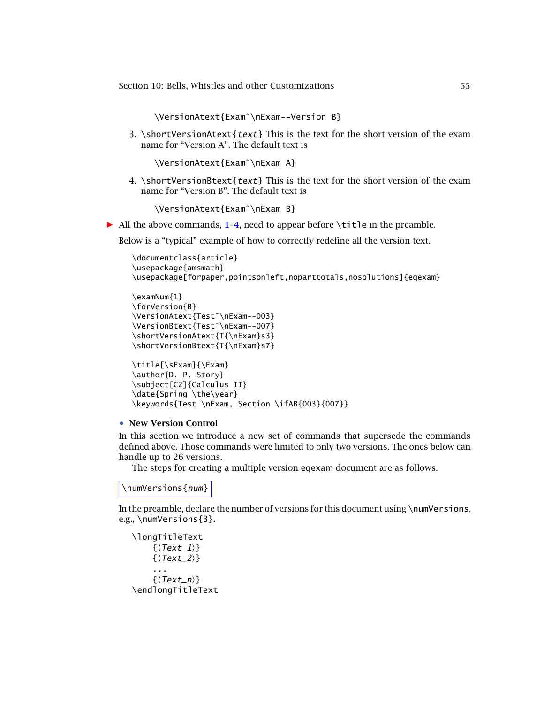\VersionAtext{Exam˜\nExam--Version B}

<span id="page-54-0"></span>3. \shortVersionAtext{text} This is the text for the short version of the exam name for "Version A". The default text is

\VersionAtext{Exam˜\nExam A}

4. \shortVersionBtext{text} This is the text for the short version of the exam name for "Version B". The default text is

\VersionAtext{Exam˜\nExam B}

*-* All the above commands, **1**–**4**, need to appear before \title in the preamble.

Below is a "typical" example of how to correctly redefine all the version text.

```
\documentclass{article}
\usepackage{amsmath}
\usepackage[forpaper,pointsonleft,noparttotals,nosolutions]{eqexam}
```

```
\examNum{1}
\forVersion{B}
\VersionAtext{Test˜\nExam--003}
\VersionBtext{Test˜\nExam--007}
\shortVersionAtext{T{\nExam}s3}
\shortVersionBtext{T{\nExam}s7}
```

```
\title[\sExam]{\Exam}
\author{D. P. Story}
\subject[C2]{Calculus II}
\date{Spring \the\year}
\keywords{Test \nExam, Section \ifAB{003}{007}}
```
#### • **New Version Control**

In this section we introduce a new set of commands that supersede the commands defined above. Those commands were limited to only two versions. The ones below can handle up to 26 versions.

The steps for creating a multiple version eqexam document are as follows.

\numVersions{num}

In the preamble, declare the number of versions for this document using \numVersions, e.g., \numVersions{3}.

\longTitleText  $\{\langle Text\_1\rangle\}$  $\{\langle Text_2\rangle\}$ ...  $\{(Text_n)\}$ \endlongTitleText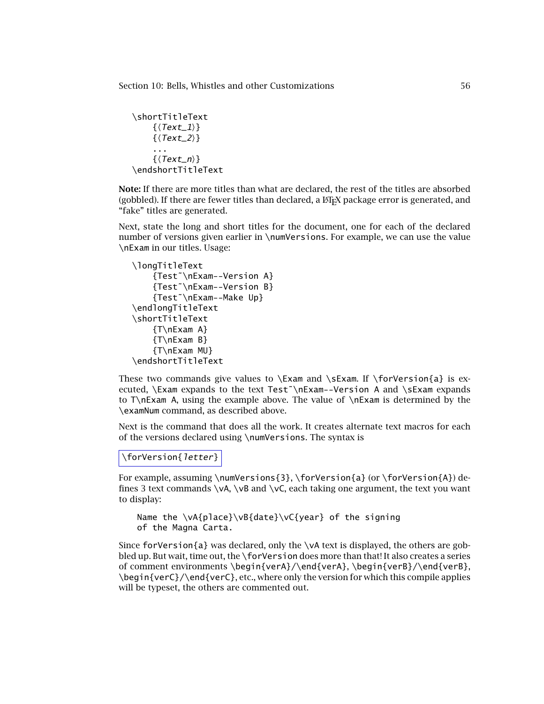```
\shortTitleText
      \{\langle Text\_1\rangle\}\{\langle Text_2\rangle\}...
      \{(Text_n)\}\endshortTitleText
```
**Note:** If there are more titles than what are declared, the rest of the titles are absorbed (gobbled). If there are fewer titles than declared, a  $E$ F<sub>F</sub>X package error is generated, and "fake" titles are generated.

Next, state the long and short titles for the document, one for each of the declared number of versions given earlier in \numVersions. For example, we can use the value \nExam in our titles. Usage:

```
\longTitleText
    {Test˜\nExam--Version A}
    {Test˜\nExam--Version B}
    {Test˜\nExam--Make Up}
\endlongTitleText
\shortTitleText
    {T\nExam A}
    {T\nExam B}
    {T\nExam MU}
\endshortTitleText
```
These two commands give values to  $\Examples$  and  $\skew$ . If  $\for\Version{a}$  is executed, \Exam expands to the text Test~\nExam--Version A and \sExam expands to T\nExam A, using the example above. The value of \nExam is determined by the \examNum command, as described above.

Next is the command that does all the work. It creates alternate text macros for each of the versions declared using \numVersions. The syntax is

# \forVersion{letter}

For example, assuming \numVersions{3}, \forVersion{a} (or \forVersion{A}) defines 3 text commands  $\v \kappa$ ,  $\n \vB$  and  $\n \vC$ , each taking one argument, the text you want to display:

```
Name the \vA{place}\vB{date}\vC{year} of the signing
of the Magna Carta.
```
Since forVersion{a} was declared, only the \vA text is displayed, the others are gobbled up. But wait, time out, the \forVersion does more than that! It also creates a series of comment environments \begin{verA}/\end{verA}, \begin{verB}/\end{verB}, \begin{verC}/\end{verC}, etc., where only the version for which this compile applies will be typeset, the others are commented out.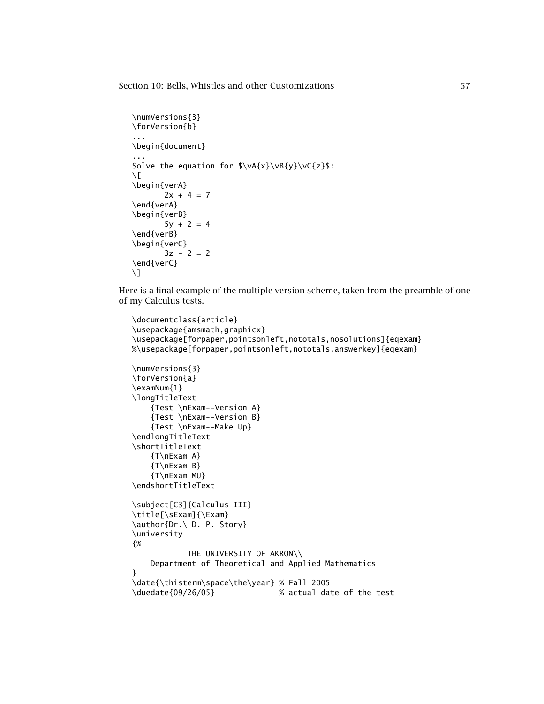```
\numVersions{3}
\forVersion{b}
...
\begin{document}
...
Solve the equation for \varepsilon\varepsilon\varepsilon\.
\setminus[
\begin{verA}
        2x + 4 = 7\end{verA}
\begin{verB}
        5y + 2 = 4\end{verB}
\begin{verC}
        3z - 2 = 2\end{verC}
\setminus]
```
Here is a final example of the multiple version scheme, taken from the preamble of one of my Calculus tests.

```
\documentclass{article}
\usepackage{amsmath,graphicx}
\usepackage[forpaper,pointsonleft,nototals,nosolutions]{eqexam}
%\usepackage[forpaper,pointsonleft,nototals,answerkey]{eqexam}
\numVersions{3}
\forVersion{a}
\examNum{1}
\longTitleText
    {Test \nExam--Version A}
    {Test \nExam--Version B}
    {Test \nExam--Make Up}
\endlongTitleText
\shortTitleText
    {T\nExam A}
    {T\nExam B}
    {T\nExam MU}
\endshortTitleText
\subject[C3]{Calculus III}
\title[\sExam]{\Exam}
\author{Dr.\ D. P. Story}
\university
{%
            THE UNIVERSITY OF AKRON\\
    Department of Theoretical and Applied Mathematics
}
\date{\thisterm\space\the\year} % Fall 2005
\duedate{09/26/05} % actual date of the test
```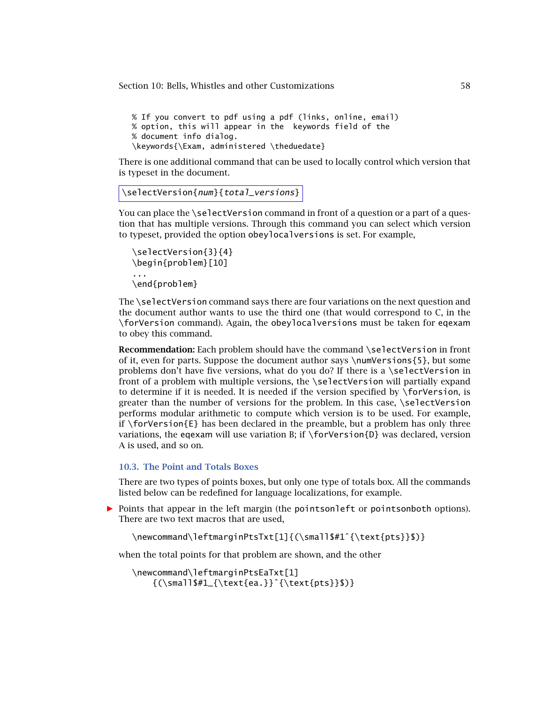<span id="page-57-0"></span>% If you convert to pdf using a pdf (links, online, email) % option, this will appear in the keywords field of the % document info dialog. \keywords{\Exam, administered \theduedate}

There is one additional command that can be used to locally control which version that is typeset in the document.

```
\selectVersion{num}{total_versions}
```
You can place the \selectVersion command in front of a question or a part of a question that has multiple versions. Through this command you can select which version to typeset, provided the option obeylocalversions is set. For example,

```
\selectVersion{3}{4}
\begin{problem}[10]
...
\end{problem}
```
The \selectVersion command says there are four variations on the next question and the document author wants to use the third one (that would correspond to C, in the \forVersion command). Again, the obeylocalversions must be taken for eqexam to obey this command.

**Recommendation:** Each problem should have the command \selectVersion in front of it, even for parts. Suppose the document author says \numVersions{5}, but some problems don't have five versions, what do you do? If there is a  $\setminus$  selectVersion in front of a problem with multiple versions, the \selectVersion will partially expand to determine if it is needed. It is needed if the version specified by \forVersion, is greater than the number of versions for the problem. In this case, \selectVersion performs modular arithmetic to compute which version is to be used. For example, if  $\forall$  for $\forall$ ersion{E} has been declared in the preamble, but a problem has only three variations, the eqexam will use variation B; if  $\forall$  for Version{D} was declared, version A is used, and so on.

### **10.3. The Point and Totals Boxes**

There are two types of points boxes, but only one type of totals box. All the commands listed below can be redefined for language localizations, for example.

**Points that appear in the left margin (the pointsonleft or pointsonboth options).** There are two text macros that are used,

\newcommand\leftmarginPtsTxt[1]{(\small\$#1ˆ{\text{pts}}\$)}

when the total points for that problem are shown, and the other

```
\newcommand\leftmarginPtsEaTxt[1]
   {(\small$#1_{\text{ea.}}ˆ{\text{pts}}$)}
```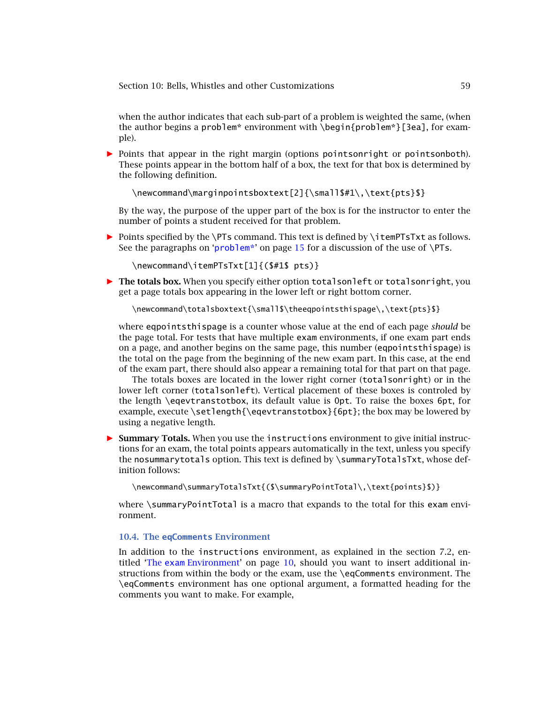when the author indicates that each sub-part of a problem is weighted the same, (when the author begins a problem\* environment with \begin{problem\*}[3ea], for example).

**Points that appear in the right margin (options pointsonright or pointsonboth).** These points appear in the bottom half of a box, the text for that box is determined by the following definition.

\newcommand\marginpointsboxtext[2]{\small\$#1\,\text{pts}\$}

By the way, the purpose of the upper part of the box is for the instructor to enter the number of points a student received for that problem.

*-* Points specified by the \PTs command. This text is defined by \itemPTsTxt as follows. See the paragraphs on '[problem\\*](#page-14-0)' on page [15](#page-14-0) for a discussion of the use of  $\P$ Ts.

\newcommand\itemPTsTxt[1]{(\$#1\$ pts)}

**• The totals box.** When you specify either option totalsonleft or totalsonright, you get a page totals box appearing in the lower left or right bottom corner.

\newcommand\totalsboxtext{\small\$\theeqpointsthispage\,\text{pts}\$}

where eqpointsthispage is a counter whose value at the end of each page *should* be the page total. For tests that have multiple exam environments, if one exam part ends on a page, and another begins on the same page, this number (eqpointsthispage) is the total on the page from the beginning of the new exam part. In this case, at the end of the exam part, there should also appear a remaining total for that part on that page.

The totals boxes are located in the lower right corner (totalsonright) or in the lower left corner (totalsonleft). Vertical placement of these boxes is controled by the length \eqevtranstotbox, its default value is 0pt. To raise the boxes 6pt, for example, execute \setlength{\eqevtranstotbox}{6pt}; the box may be lowered by using a negative length.

*-* **Summary Totals.** When you use the instructions environment to give initial instructions for an exam, the total points appears automatically in the text, unless you specify the nosummarytotals option. This text is defined by \summaryTotalsTxt, whose definition follows:

\newcommand\summaryTotalsTxt{(\$\summaryPointTotal\,\text{points}\$)}

where \summaryPointTotal is a macro that expands to the total for this exam environment.

#### **10.4. The eqComments Environment**

In addition to the instructions environment, as explained in the section 7.2, entitled 'The exam [Environment'](#page-9-0) on page [10,](#page-9-0) should you want to insert additional instructions from within the body or the exam, use the \eqComments environment. The \eqComments environment has one optional argument, a formatted heading for the comments you want to make. For example,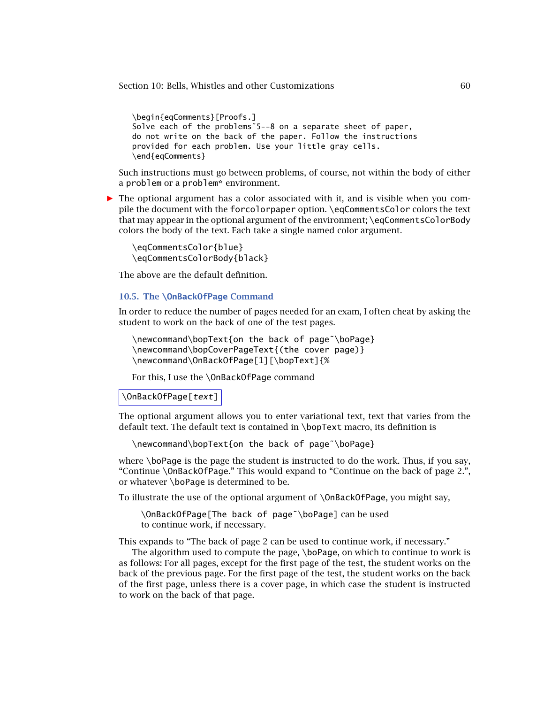```
\begin{eqComments}[Proofs.]
Solve each of the problems˜5--8 on a separate sheet of paper,
do not write on the back of the paper. Follow the instructions
provided for each problem. Use your little gray cells.
\end{eqComments}
```
Such instructions must go between problems, of course, not within the body of either a problem or a problem\* environment.

*-* The optional argument has a color associated with it, and is visible when you compile the document with the forcolorpaper option. \eqCommentsColor colors the text that may appear in the optional argument of the environment; \eqCommentsColorBody colors the body of the text. Each take a single named color argument.

\eqCommentsColor{blue} \eqCommentsColorBody{black}

The above are the default definition.

### **10.5. The \OnBackOfPage Command**

In order to reduce the number of pages needed for an exam, I often cheat by asking the student to work on the back of one of the test pages.

```
\newcommand\bopText{on the back of page˜\boPage}
\newcommand\bopCoverPageText{(the cover page)}
\newcommand\OnBackOfPage[1][\bopText]{%
```
For this, I use the \OnBackOfPage command

#### \OnBackOfPage[text]

The optional argument allows you to enter variational text, text that varies from the default text. The default text is contained in \bopText macro, its definition is

\newcommand\bopText{on the back of page˜\boPage}

where \boPage is the page the student is instructed to do the work. Thus, if you say, "Continue \OnBackOfPage." This would expand to "Continue on the back of page 2.", or whatever \boPage is determined to be.

To illustrate the use of the optional argument of \OnBackOfPage, you might say,

\OnBackOfPage[The back of page˜\boPage] can be used to continue work, if necessary.

This expands to "The back of page 2 can be used to continue work, if necessary."

The algorithm used to compute the page, \boPage, on which to continue to work is as follows: For all pages, except for the first page of the test, the student works on the back of the previous page. For the first page of the test, the student works on the back of the first page, unless there is a cover page, in which case the student is instructed to work on the back of that page.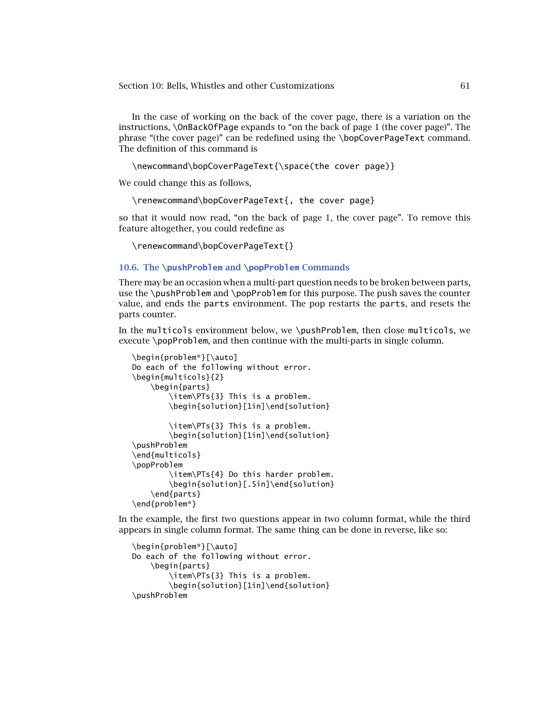In the case of working on the back of the cover page, there is a variation on the instructions, \OnBackOfPage expands to "on the back of page 1 (the cover page)". The phrase "(the cover page)" can be redefined using the \bopCoverPageText command. The definition of this command is

\newcommand\bopCoverPageText{\space(the cover page)}

We could change this as follows,

\renewcommand\bopCoverPageText{, the cover page}

so that it would now read, "on the back of page 1, the cover page". To remove this feature altogether, you could redefine as

\renewcommand\bopCoverPageText{}

### **10.6. The \pushProblem and \popProblem Commands**

There may be an occasion when a multi-part question needs to be broken between parts, use the \pushProblem and \popProblem for this purpose. The push saves the counter value, and ends the parts environment. The pop restarts the parts, and resets the parts counter.

In the multicols environment below, we \pushProblem, then close multicols, we execute \popProblem, and then continue with the multi-parts in single column.

```
\begin{problem*}[\auto]
Do each of the following without error.
\begin{multicols}{2}
    \begin{parts}
        \item\PTs{3} This is a problem.
        \begin{solution}[1in]\end{solution}
        \item\PTs{3} This is a problem.
        \begin{solution}[1in]\end{solution}
\pushProblem
\end{multicols}
\popProblem
        \item\PTs{4} Do this harder problem.
        \begin{solution}[.5in]\end{solution}
    \end{parts}
\end{problem*}
```
In the example, the first two questions appear in two column format, while the third appears in single column format. The same thing can be done in reverse, like so:

```
\begin{problem*}[\auto]
Do each of the following without error.
    \begin{parts}
        \item\PTs{3} This is a problem.
        \begin{solution}[1in]\end{solution}
\pushProblem
```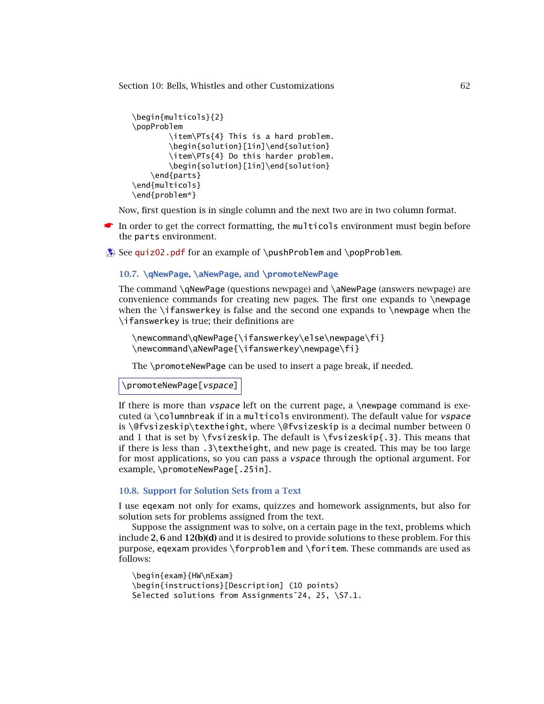```
\begin{multicols}{2}
\popProblem
        \item\PTs{4} This is a hard problem.
        \begin{solution}[1in]\end{solution}
        \item\PTs{4} Do this harder problem.
        \begin{solution}[1in]\end{solution}
    \end{parts}
\end{multicols}
\end{problem*}
```
Now, first question is in single column and the next two are in two column format.

☛ In order to get the correct formatting, the multicols environment must begin before the parts environment.

 $\circledast$  See [quiz02.pdf](http://www.acrotex.net/blog/?p=1211) for an example of \pushProblem and \popProblem.

### **10.7. \qNewPage, \aNewPage, and \promoteNewPage**

The command \qNewPage (questions newpage) and \aNewPage (answers newpage) are convenience commands for creating new pages. The first one expands to \newpage when the  $\iota$  fanswerkey is false and the second one expands to  $\iota$  newpage when the \ifanswerkey is true; their definitions are

```
\newcommand\qNewPage{\ifanswerkey\else\newpage\fi}
\newcommand\aNewPage{\ifanswerkey\newpage\fi}
```
The \promoteNewPage can be used to insert a page break, if needed.

\promoteNewPage[vspace]

If there is more than  $vspace$  left on the current page, a \newpage command is executed (a \columnbreak if in a multicols environment). The default value for vspace is \@fvsizeskip\textheight, where \@fvsizeskip is a decimal number between 0 and 1 that is set by \fvsizeskip. The default is \fvsizeskip{.3}. This means that if there is less than  $.3\text{textheight}$ , and new page is created. This may be too large for most applications, so you can pass a vspace through the optional argument. For example, \promoteNewPage[.25in].

# **10.8. Support for Solution Sets from a Text**

I use eqexam not only for exams, quizzes and homework assignments, but also for solution sets for problems assigned from the text.

Suppose the assignment was to solve, on a certain page in the text, problems which include **2**, **6** and **12(b)(d)** and it is desired to provide solutions to these problem. For this purpose, eqexam provides \forproblem and \foritem. These commands are used as follows:

```
\begin{exam}{HW\nExam}
\begin{instructions}[Description] (10 points)
Selected solutions from Assignments~24, 25, \S7.1.
```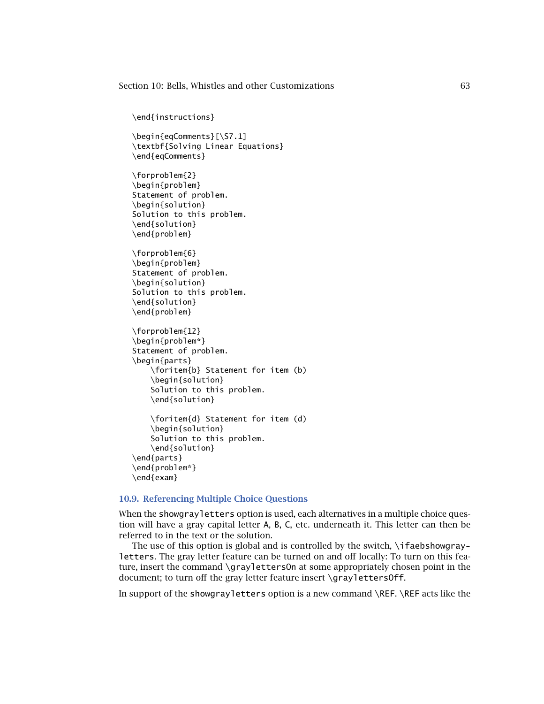<span id="page-62-0"></span>\end{instructions}

\begin{eqComments}[\S7.1] \textbf{Solving Linear Equations} \end{eqComments}

\forproblem{2} \begin{problem} Statement of problem. \begin{solution} Solution to this problem. \end{solution} \end{problem}

\forproblem{6} \begin{problem} Statement of problem. \begin{solution} Solution to this problem. \end{solution} \end{problem}

\forproblem{12} \begin{problem\*} Statement of problem. \begin{parts} \foritem{b} Statement for item (b) \begin{solution} Solution to this problem. \end{solution}

```
\foritem{d} Statement for item (d)
    \begin{solution}
    Solution to this problem.
    \end{solution}
\end{parts}
\end{problem*}
\end{exam}
```
### **10.9. Referencing Multiple Choice Questions**

When the showgrayletters option is used, each alternatives in a multiple choice question will have a gray capital letter A, B, C, etc. underneath it. This letter can then be referred to in the text or the solution.

The use of this option is global and is controlled by the switch, \ifaebshowgrayletters. The gray letter feature can be turned on and off locally: To turn on this feature, insert the command \graylettersOn at some appropriately chosen point in the document; to turn off the gray letter feature insert \graylettersOff.

In support of the showgrayletters option is a new command \REF. \REF acts like the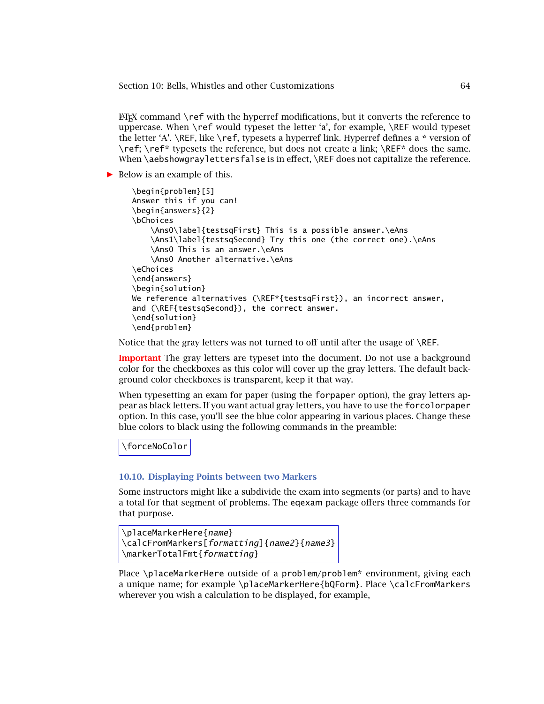$ETK$  command  $\ref$  with the hyperref modifications, but it converts the reference to uppercase. When \ref would typeset the letter 'a', for example, \REF would typeset the letter 'A'. \REF, like \ref, typesets a hyperref link. Hyperref defines a \* version of \ref; \ref\* typesets the reference, but does not create a link; \REF\* does the same. When \aebshowgraylettersfalse is in effect, \REF does not capitalize the reference.

*-* Below is an example of this.

```
\begin{problem}[5]
Answer this if you can!
\begin{answers}{2}
\bChoices
    \Ans0\label{testsqFirst} This is a possible answer.\eAns
    \Ans1\label{testsqSecond} Try this one (the correct one).\eAns
    \Ans0 This is an answer.\eAns
    \Ans0 Another alternative.\eAns
\eChoices
\end{answers}
\begin{solution}
We reference alternatives (\REF*{testsqFirst}), an incorrect answer,
and (\REF{testsqSecond}), the correct answer.
\end{solution}
\end{problem}
```
Notice that the gray letters was not turned to off until after the usage of \REF.

**Important** The gray letters are typeset into the document. Do not use a background color for the checkboxes as this color will cover up the gray letters. The default background color checkboxes is transparent, keep it that way.

When typesetting an exam for paper (using the forpaper option), the gray letters appear as black letters. If you want actual gray letters, you have to use the forcolorpaper option. In this case, you'll see the blue color appearing in various places. Change these blue colors to black using the following commands in the preamble:

\forceNoColor

#### **10.10. Displaying Points between two Markers**

Some instructors might like a subdivide the exam into segments (or parts) and to have a total for that segment of problems. The eqexam package offers three commands for that purpose.

```
\placeMarkerHere{name}
\calcFromMarkers[formatting]{name2}{name3}
\markerTotalFmt{formatting}
```
Place \placeMarkerHere outside of a problem/problem\* environment, giving each a unique name; for example \placeMarkerHere{bQForm}. Place \calcFromMarkers wherever you wish a calculation to be displayed, for example,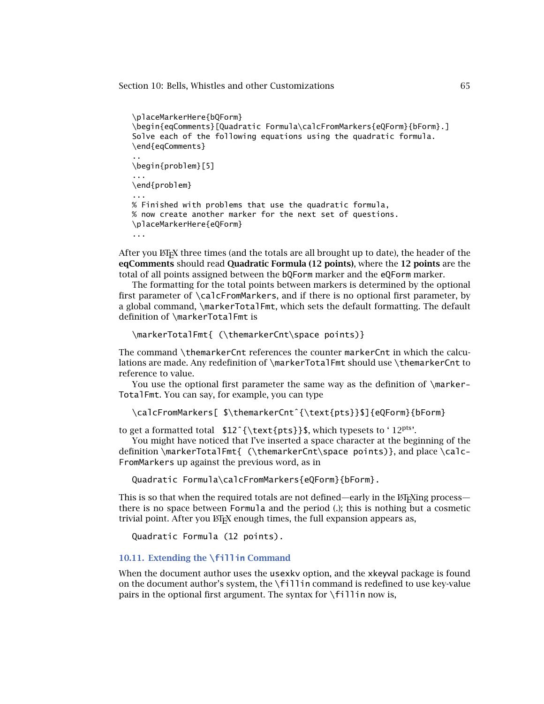```
\placeMarkerHere{bQForm}
\begin{eqComments}[Quadratic Formula\calcFromMarkers{eQForm}{bForm}.]
Solve each of the following equations using the quadratic formula.
\end{eqComments}
..
\begin{problem}[5]
...
\end{problem}
...
% Finished with problems that use the quadratic formula,
% now create another marker for the next set of questions.
\placeMarkerHere{eQForm}
...
```
After you ET<sub>E</sub>X three times (and the totals are all brought up to date), the header of the **eqComments** should read **Quadratic Formula (12 points)**, where the **12 points** are the total of all points assigned between the bQForm marker and the eQForm marker.

The formatting for the total points between markers is determined by the optional first parameter of \calcFromMarkers, and if there is no optional first parameter, by a global command, \markerTotalFmt, which sets the default formatting. The default definition of \markerTotalFmt is

```
\markerTotalFmt{ (\themarkerCnt\space points)}
```
The command \themarkerCnt references the counter markerCnt in which the calculations are made. Any redefinition of \markerTotalFmt should use \themarkerCnt to reference to value.

You use the optional first parameter the same way as the definition of \marker-TotalFmt. You can say, for example, you can type

\calcFromMarkers[ \$\themarkerCntˆ{\text{pts}}\$]{eQForm}{bForm}

to get a formatted total \$12<sup></sup>{\text{pts}}\$, which typesets to '12<sup>pts'</sup>.

You might have noticed that I've inserted a space character at the beginning of the definition \markerTotalFmt{ (\themarkerCnt\space points)}, and place \calc-FromMarkers up against the previous word, as in

Quadratic Formula\calcFromMarkers{eQForm}{bForm}.

This is so that when the required totals are not defined—early in the  $E$ F<sub>F</sub>Xing process there is no space between Formula and the period (.); this is nothing but a cosmetic trivial point. After you ETEX enough times, the full expansion appears as,

Quadratic Formula (12 points).

#### **10.11. Extending the \fillin Command**

When the document author uses the usexkv option, and the xkeyval package is found on the document author's system, the  $\frac{1}{1}$  in command is redefined to use key-value pairs in the optional first argument. The syntax for  $\frown f$  illin now is,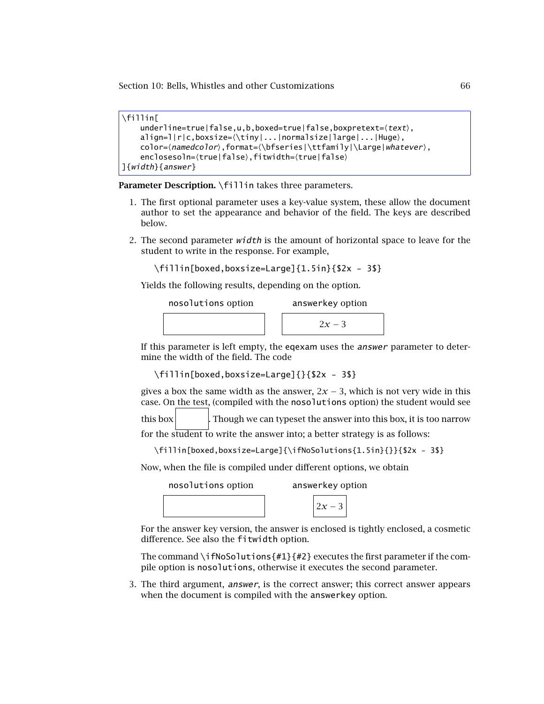```
\fillin[
     underline = true | false, u, b, boxed = true | false, boxpretext = \langle text \rangle,align=1|r|c,boxsize=\setminus \t{iny | ... |normalsize|large| ... |Huge},color=-
namedcolor,format=-
\bfseries|\ttfamily|\Large|whatever,
     enclosesoln={true|false},fitwidth={true|false}
]{width}{answer}
```
Parameter Description. \fillin takes three parameters.

- 1. The first optional parameter uses a key-value system, these allow the document author to set the appearance and behavior of the field. The keys are described below.
- 2. The second parameter  $width$  is the amount of horizontal space to leave for the student to write in the response. For example,

```
\fillin[boxed,boxsize=Large]{1.5in}{$2x - 3$}
```
Yields the following results, depending on the option.

| nosolutions option |  | answerkey option |  |  |
|--------------------|--|------------------|--|--|
|                    |  | $2x-3$           |  |  |

If this parameter is left empty, the eqexam uses the answer parameter to determine the width of the field. The code

```
\fillin[boxed,boxsize=Large]{}{$2x - 3$}
```
gives a box the same width as the answer,  $2x - 3$ , which is not very wide in this case. On the test, (compiled with the nosolutions option) the student would see

this box **that** Though we can typeset the answer into this box, it is too narrow

for the student to write the answer into; a better strategy is as follows:

```
\fillin[boxed,boxsize=Large]{\ifNoSolutions{1.5in}{}}{$2x - 3$}
```
Now, when the file is compiled under different options, we obtain

nosolutions option answerkey option

 $2x - 3$ 

For the answer key version, the answer is enclosed is tightly enclosed, a cosmetic difference. See also the fitwidth option.

The command \ifNoSolutions{#1}{#2} executes the first parameter if the compile option is nosolutions, otherwise it executes the second parameter.

3. The third argument, answer, is the correct answer; this correct answer appears when the document is compiled with the answerkey option.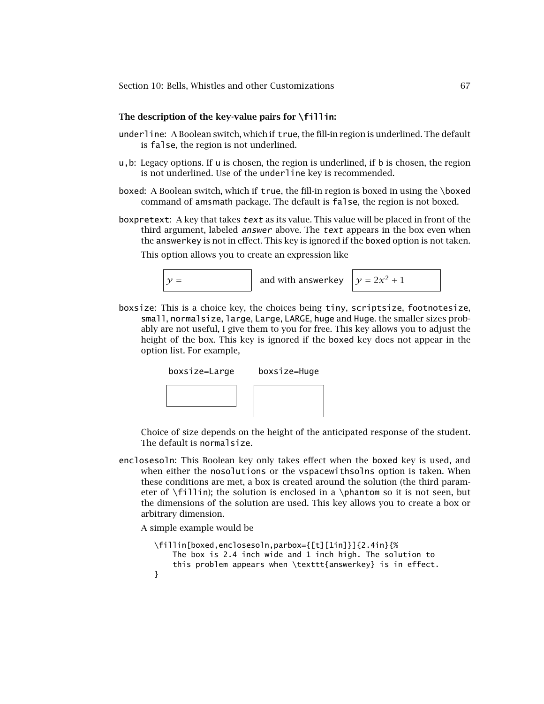### **The description of the key-value pairs for \fillin:**

- underline: A Boolean switch, which if true, the fill-in region is underlined. The default is false, the region is not underlined.
- u,b: Legacy options. If u is chosen, the region is underlined, if b is chosen, the region is not underlined. Use of the underline key is recommended.
- boxed: A Boolean switch, which if true, the fill-in region is boxed in using the \boxed command of amsmath package. The default is false, the region is not boxed.
- boxpretext: A key that takes text as its value. This value will be placed in front of the third argument, labeled *answer* above. The text appears in the box even when the answerkey is not in effect. This key is ignored if the boxed option is not taken.

This option allows you to create an expression like



boxsize: This is a choice key, the choices being tiny, scriptsize, footnotesize, small, normalsize, large, Large, LARGE, huge and Huge. the smaller sizes probably are not useful, I give them to you for free. This key allows you to adjust the height of the box. This key is ignored if the boxed key does not appear in the option list. For example,



Choice of size depends on the height of the anticipated response of the student. The default is normalsize.

enclosesoln: This Boolean key only takes effect when the boxed key is used, and when either the nosolutions or the vspacewithsolns option is taken. When these conditions are met, a box is created around the solution (the third parameter of \fillin); the solution is enclosed in a \phantom so it is not seen, but the dimensions of the solution are used. This key allows you to create a box or arbitrary dimension.

A simple example would be

```
\fillin[boxed,enclosesoln,parbox={[t][1in]}]{2.4in}{%
   The box is 2.4 inch wide and 1 inch high. The solution to
   this problem appears when \texttt{answerkey} is in effect.
}
```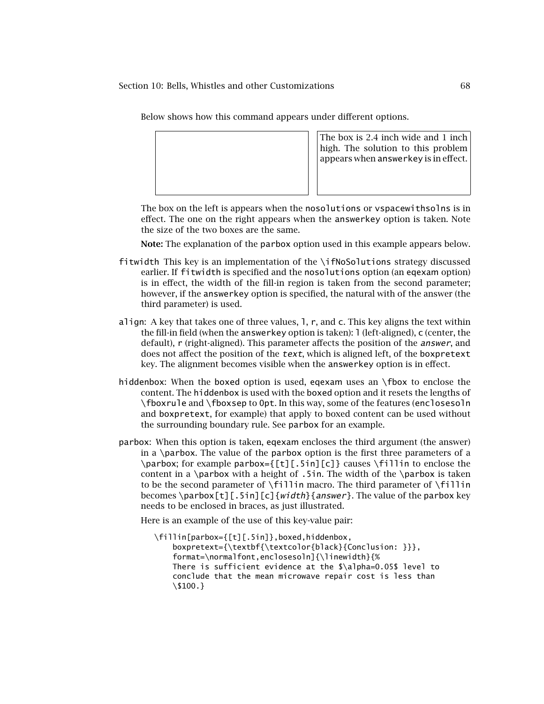Below shows how this command appears under different options.



The box on the left is appears when the nosolutions or vspacewithsolns is in effect. The one on the right appears when the answerkey option is taken. Note the size of the two boxes are the same.

**Note:** The explanation of the parbox option used in this example appears below.

- fitwidth This key is an implementation of the  $\iota$ ifNoSolutions strategy discussed earlier. If fitwidth is specified and the nosolutions option (an eqexam option) is in effect, the width of the fill-in region is taken from the second parameter; however, if the answerkey option is specified, the natural with of the answer (the third parameter) is used.
- align: A key that takes one of three values, l, r, and c. This key aligns the text within the fill-in field (when the answerkey option is taken): l (left-aligned), c (center, the default), r (right-aligned). This parameter affects the position of the *answer*, and does not affect the position of the text, which is aligned left, of the boxpretext key. The alignment becomes visible when the answerkey option is in effect.
- hiddenbox: When the boxed option is used, eqexam uses an \fbox to enclose the content. The hiddenbox is used with the boxed option and it resets the lengths of \fboxrule and \fboxsep to 0pt. In this way, some of the features (enclosesoln and boxpretext, for example) that apply to boxed content can be used without the surrounding boundary rule. See parbox for an example.
- parbox: When this option is taken, eqexam encloses the third argument (the answer) in a \parbox. The value of the parbox option is the first three parameters of a \parbox; for example parbox={[t][.5in][c]} causes \fillin to enclose the content in a  $\partlength$  with a height of .5in. The width of the  $\partlength$  is taken to be the second parameter of \fillin macro. The third parameter of \fillin becomes \parbox[t][.5in][c]{width}{answer}. The value of the parbox key needs to be enclosed in braces, as just illustrated.

Here is an example of the use of this key-value pair:

\fillin[parbox={[t][.5in]},boxed,hiddenbox, boxpretext={\textbf{\textcolor{black}{Conclusion: }}}, format=\normalfont,enclosesoln]{\linewidth}{% There is sufficient evidence at the \$\alpha=0.05\$ level to conclude that the mean microwave repair cost is less than \\$100.}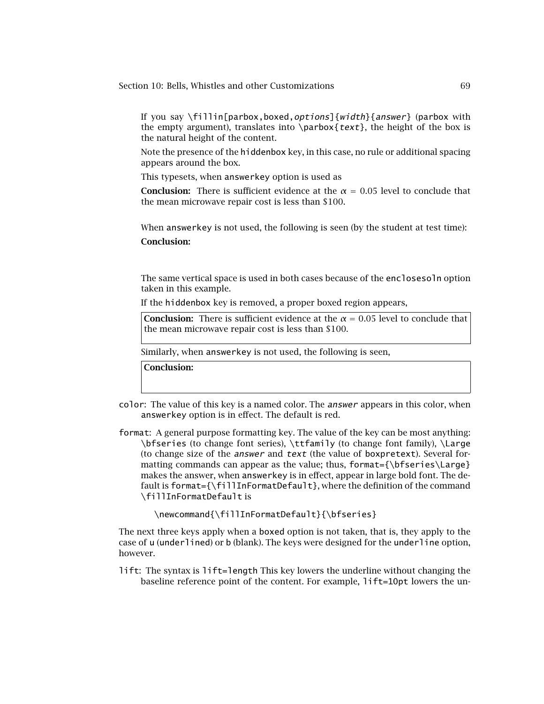If you say  $\lfloor$ fillin[parbox,boxed,options]{width}{answer} (parbox with the empty argument), translates into  $\partial_{text}$ , the height of the box is the natural height of the content.

Note the presence of the hiddenbox key, in this case, no rule or additional spacing appears around the box.

This typesets, when answerkey option is used as

**Conclusion:** There is sufficient evidence at the  $\alpha = 0.05$  level to conclude that the mean microwave repair cost is less than \$100.

When answerkey is not used, the following is seen (by the student at test time): **Conclusion:**

The same vertical space is used in both cases because of the enclosesoln option taken in this example.

If the hiddenbox key is removed, a proper boxed region appears,

**Conclusion:** There is sufficient evidence at the  $\alpha = 0.05$  level to conclude that the mean microwave repair cost is less than \$100.

Similarly, when answerkey is not used, the following is seen,

**Conclusion:**

- color: The value of this key is a named color. The answer appears in this color, when answerkey option is in effect. The default is red.
- format: A general purpose formatting key. The value of the key can be most anything: \bfseries (to change font series), \ttfamily (to change font family), \Large (to change size of the answer and text (the value of boxpretext). Several formatting commands can appear as the value; thus, format= ${\bf \Theta}\$ makes the answer, when answerkey is in effect, appear in large bold font. The default is format={\fillInFormatDefault}, where the definition of the command \fillInFormatDefault is

\newcommand{\fillInFormatDefault}{\bfseries}

The next three keys apply when a boxed option is not taken, that is, they apply to the case of u (underlined) or b (blank). The keys were designed for the underline option, however.

lift: The syntax is lift=length This key lowers the underline without changing the baseline reference point of the content. For example, lift=10pt lowers the un-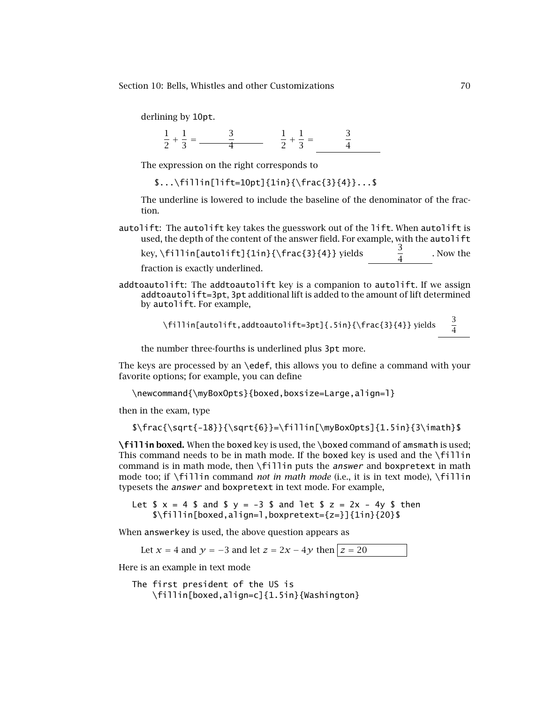derlining by 10pt.

1  $\frac{1}{2}$  +  $\frac{1}{3} = \frac{3}{4}$ 1  $\frac{1}{2}$  +  $\frac{1}{3} = \frac{3}{4}$ 4

The expression on the right corresponds to

\$...\fillin[lift=10pt]{1in}{\frac{3}{4}}...\$

The underline is lowered to include the baseline of the denominator of the fraction.

autolift: The autolift key takes the guesswork out of the lift. When autolift is used, the depth of the content of the answer field. For example, with the autolift

key,  $\fn[autolift]{1in}{\frac{3}{4}}$  yields . Now the

fraction is exactly underlined.

addtoautolift: The addtoautolift key is a companion to autolift. If we assign addtoautolift=3pt, 3pt additional lift is added to the amount of lift determined by autolift. For example,

> \fillin[autolift,addtoautolift=3pt]{.5in}{\frac{3}{4}} yields  $\overline{4}$

the number three-fourths is underlined plus 3pt more.

The keys are processed by an \edef, this allows you to define a command with your favorite options; for example, you can define

\newcommand{\myBoxOpts}{boxed,boxsize=Large,align=l}

then in the exam, type

 $\frac{\sqrt{-18}}{\sqrt{6}}=\fill\n$  [\myBoxOpts]{1.5in}{3\imath}\$

**\fillin boxed.** When the boxed key is used, the \boxed command of amsmath is used; This command needs to be in math mode. If the boxed key is used and the \fillin command is in math mode, then \fillin puts the *answer* and boxpretext in math mode too; if \fillin command *not in math mode* (i.e., it is in text mode), \fillin typesets the answer and boxpretext in text mode. For example,

Let  $$ x = 4 $ and $ y = -3 $ and let $ z = 2x - 4y $ then$ \$\fillin[boxed,align=l,boxpretext={z=}]{1in}{20}\$

When answerkey is used, the above question appears as

Let  $x = 4$  and  $y = -3$  and let  $z = 2x - 4y$  then  $z = 20$ 

Here is an example in text mode

```
The first president of the US is
    \fillin[boxed,align=c]{1.5in}{Washington}
```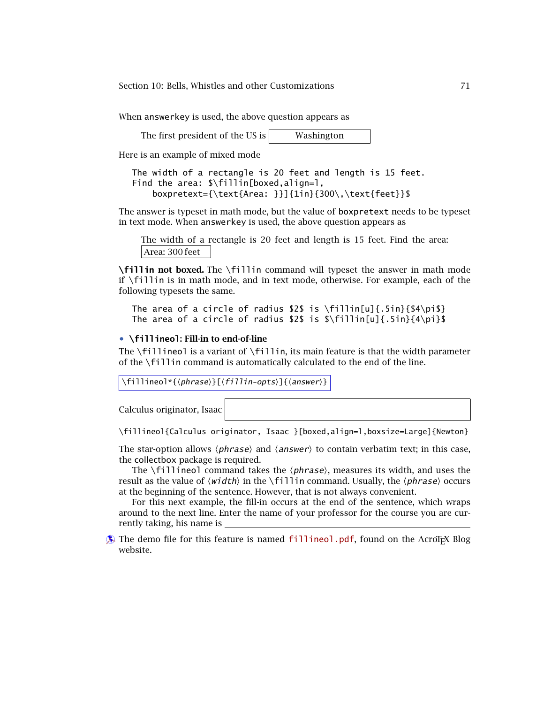When answerkey is used, the above question appears as

The first president of the US is  $\vert$  Washington

Here is an example of mixed mode

```
The width of a rectangle is 20 feet and length is 15 feet.
Find the area: $\fillin[boxed,align=l,
    boxpretext={\text{Area: }}]{1in}{300\,\text{feet}}$
```
The answer is typeset in math mode, but the value of boxpretext needs to be typeset in text mode. When answerkey is used, the above question appears as

The width of a rectangle is 20 feet and length is 15 feet. Find the area: Area: 300 feet

**\fillin not boxed.** The \fillin command will typeset the answer in math mode if \fillin is in math mode, and in text mode, otherwise. For example, each of the following typesets the same.

```
The area of a circle of radius $2$ is \fillin[u]{.5in}{$4\pi$}
The area of a circle of radius $2$ is \lfloor \frac{n}{4}\rfloor. 5in}{4\pi}$
```
#### • **\fillineol: Fill-in to end-of-line**

The \fillineol is a variant of \fillin, its main feature is that the width parameter of the \fillin command is automatically calculated to the end of the line.

 $\left\{ \phi \right\} \equiv \left\{ \phi \right\} \equiv \left\{ \phi \right\} \equiv \left\{ \phi \right\} \equiv \left\{ \phi \right\} \equiv \left\{ \phi \right\} \equiv \left\{ \phi \right\} \equiv \left\{ \phi \right\} \equiv \left\{ \phi \right\} \equiv \left\{ \phi \right\} \equiv \left\{ \phi \right\} \equiv \left\{ \phi \right\} \equiv \left\{ \phi \right\} \equiv \left\{ \phi \right\} \equiv \left\{ \phi \right\} \equiv \left\{ \phi \right\} \equiv \left\{ \phi \right\} \equiv \left\{ \phi \right\} \equiv \left\{$ 

Calculus originator, Isaac

\fillineol{Calculus originator, Isaac }[boxed,align=l,boxsize=Large]{Newton}

The star-option allows  $\langle phrase \rangle$  and  $\langle answer \rangle$  to contain verbatim text; in this case, the collectbox package is required.

The  $\left\{\text{fill}\right\}$  command takes the  $\left\{\text{phrase}\right\}$ , measures its width, and uses the result as the value of *(width*) in the **\fillin** command. Usually, the *\phrase*} occurs at the beginning of the sentence. However, that is not always convenient.

For this next example, the fill-in occurs at the end of the sentence, which wraps around to the next line. Enter the name of your professor for the course you are currently taking, his name is

 $\circledast$  The demo file for this feature is named [fillineol.pdf](http://www.acrotex.net/blog/?p=1356), found on the AcroTEX Blog website.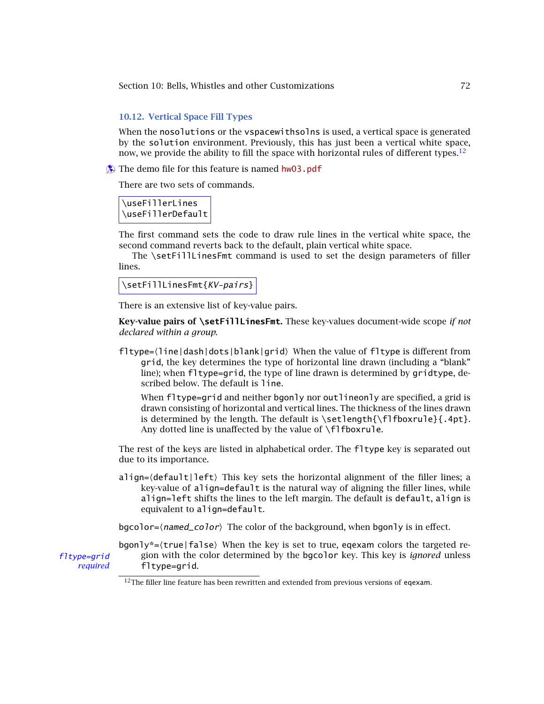## **10.12. Vertical Space Fill Types**

When the nosolutions or the vspacewithsolns is used, a vertical space is generated by the solution environment. Previously, this has just been a vertical white space, now, we provide the ability to fill the space with horizontal rules of different types.<sup>12</sup>

 $\Diamond$  The demo file for this feature is named [hw03.pdf](http://www.acrotex.net/blog/?p=1222)

There are two sets of commands.

\useFillerLines \useFillerDefault

The first command sets the code to draw rule lines in the vertical white space, the second command reverts back to the default, plain vertical white space.

The \setFillLinesFmt command is used to set the design parameters of filler lines.

\setFillLinesFmt{KV-pairs}

There is an extensive list of key-value pairs.

**Key-value pairs of \setFillLinesFmt.** These key-values document-wide scope *if not declared within a group*.

fltype=(line|dash|dots|blank|grid) When the value of fltype is different from grid, the key determines the type of horizontal line drawn (including a "blank" line); when fltype=grid, the type of line drawn is determined by gridtype, described below. The default is line.

When fltype=grid and neither bgonly nor outlineonly are specified, a grid is drawn consisting of horizontal and vertical lines. The thickness of the lines drawn is determined by the length. The default is  $\setminus \setminus \{ \cdot \}$  flfboxrule { .4pt }. Any dotted line is unaffected by the value of  $\f$ flfboxrule.

The rest of the keys are listed in alphabetical order. The fltype key is separated out due to its importance.

align=(default|left) This key sets the horizontal alignment of the filler lines; a key-value of align=default is the natural way of aligning the filler lines, while align=left shifts the lines to the left margin. The default is default, align is equivalent to align=default.

bgcolor= $\langle$ *named\_color* $\rangle$  The color of the background, when bgonly is in effect.

bgonly\*={true|false} When the key is set to true, eqexam colors the targeted refltype=grid gion with the color determined by the bgcolor key. This key is *ignored* unless *required* fltype=grid.

 $12$ The filler line feature has been rewritten and extended from previous versions of eqexam.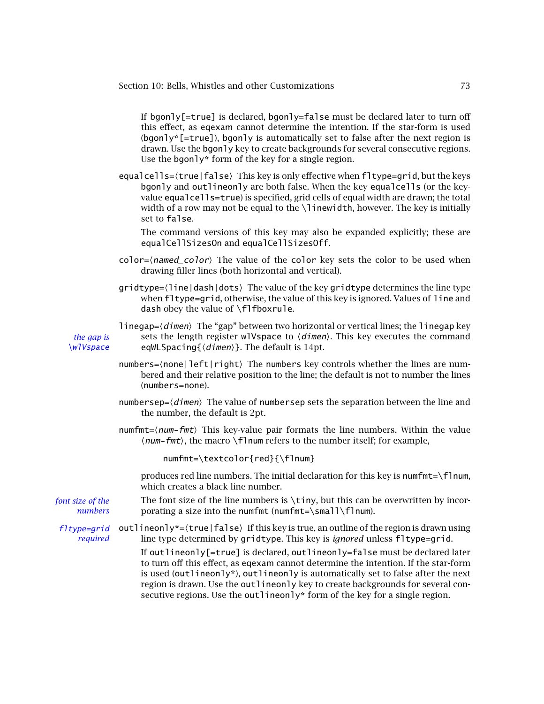If bgonly  $[=true]$  is declared, bgonly=false must be declared later to turn off this effect, as eqexam cannot determine the intention. If the star-form is used  $(ba)$ <sup>\*</sup>[=true]), bgon] v is automatically set to false after the next region is drawn. Use the boonly key to create backgrounds for several consecutive regions. Use the bgonly\* form of the key for a single region.

equalcells={true|false} This key is only effective when fltype=grid, but the keys bgonly and outlineonly are both false. When the key equalcells (or the keyvalue equalcells=true) is specified, grid cells of equal width are drawn; the total width of a row may not be equal to the \linewidth, however. The key is initially set to false.

The command versions of this key may also be expanded explicitly; these are equalCellSizesOn and equalCellSizesOff.

- color= $\langle$ *named\_color* $\rangle$  The value of the color key sets the color to be used when drawing filler lines (both horizontal and vertical).
- gridtype= $\langle$ line|dash|dots $\rangle$  The value of the key gridtype determines the line type when fltype=grid, otherwise, the value of this key is ignored. Values of line and dash obey the value of \flfboxrule.

linegap= $\langle$ *dimen* $\rangle$  The "gap" between two horizontal or vertical lines; the linegap key *the gap is* sets the length register wlVspace to  $\langle$ *dimen* $\rangle$ . This key executes the command  $\W$ / $\forall$ space eqWLSpacing{ $\langle$ dimen $\rangle$ }. The default is 14pt.

- numbers=(none|left|right) The numbers key controls whether the lines are numbered and their relative position to the line; the default is not to number the lines (numbers=none).
- ${\sf numbersep}{=}\langle{\sf dimen}\rangle$  The value of numbersep sets the separation between the line and the number, the default is 2pt.
- $number = \langle num-fmt \rangle$  This key-value pair formats the line numbers. Within the value  $\langle num-fmt\rangle$ , the macro  $\{\text{Flnum refers to the number itself; for example,}\$

numfmt=\textcolor{red}{\flnum}

produces red line numbers. The initial declaration for this key is numfmt=\flnum, which creates a black line number.

*font size of the* The font size of the line numbers is \tiny, but this can be overwritten by incor*numbers* porating a size into the numfmt (numfmt=\small\flnum).

 $flype=grid$  outlineonly\*= $\langle true | false \rangle$  If this key is true, an outline of the region is drawn using *required* line type determined by gridtype. This key is *ignored* unless fltype=grid.

> If outlineonly[=true] is declared, outlineonly=false must be declared later to turn off this effect, as eqexam cannot determine the intention. If the star-form is used (outlineonly\*), outlineonly is automatically set to false after the next region is drawn. Use the outlineonly key to create backgrounds for several consecutive regions. Use the outlineonly\* form of the key for a single region.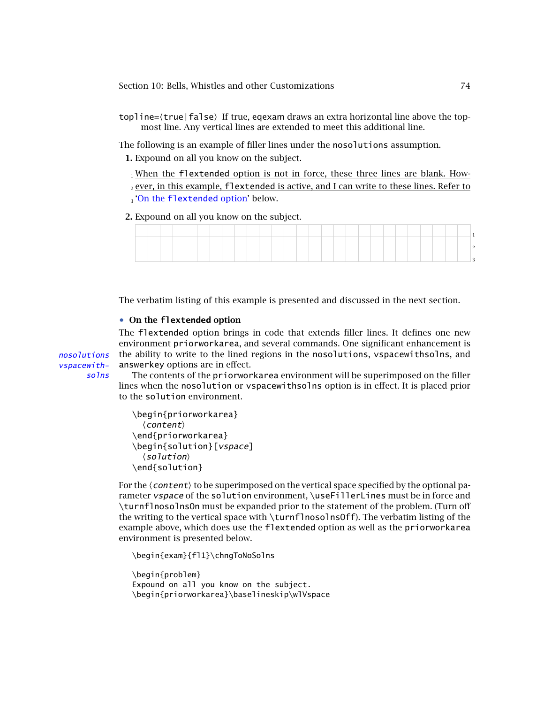topline= $\langle$ true|false $\rangle$  If true, eqexam draws an extra horizontal line above the topmost line. Any vertical lines are extended to meet this additional line.

The following is an example of filler lines under the nosolutions assumption.

- **1.** Expound on all you know on the subject.
	- $_1$  When the flextended option is not in force, these three lines are blank. How-
	- $_2$  ever, in this example, <code>flextended</code> is active, and I can write to these lines. Refer to <sub>3</sub> <u>'On the flextended option' below.</u>
- **2.** Expound on all you know on the subject.

|  |  |  |  |  |  |  |  |  |  |  |  |  |  | $\cdot$ |
|--|--|--|--|--|--|--|--|--|--|--|--|--|--|---------|

The verbatim listing of this example is presented and discussed in the next section.

### • **On the flextended option**

The flextended option brings in code that extends filler lines. It defines one new environment priorworkarea, and several commands. One significant enhancement is nosolutions the ability to write to the lined regions in the nosolutions, vspacewithsolns, and answerkey options are in effect.

vspacewithsolns

The contents of the priorworkarea environment will be superimposed on the filler lines when the nosolution or vspacewithsolns option is in effect. It is placed prior to the solution environment.

```
\begin{priorworkarea}
  \langle content \rangle\end{priorworkarea}
\begin{solution}[vspace]
  \langle solution \rangle\end{solution}
```
For the  $\langle$  content $\rangle$  to be superimposed on the vertical space specified by the optional parameter *vspace* of the solution environment, \useFillerLines must be in force and \turnflnosolnsOn must be expanded prior to the statement of the problem. (Turn off the writing to the vertical space with \turnflnosolnsOff). The verbatim listing of the example above, which does use the flextended option as well as the priorworkarea environment is presented below.

```
\begin{exam}{fl1}\chngToNoSolns
```

```
\begin{problem}
Expound on all you know on the subject.
\begin{priorworkarea}\baselineskip\wlVspace
```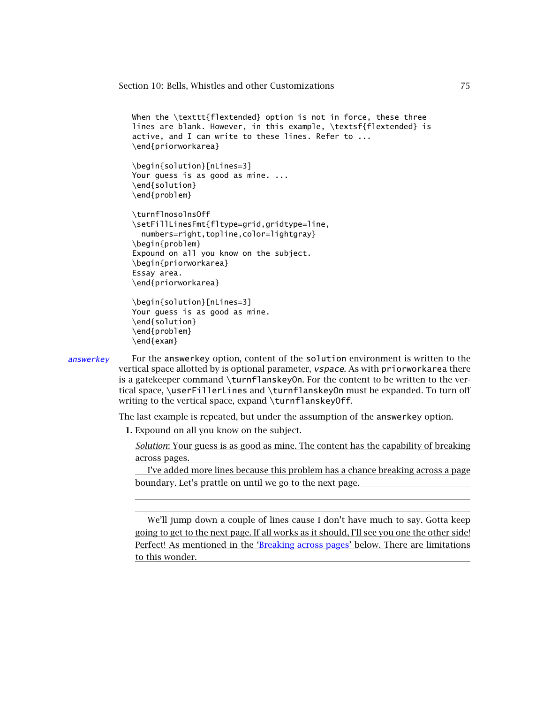```
When the \texttt{flextended} option is not in force, these three
lines are blank. However, in this example, \textsf{flextended} is
active, and I can write to these lines. Refer to ...
\end{priorworkarea}
```

```
\begin{solution}[nLines=3]
Your guess is as good as mine. ...
\end{solution}
\end{problem}
```

```
\turnflnosolnsOff
\setFillLinesFmt{fltype=grid,gridtype=line,
 numbers=right,topline,color=lightgray}
\begin{problem}
Expound on all you know on the subject.
\begin{priorworkarea}
Essay area.
\end{priorworkarea}
```

```
\begin{solution}[nLines=3]
Your guess is as good as mine.
\end{solution}
\end{problem}
\end{exam}
```
 $answerkey$  For the answerkey option, content of the solution environment is written to the vertical space allotted by is optional parameter, vspace. As with priorworkarea there is a gatekeeper command \turnflanskeyOn. For the content to be written to the vertical space, \userFillerLines and \turnflanskeyOn must be expanded. To turn off writing to the vertical space, expand \turnflanskeyOff.

The last example is repeated, but under the assumption of the answerkey option.

**1.** Expound on all you know on the subject.

*Solution*: Your guess is as good as mine. The content has the capability of breaking across pages.

I've added more lines because this problem has a chance breaking across a page boundary. Let's prattle on until we go to the next page.

We'll jump down a couple of lines cause I don't have much to say. Gotta keep going to get to the next page. If all works as it should, I'll see you one the other side! Perfect! As mentioned in the ['Breaking across pages'](#page-75-0) below. There are limitations to this wonder.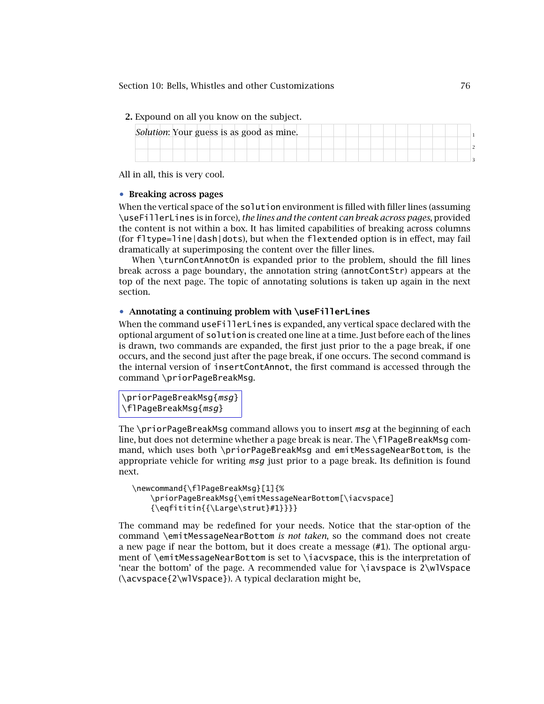<span id="page-75-0"></span>**2.** Expound on all you know on the subject.

|  |  |  |  |  |  | Solution: Your guess is as good as mine. |  |  |  |  |  |  |  |  |
|--|--|--|--|--|--|------------------------------------------|--|--|--|--|--|--|--|--|
|  |  |  |  |  |  |                                          |  |  |  |  |  |  |  |  |
|  |  |  |  |  |  |                                          |  |  |  |  |  |  |  |  |

All in all, this is very cool.

# • **Breaking across pages**

When the vertical space of the solution environment is filled with filler lines (assuming \useFillerLines is in force), *the lines and the content can break across pages*, provided the content is not within a box. It has limited capabilities of breaking across columns (for fltype=line|dash|dots), but when the flextended option is in effect, may fail dramatically at superimposing the content over the filler lines.

When \turnContAnnotOn is expanded prior to the problem, should the fill lines break across a page boundary, the annotation string (annotContStr) appears at the top of the next page. The topic of annotating solutions is taken up again in the next section.

### • **Annotating a continuing problem with \useFillerLines**

When the command useFillerLines is expanded, any vertical space declared with the optional argument of solution is created one line at a time. Just before each of the lines is drawn, two commands are expanded, the first just prior to the a page break, if one occurs, and the second just after the page break, if one occurs. The second command is the internal version of insertContAnnot, the first command is accessed through the command \priorPageBreakMsg.

\priorPageBreakMsg{msg} \flPageBreakMsg{msg}

The \priorPageBreakMsg command allows you to insert  $msq$  at the beginning of each line, but does not determine whether a page break is near. The \flPageBreakMsg command, which uses both \priorPageBreakMsg and emitMessageNearBottom, is the appropriate vehicle for writing  $msg$  just prior to a page break. Its definition is found next.

```
\newcommand{\flPageBreakMsg}[1]{%
     \priorPageBreakMsg{\emitMessageNearBottom[\iacvspace]
     {\begin{array}{c}\{+\text{array}\} \text{+1}\} \} \end{array}
```
The command may be redefined for your needs. Notice that the star-option of the command \emitMessageNearBottom *is not taken*, so the command does not create a new page if near the bottom, but it does create a message (#1). The optional argument of \emitMessageNearBottom is set to \iacvspace, this is the interpretation of 'near the bottom' of the page. A recommended value for \iavspace is 2\wlVspace (\acvspace{2\wlVspace}). A typical declaration might be,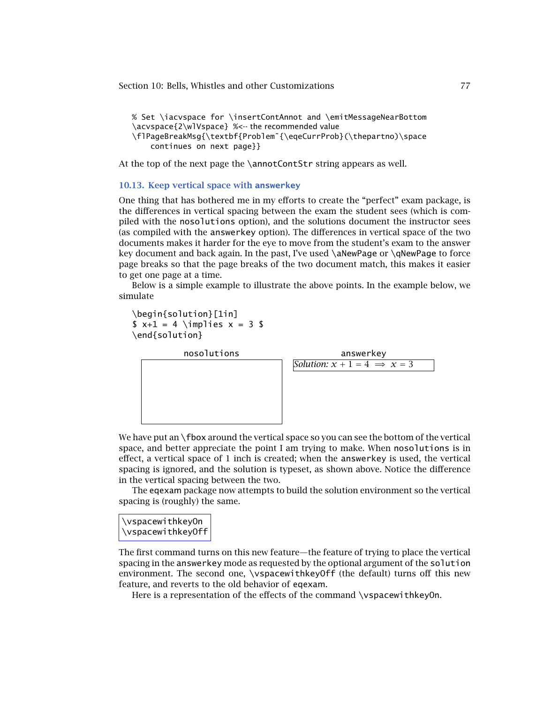```
% Set \iacvspace for \insertContAnnot and \emitMessageNearBottom
\acvspace{2\wlVspace} %<-- the recommended value
\flPageBreakMsg{\textbf{Problem˜{\eqeCurrProb}(\thepartno)\space
    continues on next page}}
```
At the top of the next page the \annotContStr string appears as well.

#### **10.13. Keep vertical space with answerkey**

One thing that has bothered me in my efforts to create the "perfect" exam package, is the differences in vertical spacing between the exam the student sees (which is compiled with the nosolutions option), and the solutions document the instructor sees (as compiled with the answerkey option). The differences in vertical space of the two documents makes it harder for the eye to move from the student's exam to the answer key document and back again. In the past, I've used \aNewPage or \qNewPage to force page breaks so that the page breaks of the two document match, this makes it easier to get one page at a time.

Below is a simple example to illustrate the above points. In the example below, we simulate

```
\begin{solution}[1in]
$ x+1 = 4 \rightarrow x = 3 $\end{solution}
```


We have put an \fbox around the vertical space so you can see the bottom of the vertical space, and better appreciate the point I am trying to make. When nosolutions is in effect, a vertical space of 1 inch is created; when the answerkey is used, the vertical spacing is ignored, and the solution is typeset, as shown above. Notice the difference in the vertical spacing between the two.

The eqexam package now attempts to build the solution environment so the vertical spacing is (roughly) the same.



The first command turns on this new feature—the feature of trying to place the vertical spacing in the answerkey mode as requested by the optional argument of the solution environment. The second one, \vspacewithkeyOff (the default) turns off this new feature, and reverts to the old behavior of eqexam.

Here is a representation of the effects of the command \vspacewithkeyOn.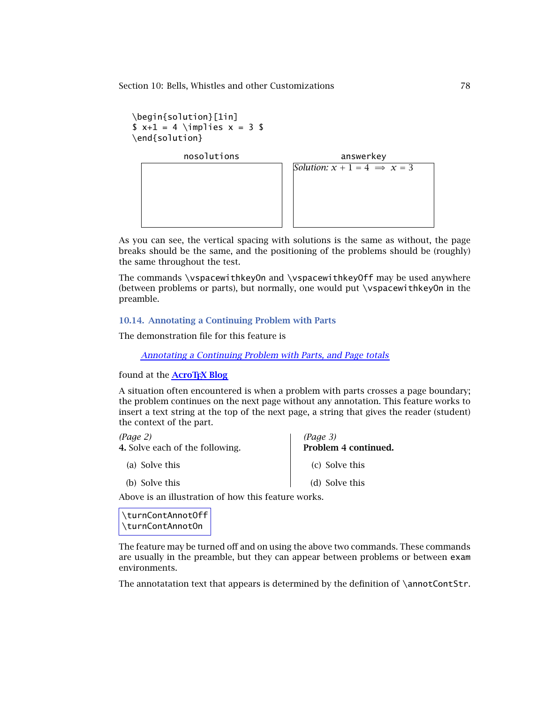```
\begin{solution}[1in]
$ x+1 = 4 \rightarrow x = 3 $\end{solution}
```
nosolutions answerkey *Solution:*  $x + 1 = 4 \implies x = 3$ 

As you can see, the vertical spacing with solutions is the same as without, the page breaks should be the same, and the positioning of the problems should be (roughly) the same throughout the test.

The commands \vspacewithkeyOn and \vspacewithkeyOff may be used anywhere (between problems or parts), but normally, one would put \vspacewithkeyOn in the preamble.

# **10.14. Annotating a Continuing Problem with Parts**

The demonstration file for this feature is

# *[Annotating a Continuing Problem with Parts, and Page totals](http://www.acrotex.net/blog/?p=698)*

### found at the **[AcroTEX Blog](http://www.acrotex.net/blog)**

A situation often encountered is when a problem with parts crosses a page boundary; the problem continues on the next page without any annotation. This feature works to insert a text string at the top of the next page, a string that gives the reader (student) the context of the part.

*(Page 3)*

*(Page 2)*

**4.** Solve each of the following.

- (a) Solve this
- (b) Solve this

**Problem 4 continued.** (c) Solve this (d) Solve this

Above is an illustration of how this feature works.

\turnContAnnotOff \turnContAnnotOn

The feature may be turned off and on using the above two commands. These commands are usually in the preamble, but they can appear between problems or between exam environments.

The annotatation text that appears is determined by the definition of \annotContStr.

The eqexam Manual The eqexam Manual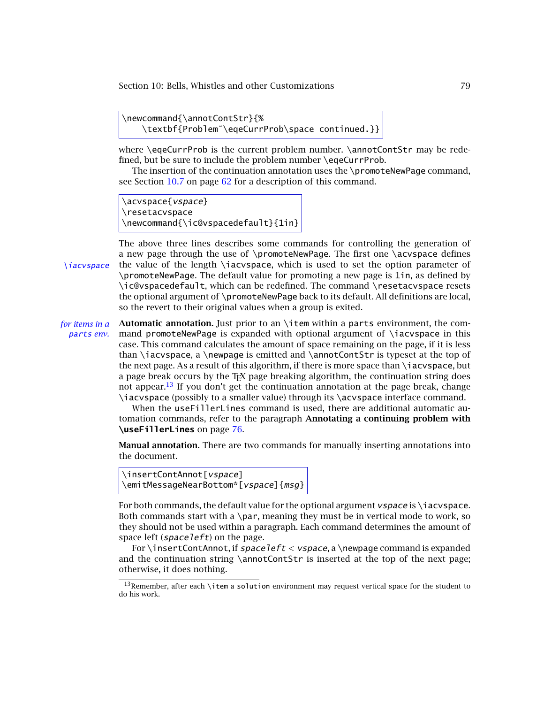```
\newcommand{\annotContStr}{%
   \textbf{Problem˜\eqeCurrProb\space continued.}}
```
where \eqeCurrProb is the current problem number. \annotContStr may be redefined, but be sure to include the problem number \eqeCurrProb.

The insertion of the continuation annotation uses the \promoteNewPage command, see Section [10.7](#page-61-0) on page [62](#page-61-0) for a description of this command.

\acvspace{vspace} \resetacvspace \newcommand{\ic@vspacedefault}{1in}

The above three lines describes some commands for controlling the generation of a new page through the use of \promoteNewPage. The first one \acvspace defines  $\iota$ iacyspace the value of the length  $\iota$ iacyspace, which is used to set the option parameter of \promoteNewPage. The default value for promoting a new page is 1in, as defined by \ic@vspacedefault, which can be redefined. The command \resetacvspace resets the optional argument of \promoteNewPage back to its default. All definitions are local, so the revert to their original values when a group is exited.

*for items in a* **Automatic annotation.** Just prior to an \item within a parts environment, the comparts *env.* mand promoteNewPage is expanded with optional argument of \iacvspace in this case. This command calculates the amount of space remaining on the page, if it is less than \iacvspace, a \newpage is emitted and \annotContStr is typeset at the top of the next page. As a result of this algorithm, if there is more space than \iacvspace, but a page break occurs by the TEX page breaking algorithm, the continuation string does not appear.<sup>13</sup> If you don't get the continuation annotation at the page break, change \iacvspace (possibly to a smaller value) through its \acvspace interface command.

When the useFillerLines command is used, there are additional automatic automation commands, refer to the paragraph **Annotating a continuing problem with \useFillerLines** on page [76.](#page-75-0)

**Manual annotation.** There are two commands for manually inserting annotations into the document.

```
\insertContAnnot[vspace]
\emitMessageNearBottom*[vspace]{msg}
```
For both commands, the default value for the optional argument *vspace* is \iacvspace. Both commands start with a \par, meaning they must be in vertical mode to work, so they should not be used within a paragraph. Each command determines the amount of space left (*space left*) on the page.

For \insertContAnnot, if spaceleft *<* vspace, a \newpage command is expanded and the continuation string  $\annotContStr$  is inserted at the top of the next page; otherwise, it does nothing.

 $13$ Remember, after each \item a solution environment may request vertical space for the student to do his work.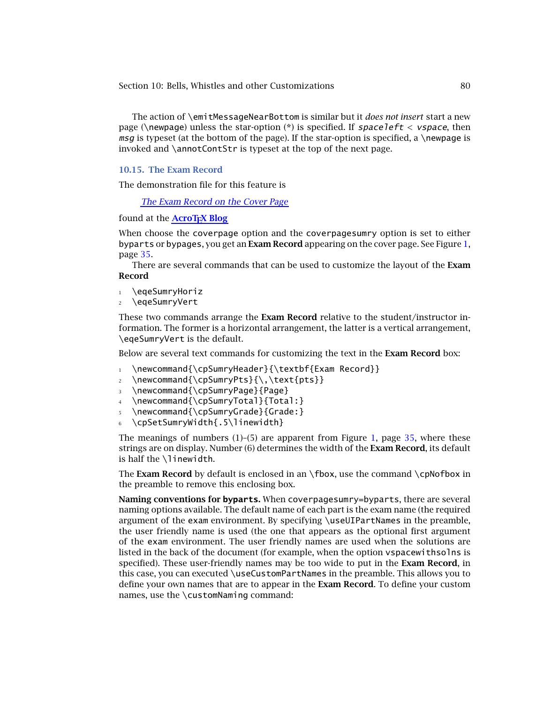The action of \emitMessageNearBottom is similar but it *does not insert* start a new page (\newpage) unless the star-option (\*) is specified. If spaceleft *<* vspace, then msg is typeset (at the bottom of the page). If the star-option is specified, a \newpage is invoked and \annotContStr is typeset at the top of the next page.

#### **10.15. The Exam Record**

The demonstration file for this feature is

*[The Exam Record on the Cover Page](http://www.acrotex.net/blog/?p=703)*

### found at the **AcroT<sub>E</sub>X Blog**

When choose the coverpage option and the coverpagesumry option is set to either byparts or bypages, you get an **Exam Record** appearing on the cover page. See Figure [1,](#page-34-0) page [35.](#page-34-0)

There are several commands that can be used to customize the layout of the **Exam Record**

- 1 \eqeSumryHoriz
- <sup>2</sup> \eqeSumryVert

These two commands arrange the **Exam Record** relative to the student/instructor information. The former is a horizontal arrangement, the latter is a vertical arrangement, \eqeSumryVert is the default.

Below are several text commands for customizing the text in the **Exam Record** box:

- 1 \newcommand{\cpSumryHeader}{\textbf{Exam Record}}
- 2 \newcommand{\cpSumryPts}{\,\text{pts}}
- <sup>3</sup> \newcommand{\cpSumryPage}{Page}
- \newcommand{\cpSumryTotal}{Total:}
- \newcommand{\cpSumryGrade}{Grade:}
- \cpSetSumryWidth{.5\linewidth}

The meanings of numbers  $(1)$ – $(5)$  are apparent from Figure [1,](#page-34-0) page [35,](#page-34-0) where these strings are on display. Number (6) determines the width of the **Exam Record**, its default is half the \linewidth.

The **Exam Record** by default is enclosed in an  $\Theta$ , use the command  $\Theta$ the preamble to remove this enclosing box.

**Naming conventions for byparts.** When coverpagesumry=byparts, there are several naming options available. The default name of each part is the exam name (the required argument of the exam environment. By specifying \useUIPartNames in the preamble, the user friendly name is used (the one that appears as the optional first argument of the exam environment. The user friendly names are used when the solutions are listed in the back of the document (for example, when the option vspacewithsolns is specified). These user-friendly names may be too wide to put in the **Exam Record**, in this case, you can executed \useCustomPartNames in the preamble. This allows you to define your own names that are to appear in the **Exam Record**. To define your custom names, use the \customNaming command: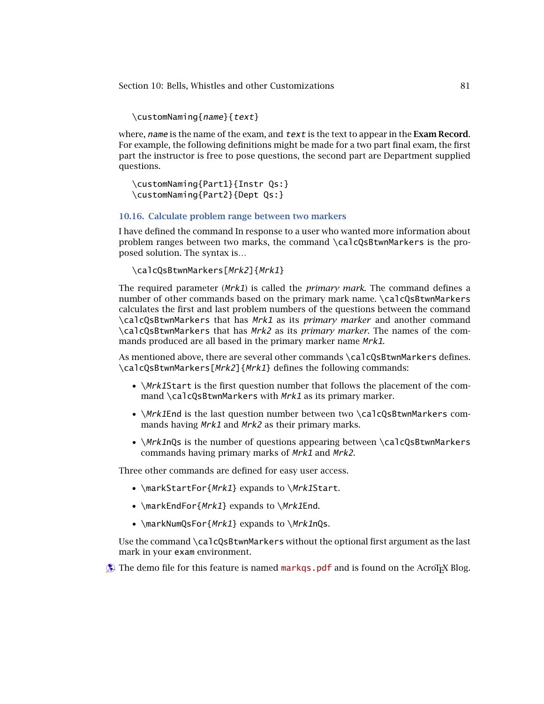\customNaming{name}{text}

where, name is the name of the exam, and text is the text to appear in the **Exam Record**. For example, the following definitions might be made for a two part final exam, the first part the instructor is free to pose questions, the second part are Department supplied questions.

```
\customNaming{Part1}{Instr Qs:}
\customNaming{Part2}{Dept Qs:}
```
#### **10.16. Calculate problem range between two markers**

I have defined the command In response to a user who wanted more information about problem ranges between two marks, the command \calcQsBtwnMarkers is the proposed solution. The syntax is…

```
\calcQsBtwnMarkers[Mrk2]{Mrk1}
```
The required parameter (Mrk1) is called the *primary mark*. The command defines a number of other commands based on the primary mark name. \calcQsBtwnMarkers calculates the first and last problem numbers of the questions between the command \calcQsBtwnMarkers that has Mrk1 as its *primary marker* and another command \calcQsBtwnMarkers that has Mrk2 as its *primary marker*. The names of the commands produced are all based in the primary marker name Mrk1.

As mentioned above, there are several other commands \calcQsBtwnMarkers defines. \calcQsBtwnMarkers[Mrk2]{Mrk1} defines the following commands:

- *\Mrk1Start is the first question number that follows the placement of the com*mand \calcQsBtwnMarkers with  $Mrk1$  as its primary marker.
- \Mrk1End is the last question number between two \calcQsBtwnMarkers commands having Mrk1 and Mrk2 as their primary marks.
- \*Mrk1n*Qs is the number of questions appearing between \calcQsBtwnMarkers commands having primary marks of Mrk1 and Mrk2.

Three other commands are defined for easy user access.

- \markStartFor{*Mrk1*} expands to \*Mrk1*Start.
- \markEndFor{Mrk1} expands to \Mrk1End.
- \markNumQsFor{*Mrk1*} expands to \*Mrk1*nQs.

Use the command \calcQsBtwnMarkers without the optional first argument as the last mark in your exam environment.

 $\circledast$  The demo file for this feature is named [markqs.pdf](http://www.acrotex.net/blog/?p=1231) and is found on the AcroTEX Blog.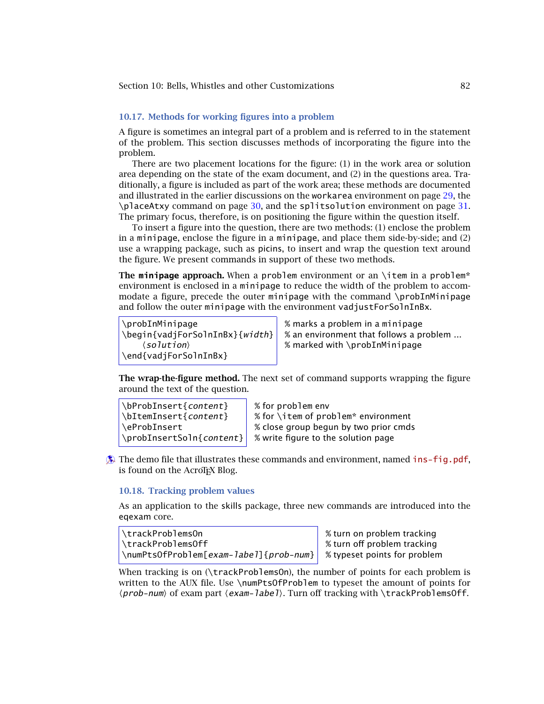#### **10.17. Methods for working figures into a problem**

A figure is sometimes an integral part of a problem and is referred to in the statement of the problem. This section discusses methods of incorporating the figure into the problem.

There are two placement locations for the figure: (1) in the work area or solution area depending on the state of the exam document, and (2) in the questions area. Traditionally, a figure is included as part of the work area; these methods are documented and illustrated in the earlier discussions on the workarea environment on page [29,](#page-28-0) the \placeAtxy command on page [30,](#page-29-0) and the splitsolution environment on page [31.](#page-30-0) The primary focus, therefore, is on positioning the figure within the question itself.

To insert a figure into the question, there are two methods: (1) enclose the problem in a minipage, enclose the figure in a minipage, and place them side-by-side; and (2) use a wrapping package, such as picins, to insert and wrap the question text around the figure. We present commands in support of these two methods.

**The minipage approach.** When a problem environment or an \item in a problem\* environment is enclosed in a minipage to reduce the width of the problem to accommodate a figure, precede the outer minipage with the command \probInMinipage and follow the outer minipage with the environment vadjustForSolnInBx.

```
\probInMinipage % marks a problem in a minipage
   \langlesolution\rangle\end{vadjForSolnInBx}
```
 $\begin{bmatrix} \begin{array}{c} \lambda & \lambda & \lambda \\ \lambda & \lambda & \lambda \end{array} \end{bmatrix}$  =  $\begin{bmatrix} \lambda & \lambda & \lambda \\ \lambda & \lambda & \lambda \end{bmatrix}$  =  $\begin{bmatrix} \lambda & \lambda & \lambda \\ \lambda & \lambda & \lambda \end{bmatrix}$  =  $\begin{bmatrix} \lambda & \lambda & \lambda \\ \lambda & \lambda & \lambda \end{bmatrix}$  =  $\begin{bmatrix} \lambda & \lambda & \lambda \\ \lambda & \lambda & \lambda \end{bmatrix}$  =  $\begin{bmatrix} \lambda & \lambda & \lambda \\ \lambda & \lambda & \lambda \end{bmatrix}$  =  $\begin{b$ % marked with  $\propto$  marked with  $\propto$  mobInMinipage

**The wrap-the-figure method.** The next set of command supports wrapping the figure around the text of the question.

\bProbInsert{content} % for problem env \bItemInsert{content} % for \item of problem\* environment \eProbInsert % close group begun by two prior cmds  $\propto$  \probInsertSoln{content}  $\mid$  % write figure to the solution page

**Example 1** The demo file that illustrates these commands and environment, named [ins-fig.pdf](http://www.acrotex.net/blog/?p=1419), is found on the AcroT<sub>E</sub>X Blog.

# **10.18. Tracking problem values**

As an application to the skills package, three new commands are introduced into the eqexam core.

```
\trackProblemsOn % turn on problem tracking
\trackProblemsOff % turn off problem tracking
\numPtsOfProblem[exam-label]{prob-num} % typeset points for problem
```
When tracking is on (\trackProblemsOn), the number of points for each problem is written to the AUX file. Use \numPtsOfProblem to typeset the amount of points for (prob-num) of exam part (exam-label). Turn off tracking with \trackProblemsOff.